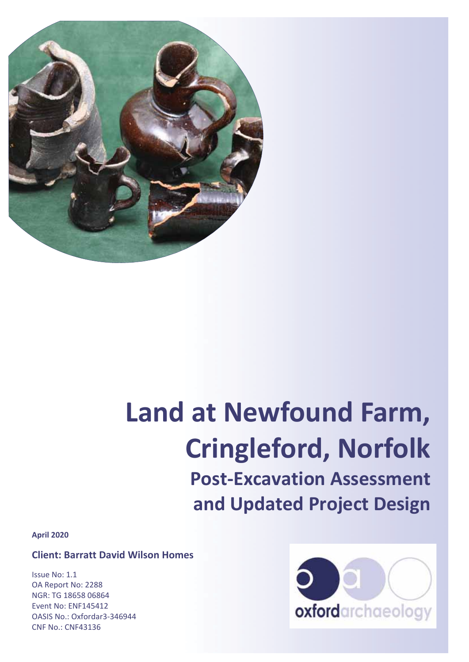

# **Land at Newfound Farm, Cringleford, Norfolk Post-Excavation Assessment and Updated Project Design**

**April 2020** 

**Client: Barratt David Wilson Homes** 

Issue No: 1.1 OA Report No: 2288 NGR: TG 18658 06864 Event No: ENF145412 OASIS No.: Oxfordar3-346944 CNF No.: CNF43136

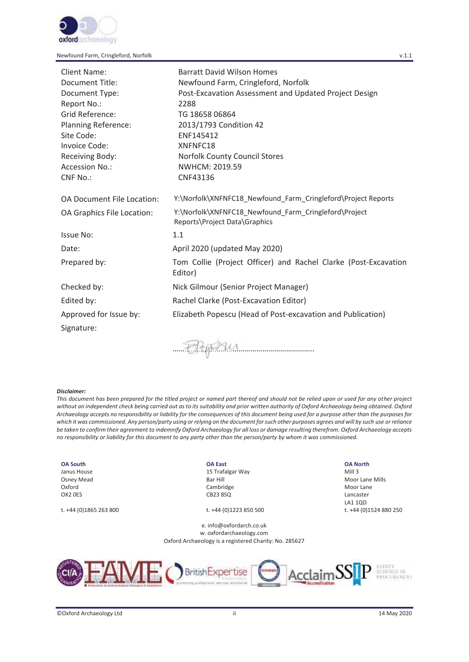

| <b>Client Name:</b>               | <b>Barratt David Wilson Homes</b>                                                      |
|-----------------------------------|----------------------------------------------------------------------------------------|
| Document Title:                   | Newfound Farm, Cringleford, Norfolk                                                    |
| Document Type:                    | Post-Excavation Assessment and Updated Project Design                                  |
| Report No.:                       | 2288                                                                                   |
| Grid Reference:                   | TG 18658 06864                                                                         |
| <b>Planning Reference:</b>        | 2013/1793 Condition 42                                                                 |
| Site Code:                        | ENF145412                                                                              |
| Invoice Code:                     | XNFNFC18                                                                               |
| Receiving Body:                   | Norfolk County Council Stores                                                          |
| Accession No.:                    | NWHCM: 2019.59                                                                         |
| <b>CNF No.:</b>                   | CNF43136                                                                               |
| <b>OA Document File Location:</b> | Y:\Norfolk\XNFNFC18_Newfound_Farm_Cringleford\Project Reports                          |
| OA Graphics File Location:        | Y:\Norfolk\XNFNFC18_Newfound_Farm_Cringleford\Project<br>Reports\Project Data\Graphics |
| Issue No:                         | 1.1                                                                                    |
| Date:                             | April 2020 (updated May 2020)                                                          |
| Prepared by:                      | Tom Collie (Project Officer) and Rachel Clarke (Post-Excavation<br>Editor)             |
| Checked by:                       | Nick Gilmour (Senior Project Manager)                                                  |
| Edited by:                        | Rachel Clarke (Post-Excavation Editor)                                                 |
| Approved for Issue by:            | Elizabeth Popescu (Head of Post-excavation and Publication)                            |
| Signature:                        |                                                                                        |
|                                   |                                                                                        |

…………………………………………………………….. ………………………………

#### *Disclaimer:*

*This document has been prepared for the titled project or named part thereof and should not be relied upon or used for any other project without an independent check being carried out as to its suitability and prior written authority of Oxford Archaeology being obtained. Oxford Archaeology accepts no responsibility or liability for the consequences of this document being used for a purpose other than the purposes for which it was commissioned. Any person/party using or relying on the document for such other purposes agrees and will by such use or reliance be taken to confirm their agreement to indemnify Oxford Archaeology for all loss or damage resulting therefrom. Oxford Archaeology accepts no responsibility or liability for this document to any party other than the person/party by whom it was commissioned.* 

#### **OA South** Janus House

Osney Mead Oxford OX2 0ES

t. +44 (0)1865 263 800 t. +44 (0)1223 850 500 t. +44 (0)1524 880 250

#### **OA East**

15 Trafalgar Way Bar Hill Cambridge CB23 8SQ

e. info@oxfordarch.co.uk w. oxfordarchaeology.com Oxford Archaeology is a registered Charity: No. 285627

#### **OA North**

Mill 3 Moor Lane Mills Moor Lane Lancaster LA1 1QD



SAFETY<br>SCHEMES IN<br>PROCUREMENT

| ©Oxford Archaeology Ltd |  | 14 May 2020 |
|-------------------------|--|-------------|
|-------------------------|--|-------------|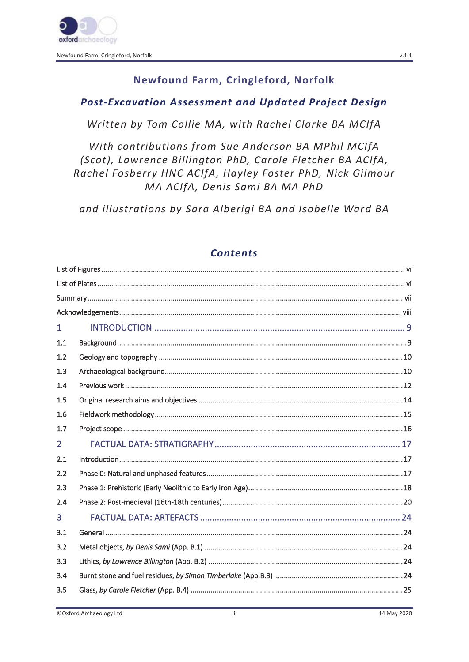Newfound Farm, Cringleford, Norfolk

# Newfound Farm, Cringleford, Norfolk

# **Post-Excavation Assessment and Updated Project Design**

Written by Tom Collie MA, with Rachel Clarke BA MCIfA

With contributions from Sue Anderson BA MPhil MCIfA (Scot), Lawrence Billington PhD, Carole Fletcher BA ACIfA, Rachel Fosberry HNC ACIfA, Hayley Foster PhD, Nick Gilmour MA ACIfA, Denis Sami BA MA PhD

and illustrations by Sara Alberigi BA and Isobelle Ward BA

# **Contents**

| $\mathbf{1}$   |  |
|----------------|--|
| 1.1            |  |
| 1.2            |  |
| 1.3            |  |
| 1.4            |  |
| 1.5            |  |
| 1.6            |  |
| 1.7            |  |
| $\overline{2}$ |  |
| 2.1            |  |
| 2.2            |  |
| 2.3            |  |
| 2.4            |  |
| 3              |  |
| 3.1            |  |
| 3.2            |  |
| 3.3            |  |
| 3.4            |  |
| 3.5            |  |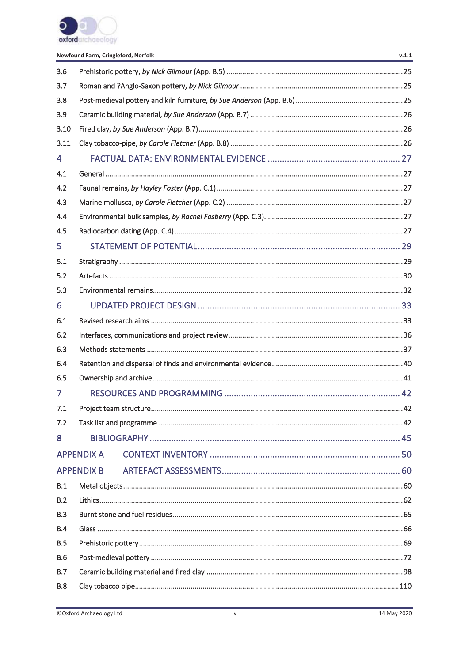

Newfound Farm, Cringleford, Norfolk

| 3.6        |                   |  |  |  |  |  |
|------------|-------------------|--|--|--|--|--|
| 3.7        |                   |  |  |  |  |  |
| 3.8        |                   |  |  |  |  |  |
| 3.9        |                   |  |  |  |  |  |
| 3.10       |                   |  |  |  |  |  |
| 3.11       |                   |  |  |  |  |  |
| 4          |                   |  |  |  |  |  |
| 4.1        |                   |  |  |  |  |  |
| 4.2        |                   |  |  |  |  |  |
| 4.3        |                   |  |  |  |  |  |
| 4.4        |                   |  |  |  |  |  |
| 4.5        |                   |  |  |  |  |  |
| 5          |                   |  |  |  |  |  |
| 5.1        |                   |  |  |  |  |  |
| 5.2        |                   |  |  |  |  |  |
| 5.3        |                   |  |  |  |  |  |
| 6          |                   |  |  |  |  |  |
| 6.1        |                   |  |  |  |  |  |
| 6.2        |                   |  |  |  |  |  |
| 6.3        |                   |  |  |  |  |  |
| 6.4        |                   |  |  |  |  |  |
| 6.5        |                   |  |  |  |  |  |
| 7          |                   |  |  |  |  |  |
| 7.1        |                   |  |  |  |  |  |
| 7.2        |                   |  |  |  |  |  |
| 8          |                   |  |  |  |  |  |
|            | <b>APPENDIX A</b> |  |  |  |  |  |
|            | <b>APPENDIX B</b> |  |  |  |  |  |
| B.1        |                   |  |  |  |  |  |
| B.2        |                   |  |  |  |  |  |
| B.3        |                   |  |  |  |  |  |
| B.4        |                   |  |  |  |  |  |
| B.5        |                   |  |  |  |  |  |
| <b>B.6</b> |                   |  |  |  |  |  |
| B.7        |                   |  |  |  |  |  |
| <b>B.8</b> |                   |  |  |  |  |  |

 $v.1.1$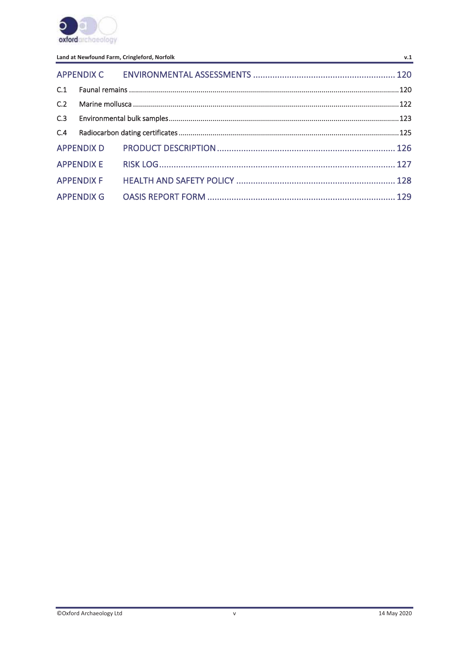

| C.3 |  |  |  |  |  |
|-----|--|--|--|--|--|
| C.4 |  |  |  |  |  |
|     |  |  |  |  |  |
|     |  |  |  |  |  |
|     |  |  |  |  |  |
|     |  |  |  |  |  |

 $v.1$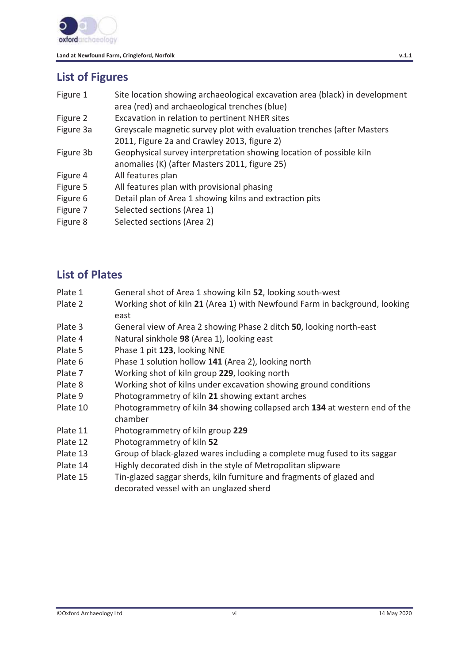

# **List of Figures**

| Figure 1  | Site location showing archaeological excavation area (black) in development<br>area (red) and archaeological trenches (blue) |
|-----------|------------------------------------------------------------------------------------------------------------------------------|
| Figure 2  | Excavation in relation to pertinent NHER sites                                                                               |
| Figure 3a | Greyscale magnetic survey plot with evaluation trenches (after Masters                                                       |
|           | 2011, Figure 2a and Crawley 2013, figure 2)                                                                                  |
| Figure 3b | Geophysical survey interpretation showing location of possible kiln                                                          |
|           | anomalies (K) (after Masters 2011, figure 25)                                                                                |
| Figure 4  | All features plan                                                                                                            |
| Figure 5  | All features plan with provisional phasing                                                                                   |
| Figure 6  | Detail plan of Area 1 showing kilns and extraction pits                                                                      |
| Figure 7  | Selected sections (Area 1)                                                                                                   |

Figure 8 Selected sections (Area 2)

# **List of Plates**

- Plate 1 General shot of Area 1 showing kiln **52**, looking south-west
- Plate 2 Working shot of kiln **21** (Area 1) with Newfound Farm in background, looking east
- Plate 3 General view of Area 2 showing Phase 2 ditch **50**, looking north-east
- Plate 4 Natural sinkhole **98** (Area 1), looking east
- Plate 5 Phase 1 pit **123**, looking NNE
- Plate 6 Phase 1 solution hollow **141** (Area 2), looking north
- Plate 7 Working shot of kiln group **229**, looking north
- Plate 8 Working shot of kilns under excavation showing ground conditions
- Plate 9 Photogrammetry of kiln **21** showing extant arches
- Plate 10 Photogrammetry of kiln **34** showing collapsed arch **134** at western end of the chamber
- Plate 11 Photogrammetry of kiln group **229**
- Plate 12 Photogrammetry of kiln **52**
- Plate 13 Group of black-glazed wares including a complete mug fused to its saggar
- Plate 14 Highly decorated dish in the style of Metropolitan slipware
- Plate 15 Tin-glazed saggar sherds, kiln furniture and fragments of glazed and decorated vessel with an unglazed sherd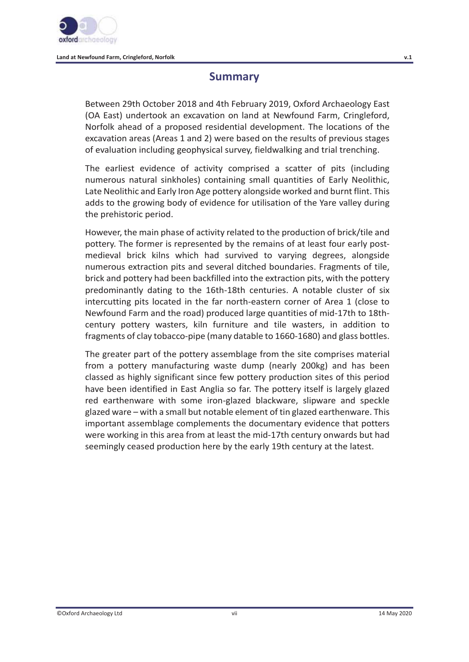

# **Summary**

Between 29th October 2018 and 4th February 2019, Oxford Archaeology East (OA East) undertook an excavation on land at Newfound Farm, Cringleford, Norfolk ahead of a proposed residential development. The locations of the excavation areas (Areas 1 and 2) were based on the results of previous stages of evaluation including geophysical survey, fieldwalking and trial trenching.

The earliest evidence of activity comprised a scatter of pits (including numerous natural sinkholes) containing small quantities of Early Neolithic, Late Neolithic and Early Iron Age pottery alongside worked and burnt flint. This adds to the growing body of evidence for utilisation of the Yare valley during the prehistoric period.

However, the main phase of activity related to the production of brick/tile and pottery. The former is represented by the remains of at least four early postmedieval brick kilns which had survived to varying degrees, alongside numerous extraction pits and several ditched boundaries. Fragments of tile, brick and pottery had been backfilled into the extraction pits, with the pottery predominantly dating to the 16th-18th centuries. A notable cluster of six intercutting pits located in the far north-eastern corner of Area 1 (close to Newfound Farm and the road) produced large quantities of mid-17th to 18thcentury pottery wasters, kiln furniture and tile wasters, in addition to fragments of clay tobacco-pipe (many datable to 1660-1680) and glass bottles.

The greater part of the pottery assemblage from the site comprises material from a pottery manufacturing waste dump (nearly 200kg) and has been classed as highly significant since few pottery production sites of this period have been identified in East Anglia so far. The pottery itself is largely glazed red earthenware with some iron-glazed blackware, slipware and speckle glazed ware – with a small but notable element of tin glazed earthenware. This important assemblage complements the documentary evidence that potters were working in this area from at least the mid-17th century onwards but had seemingly ceased production here by the early 19th century at the latest.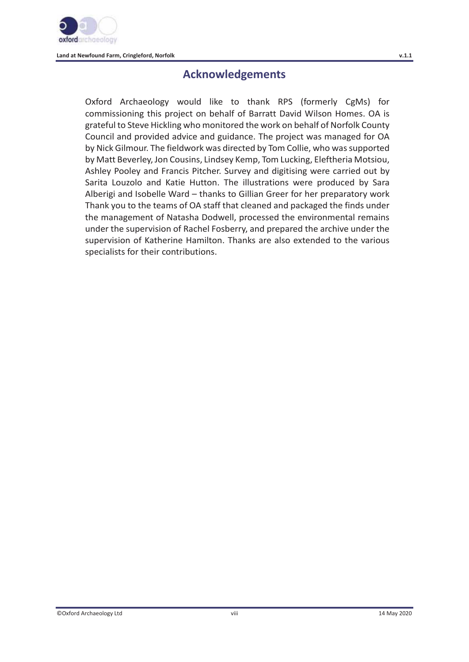

# **Acknowledgements**

Oxford Archaeology would like to thank RPS (formerly CgMs) for commissioning this project on behalf of Barratt David Wilson Homes. OA is grateful to Steve Hickling who monitored the work on behalf of Norfolk County Council and provided advice and guidance. The project was managed for OA by Nick Gilmour. The fieldwork was directed by Tom Collie, who was supported by Matt Beverley, Jon Cousins, Lindsey Kemp, Tom Lucking, Eleftheria Motsiou, Ashley Pooley and Francis Pitcher. Survey and digitising were carried out by Sarita Louzolo and Katie Hutton. The illustrations were produced by Sara Alberigi and Isobelle Ward – thanks to Gillian Greer for her preparatory work Thank you to the teams of OA staff that cleaned and packaged the finds under the management of Natasha Dodwell, processed the environmental remains under the supervision of Rachel Fosberry, and prepared the archive under the supervision of Katherine Hamilton. Thanks are also extended to the various specialists for their contributions.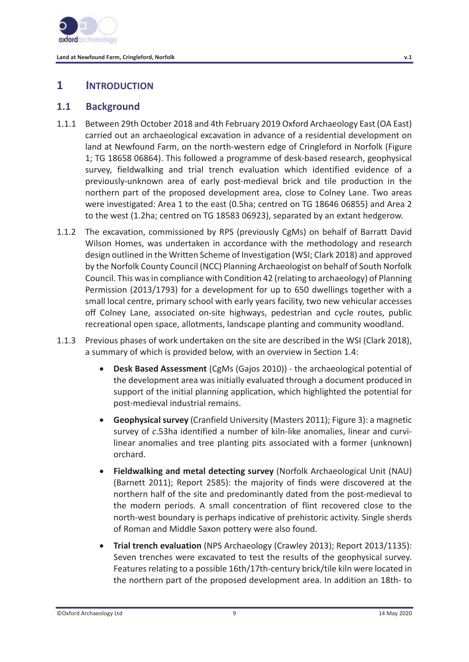

# **1 INTRODUCTION**

### **1.1 Background**

- 1.1.1 Between 29th October 2018 and 4th February 2019 Oxford Archaeology East (OA East) carried out an archaeological excavation in advance of a residential development on land at Newfound Farm, on the north-western edge of Cringleford in Norfolk (Figure 1; TG 18658 06864). This followed a programme of desk-based research, geophysical survey, fieldwalking and trial trench evaluation which identified evidence of a previously-unknown area of early post-medieval brick and tile production in the northern part of the proposed development area, close to Colney Lane. Two areas were investigated: Area 1 to the east (0.5ha; centred on TG 18646 06855) and Area 2 to the west (1.2ha; centred on TG 18583 06923), separated by an extant hedgerow.
- 1.1.2 The excavation, commissioned by RPS (previously CgMs) on behalf of Barratt David Wilson Homes, was undertaken in accordance with the methodology and research design outlined in the Written Scheme of Investigation (WSI; Clark 2018) and approved by the Norfolk County Council (NCC) Planning Archaeologist on behalf of South Norfolk Council. This was in compliance with Condition 42 (relating to archaeology) of Planning Permission (2013/1793) for a development for up to 650 dwellings together with a small local centre, primary school with early years facility, two new vehicular accesses off Colney Lane, associated on-site highways, pedestrian and cycle routes, public recreational open space, allotments, landscape planting and community woodland.
- 1.1.3 Previous phases of work undertaken on the site are described in the WSI (Clark 2018), a summary of which is provided below, with an overview in Section 1.4:
	- x **Desk Based Assessment** (CgMs (Gajos 2010)) the archaeological potential of the development area was initially evaluated through a document produced in support of the initial planning application, which highlighted the potential for post-medieval industrial remains.
	- **Geophysical survey** (Cranfield University (Masters 2011); Figure 3): a magnetic survey of *c*.53ha identified a number of kiln-like anomalies, linear and curvilinear anomalies and tree planting pits associated with a former (unknown) orchard.
	- x **Fieldwalking and metal detecting survey** (Norfolk Archaeological Unit (NAU) (Barnett 2011); Report 2585): the majority of finds were discovered at the northern half of the site and predominantly dated from the post-medieval to the modern periods. A small concentration of flint recovered close to the north-west boundary is perhaps indicative of prehistoric activity. Single sherds of Roman and Middle Saxon pottery were also found.
	- **Trial trench evaluation** (NPS Archaeology (Crawley 2013); Report 2013/1135): Seven trenches were excavated to test the results of the geophysical survey. Features relating to a possible 16th/17th-century brick/tile kiln were located in the northern part of the proposed development area. In addition an 18th- to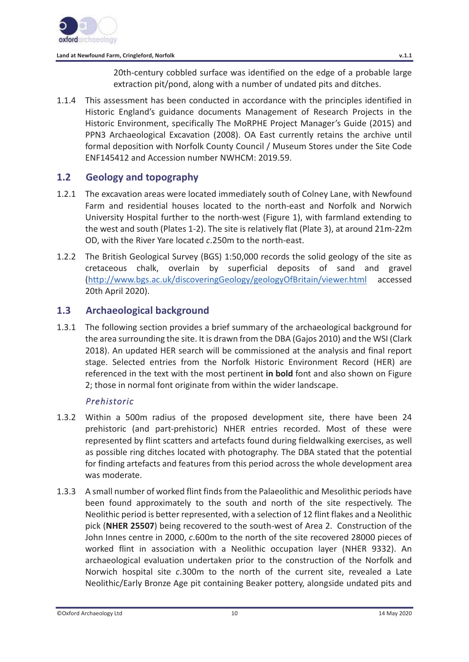20th-century cobbled surface was identified on the edge of a probable large extraction pit/pond, along with a number of undated pits and ditches.

1.1.4 This assessment has been conducted in accordance with the principles identified in Historic England's guidance documents Management of Research Projects in the Historic Environment, specifically The MoRPHE Project Manager's Guide (2015) and PPN3 Archaeological Excavation (2008). OA East currently retains the archive until formal deposition with Norfolk County Council / Museum Stores under the Site Code ENF145412 and Accession number NWHCM: 2019.59.

### **1.2 Geology and topography**

- 1.2.1 The excavation areas were located immediately south of Colney Lane, with Newfound Farm and residential houses located to the north-east and Norfolk and Norwich University Hospital further to the north-west (Figure 1), with farmland extending to the west and south (Plates 1-2). The site is relatively flat (Plate 3), at around 21m-22m OD, with the River Yare located *c*.250m to the north-east.
- 1.2.2 The British Geological Survey (BGS) 1:50,000 records the solid geology of the site as cretaceous chalk, overlain by superficial deposits of sand and gravel (http://www.bgs.ac.uk/discoveringGeology/geologyOfBritain/viewer.html accessed 20th April 2020).

### **1.3 Archaeological background**

1.3.1 The following section provides a brief summary of the archaeological background for the area surrounding the site. It is drawn from the DBA (Gajos 2010) and the WSI (Clark 2018). An updated HER search will be commissioned at the analysis and final report stage. Selected entries from the Norfolk Historic Environment Record (HER) are referenced in the text with the most pertinent **in bold** font and also shown on Figure 2; those in normal font originate from within the wider landscape.

#### *Prehistoric*

- 1.3.2 Within a 500m radius of the proposed development site, there have been 24 prehistoric (and part-prehistoric) NHER entries recorded. Most of these were represented by flint scatters and artefacts found during fieldwalking exercises, as well as possible ring ditches located with photography. The DBA stated that the potential for finding artefacts and features from this period across the whole development area was moderate.
- 1.3.3 A small number of worked flint finds from the Palaeolithic and Mesolithic periods have been found approximately to the south and north of the site respectively. The Neolithic period is better represented, with a selection of 12 flint flakes and a Neolithic pick (**NHER 25507**) being recovered to the south-west of Area 2. Construction of the John Innes centre in 2000, *c*.600m to the north of the site recovered 28000 pieces of worked flint in association with a Neolithic occupation layer (NHER 9332). An archaeological evaluation undertaken prior to the construction of the Norfolk and Norwich hospital site *c*.300m to the north of the current site, revealed a Late Neolithic/Early Bronze Age pit containing Beaker pottery, alongside undated pits and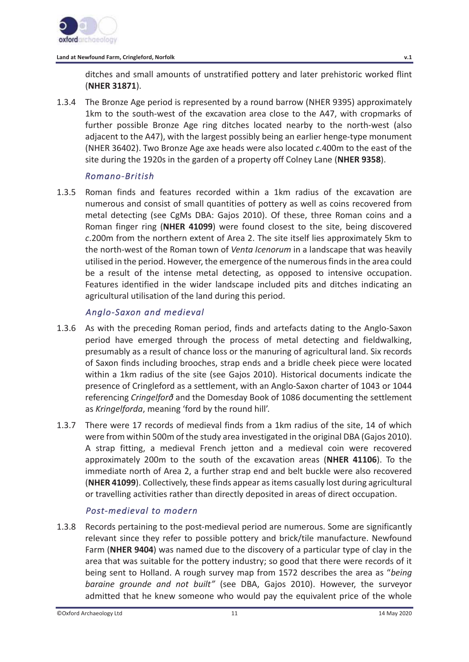

ditches and small amounts of unstratified pottery and later prehistoric worked flint (**NHER 31871**).

1.3.4 The Bronze Age period is represented by a round barrow (NHER 9395) approximately 1km to the south-west of the excavation area close to the A47, with cropmarks of further possible Bronze Age ring ditches located nearby to the north-west (also adjacent to the A47), with the largest possibly being an earlier henge-type monument (NHER 36402). Two Bronze Age axe heads were also located *c*.400m to the east of the site during the 1920s in the garden of a property off Colney Lane (**NHER 9358**).

### *Romano-British*

1.3.5 Roman finds and features recorded within a 1km radius of the excavation are numerous and consist of small quantities of pottery as well as coins recovered from metal detecting (see CgMs DBA: Gajos 2010). Of these, three Roman coins and a Roman finger ring (**NHER 41099**) were found closest to the site, being discovered *c*.200m from the northern extent of Area 2. The site itself lies approximately 5km to the north-west of the Roman town of *Venta Icenorum* in a landscape that was heavily utilised in the period. However, the emergence of the numerous finds in the area could be a result of the intense metal detecting, as opposed to intensive occupation. Features identified in the wider landscape included pits and ditches indicating an agricultural utilisation of the land during this period.

#### *Anglo-Saxon and medieval*

- 1.3.6 As with the preceding Roman period, finds and artefacts dating to the Anglo-Saxon period have emerged through the process of metal detecting and fieldwalking, presumably as a result of chance loss or the manuring of agricultural land. Six records of Saxon finds including brooches, strap ends and a bridle cheek piece were located within a 1km radius of the site (see Gajos 2010). Historical documents indicate the presence of Cringleford as a settlement, with an Anglo-Saxon charter of 1043 or 1044 referencing *Cringelforð* and the Domesday Book of 1086 documenting the settlement as *Kringelforda*, meaning 'ford by the round hill'.
- 1.3.7 There were 17 records of medieval finds from a 1km radius of the site, 14 of which were from within 500m of the study area investigated in the original DBA (Gajos 2010). A strap fitting, a medieval French jetton and a medieval coin were recovered approximately 200m to the south of the excavation areas (**NHER 41106**). To the immediate north of Area 2, a further strap end and belt buckle were also recovered (**NHER 41099**). Collectively, these finds appear as items casually lost during agricultural or travelling activities rather than directly deposited in areas of direct occupation.

# *Post-medieval to modern*

1.3.8 Records pertaining to the post-medieval period are numerous. Some are significantly relevant since they refer to possible pottery and brick/tile manufacture. Newfound Farm (**NHER 9404**) was named due to the discovery of a particular type of clay in the area that was suitable for the pottery industry; so good that there were records of it being sent to Holland. A rough survey map from 1572 describes the area as "*being baraine grounde and not built"* (see DBA, Gajos 2010). However, the surveyor admitted that he knew someone who would pay the equivalent price of the whole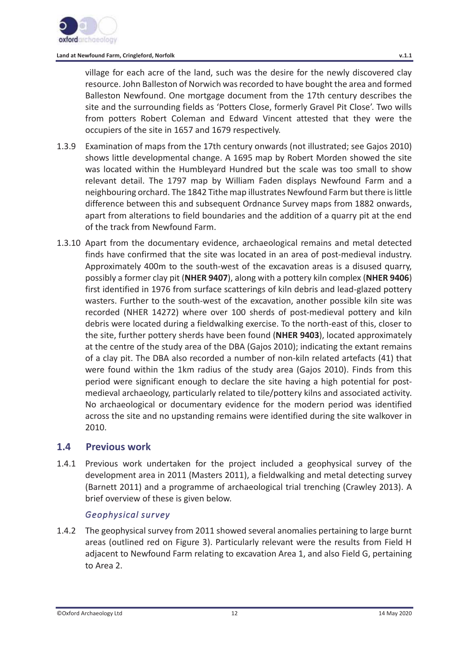village for each acre of the land, such was the desire for the newly discovered clay resource. John Balleston of Norwich was recorded to have bought the area and formed Balleston Newfound. One mortgage document from the 17th century describes the site and the surrounding fields as 'Potters Close, formerly Gravel Pit Close'. Two wills from potters Robert Coleman and Edward Vincent attested that they were the occupiers of the site in 1657 and 1679 respectively.

- 1.3.9 Examination of maps from the 17th century onwards (not illustrated; see Gajos 2010) shows little developmental change. A 1695 map by Robert Morden showed the site was located within the Humbleyard Hundred but the scale was too small to show relevant detail. The 1797 map by William Faden displays Newfound Farm and a neighbouring orchard. The 1842 Tithe map illustrates Newfound Farm but there is little difference between this and subsequent Ordnance Survey maps from 1882 onwards, apart from alterations to field boundaries and the addition of a quarry pit at the end of the track from Newfound Farm.
- 1.3.10 Apart from the documentary evidence, archaeological remains and metal detected finds have confirmed that the site was located in an area of post-medieval industry. Approximately 400m to the south-west of the excavation areas is a disused quarry, possibly a former clay pit (**NHER 9407**), along with a pottery kiln complex (**NHER 9406**) first identified in 1976 from surface scatterings of kiln debris and lead-glazed pottery wasters. Further to the south-west of the excavation, another possible kiln site was recorded (NHER 14272) where over 100 sherds of post-medieval pottery and kiln debris were located during a fieldwalking exercise. To the north-east of this, closer to the site, further pottery sherds have been found (**NHER 9403**), located approximately at the centre of the study area of the DBA (Gajos 2010); indicating the extant remains of a clay pit. The DBA also recorded a number of non-kiln related artefacts (41) that were found within the 1km radius of the study area (Gajos 2010). Finds from this period were significant enough to declare the site having a high potential for postmedieval archaeology, particularly related to tile/pottery kilns and associated activity. No archaeological or documentary evidence for the modern period was identified across the site and no upstanding remains were identified during the site walkover in 2010.

#### **1.4 Previous work**

1.4.1 Previous work undertaken for the project included a geophysical survey of the development area in 2011 (Masters 2011), a fieldwalking and metal detecting survey (Barnett 2011) and a programme of archaeological trial trenching (Crawley 2013). A brief overview of these is given below.

#### *Geophysical survey*

1.4.2 The geophysical survey from 2011 showed several anomalies pertaining to large burnt areas (outlined red on Figure 3). Particularly relevant were the results from Field H adjacent to Newfound Farm relating to excavation Area 1, and also Field G, pertaining to Area 2.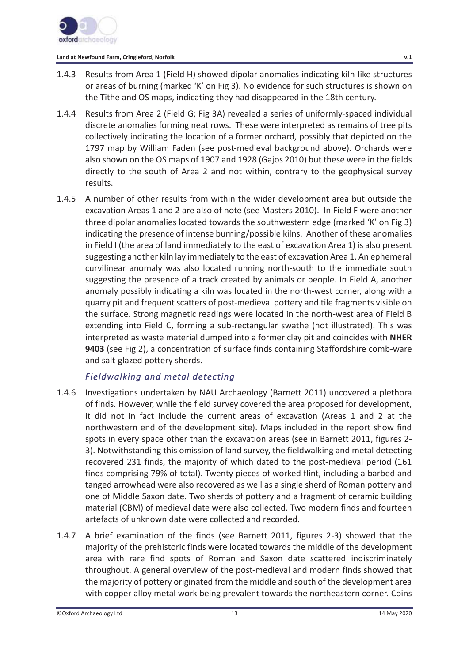

- 1.4.3 Results from Area 1 (Field H) showed dipolar anomalies indicating kiln-like structures or areas of burning (marked 'K' on Fig 3). No evidence for such structures is shown on the Tithe and OS maps, indicating they had disappeared in the 18th century.
- 1.4.4 Results from Area 2 (Field G; Fig 3A) revealed a series of uniformly-spaced individual discrete anomalies forming neat rows. These were interpreted as remains of tree pits collectively indicating the location of a former orchard, possibly that depicted on the 1797 map by William Faden (see post-medieval background above). Orchards were also shown on the OS maps of 1907 and 1928 (Gajos 2010) but these were in the fields directly to the south of Area 2 and not within, contrary to the geophysical survey results.
- 1.4.5 A number of other results from within the wider development area but outside the excavation Areas 1 and 2 are also of note (see Masters 2010). In Field F were another three dipolar anomalies located towards the southwestern edge (marked 'K' on Fig 3) indicating the presence of intense burning/possible kilns. Another of these anomalies in Field I (the area of land immediately to the east of excavation Area 1) is also present suggesting another kiln lay immediately to the east of excavation Area 1. An ephemeral curvilinear anomaly was also located running north-south to the immediate south suggesting the presence of a track created by animals or people. In Field A, another anomaly possibly indicating a kiln was located in the north-west corner, along with a quarry pit and frequent scatters of post-medieval pottery and tile fragments visible on the surface. Strong magnetic readings were located in the north-west area of Field B extending into Field C, forming a sub-rectangular swathe (not illustrated). This was interpreted as waste material dumped into a former clay pit and coincides with **NHER 9403** (see Fig 2), a concentration of surface finds containing Staffordshire comb-ware and salt-glazed pottery sherds.

# *Fieldwalking and metal detecting*

- 1.4.6 Investigations undertaken by NAU Archaeology (Barnett 2011) uncovered a plethora of finds. However, while the field survey covered the area proposed for development, it did not in fact include the current areas of excavation (Areas 1 and 2 at the northwestern end of the development site). Maps included in the report show find spots in every space other than the excavation areas (see in Barnett 2011, figures 2- 3). Notwithstanding this omission of land survey, the fieldwalking and metal detecting recovered 231 finds, the majority of which dated to the post-medieval period (161 finds comprising 79% of total). Twenty pieces of worked flint, including a barbed and tanged arrowhead were also recovered as well as a single sherd of Roman pottery and one of Middle Saxon date. Two sherds of pottery and a fragment of ceramic building material (CBM) of medieval date were also collected. Two modern finds and fourteen artefacts of unknown date were collected and recorded.
- 1.4.7 A brief examination of the finds (see Barnett 2011, figures 2-3) showed that the majority of the prehistoric finds were located towards the middle of the development area with rare find spots of Roman and Saxon date scattered indiscriminately throughout. A general overview of the post-medieval and modern finds showed that the majority of pottery originated from the middle and south of the development area with copper alloy metal work being prevalent towards the northeastern corner. Coins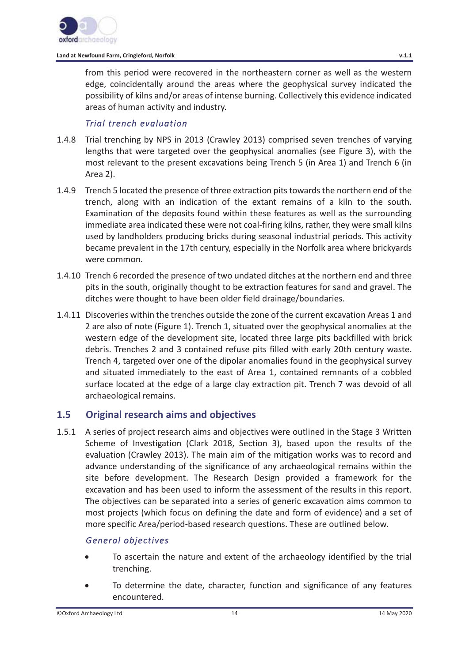from this period were recovered in the northeastern corner as well as the western edge, coincidentally around the areas where the geophysical survey indicated the possibility of kilns and/or areas of intense burning. Collectively this evidence indicated areas of human activity and industry.

#### *Trial trench evaluation*

- 1.4.8 Trial trenching by NPS in 2013 (Crawley 2013) comprised seven trenches of varying lengths that were targeted over the geophysical anomalies (see Figure 3), with the most relevant to the present excavations being Trench 5 (in Area 1) and Trench 6 (in Area 2).
- 1.4.9 Trench 5 located the presence of three extraction pits towards the northern end of the trench, along with an indication of the extant remains of a kiln to the south. Examination of the deposits found within these features as well as the surrounding immediate area indicated these were not coal-firing kilns, rather, they were small kilns used by landholders producing bricks during seasonal industrial periods. This activity became prevalent in the 17th century, especially in the Norfolk area where brickyards were common.
- 1.4.10 Trench 6 recorded the presence of two undated ditches at the northern end and three pits in the south, originally thought to be extraction features for sand and gravel. The ditches were thought to have been older field drainage/boundaries.
- 1.4.11 Discoveries within the trenches outside the zone of the current excavation Areas 1 and 2 are also of note (Figure 1). Trench 1, situated over the geophysical anomalies at the western edge of the development site, located three large pits backfilled with brick debris. Trenches 2 and 3 contained refuse pits filled with early 20th century waste. Trench 4, targeted over one of the dipolar anomalies found in the geophysical survey and situated immediately to the east of Area 1, contained remnants of a cobbled surface located at the edge of a large clay extraction pit. Trench 7 was devoid of all archaeological remains.

#### **1.5 Original research aims and objectives**

1.5.1 A series of project research aims and objectives were outlined in the Stage 3 Written Scheme of Investigation (Clark 2018, Section 3), based upon the results of the evaluation (Crawley 2013). The main aim of the mitigation works was to record and advance understanding of the significance of any archaeological remains within the site before development. The Research Design provided a framework for the excavation and has been used to inform the assessment of the results in this report. The objectives can be separated into a series of generic excavation aims common to most projects (which focus on defining the date and form of evidence) and a set of more specific Area/period-based research questions. These are outlined below.

#### *General objectives*

- To ascertain the nature and extent of the archaeology identified by the trial trenching.
- To determine the date, character, function and significance of any features encountered.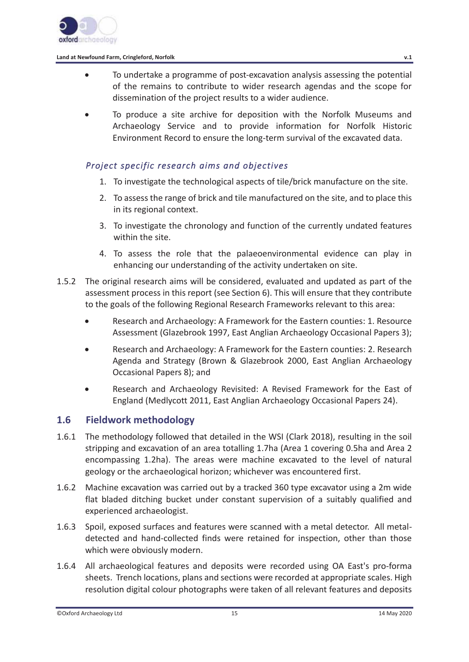

- To undertake a programme of post-excavation analysis assessing the potential of the remains to contribute to wider research agendas and the scope for dissemination of the project results to a wider audience.
- To produce a site archive for deposition with the Norfolk Museums and Archaeology Service and to provide information for Norfolk Historic Environment Record to ensure the long-term survival of the excavated data.

### *Project specific research aims and objectives*

- 1. To investigate the technological aspects of tile/brick manufacture on the site.
- 2. To assess the range of brick and tile manufactured on the site, and to place this in its regional context.
- 3. To investigate the chronology and function of the currently undated features within the site.
- 4. To assess the role that the palaeoenvironmental evidence can play in enhancing our understanding of the activity undertaken on site.
- 1.5.2 The original research aims will be considered, evaluated and updated as part of the assessment process in this report (see Section 6). This will ensure that they contribute to the goals of the following Regional Research Frameworks relevant to this area:
	- **•** Research and Archaeology: A Framework for the Eastern counties: 1. Resource Assessment (Glazebrook 1997, East Anglian Archaeology Occasional Papers 3);
	- Research and Archaeology: A Framework for the Eastern counties: 2. Research Agenda and Strategy (Brown & Glazebrook 2000, East Anglian Archaeology Occasional Papers 8); and
	- x Research and Archaeology Revisited: A Revised Framework for the East of England (Medlycott 2011, East Anglian Archaeology Occasional Papers 24).

# **1.6 Fieldwork methodology**

- 1.6.1 The methodology followed that detailed in the WSI (Clark 2018), resulting in the soil stripping and excavation of an area totalling 1.7ha (Area 1 covering 0.5ha and Area 2 encompassing 1.2ha). The areas were machine excavated to the level of natural geology or the archaeological horizon; whichever was encountered first.
- 1.6.2 Machine excavation was carried out by a tracked 360 type excavator using a 2m wide flat bladed ditching bucket under constant supervision of a suitably qualified and experienced archaeologist.
- 1.6.3 Spoil, exposed surfaces and features were scanned with a metal detector. All metaldetected and hand-collected finds were retained for inspection, other than those which were obviously modern.
- 1.6.4 All archaeological features and deposits were recorded using OA East's pro-forma sheets. Trench locations, plans and sections were recorded at appropriate scales. High resolution digital colour photographs were taken of all relevant features and deposits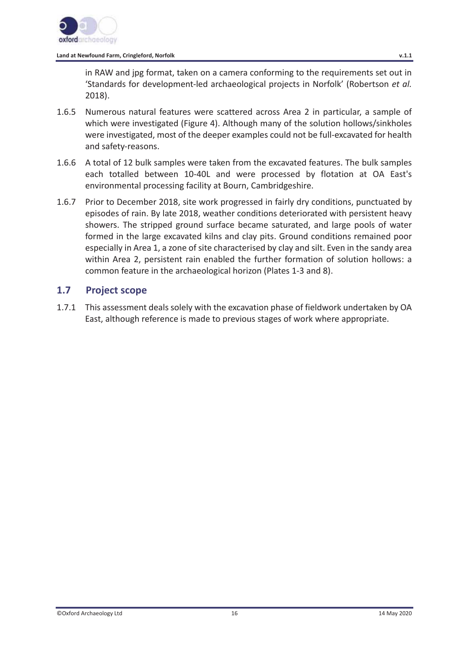

in RAW and jpg format, taken on a camera conforming to the requirements set out in 'Standards for development-led archaeological projects in Norfolk' (Robertson *et al.* 2018).

- 1.6.5 Numerous natural features were scattered across Area 2 in particular, a sample of which were investigated (Figure 4). Although many of the solution hollows/sinkholes were investigated, most of the deeper examples could not be full-excavated for health and safety-reasons.
- 1.6.6 A total of 12 bulk samples were taken from the excavated features. The bulk samples each totalled between 10-40L and were processed by flotation at OA East's environmental processing facility at Bourn, Cambridgeshire.
- 1.6.7 Prior to December 2018, site work progressed in fairly dry conditions, punctuated by episodes of rain. By late 2018, weather conditions deteriorated with persistent heavy showers. The stripped ground surface became saturated, and large pools of water formed in the large excavated kilns and clay pits. Ground conditions remained poor especially in Area 1, a zone of site characterised by clay and silt. Even in the sandy area within Area 2, persistent rain enabled the further formation of solution hollows: a common feature in the archaeological horizon (Plates 1-3 and 8).

### **1.7 Project scope**

1.7.1 This assessment deals solely with the excavation phase of fieldwork undertaken by OA East, although reference is made to previous stages of work where appropriate.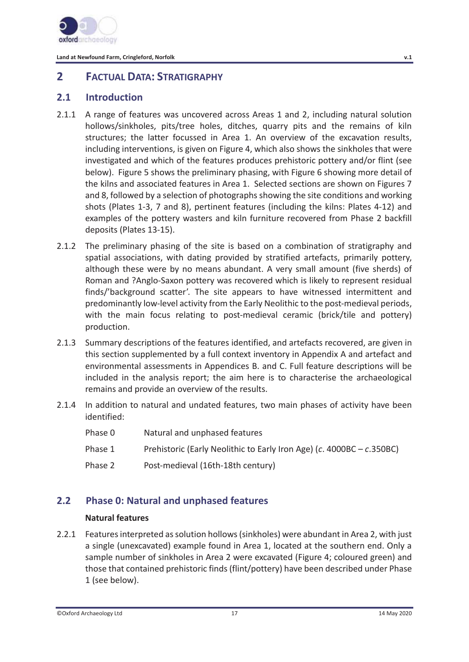

# **2 FACTUAL DATA: STRATIGRAPHY**

# **2.1 Introduction**

- 2.1.1 A range of features was uncovered across Areas 1 and 2, including natural solution hollows/sinkholes, pits/tree holes, ditches, quarry pits and the remains of kiln structures; the latter focussed in Area 1. An overview of the excavation results, including interventions, is given on Figure 4, which also shows the sinkholes that were investigated and which of the features produces prehistoric pottery and/or flint (see below). Figure 5 shows the preliminary phasing, with Figure 6 showing more detail of the kilns and associated features in Area 1. Selected sections are shown on Figures 7 and 8, followed by a selection of photographs showing the site conditions and working shots (Plates 1-3, 7 and 8), pertinent features (including the kilns: Plates 4-12) and examples of the pottery wasters and kiln furniture recovered from Phase 2 backfill deposits (Plates 13-15).
- 2.1.2 The preliminary phasing of the site is based on a combination of stratigraphy and spatial associations, with dating provided by stratified artefacts, primarily pottery, although these were by no means abundant. A very small amount (five sherds) of Roman and ?Anglo-Saxon pottery was recovered which is likely to represent residual finds/'background scatter'. The site appears to have witnessed intermittent and predominantly low-level activity from the Early Neolithic to the post-medieval periods, with the main focus relating to post-medieval ceramic (brick/tile and pottery) production.
- 2.1.3 Summary descriptions of the features identified, and artefacts recovered, are given in this section supplemented by a full context inventory in Appendix A and artefact and environmental assessments in Appendices B. and C. Full feature descriptions will be included in the analysis report; the aim here is to characterise the archaeological remains and provide an overview of the results.
- 2.1.4 In addition to natural and undated features, two main phases of activity have been identified:

| Phase 0 | Natural and unphased features                                            |
|---------|--------------------------------------------------------------------------|
| Phase 1 | Prehistoric (Early Neolithic to Early Iron Age) (c. $4000BC - c.350BC$ ) |
| Phase 2 | Post-medieval (16th-18th century)                                        |

# **2.2 Phase 0: Natural and unphased features**

#### **Natural features**

2.2.1 Features interpreted as solution hollows (sinkholes) were abundant in Area 2, with just a single (unexcavated) example found in Area 1, located at the southern end. Only a sample number of sinkholes in Area 2 were excavated (Figure 4; coloured green) and those that contained prehistoric finds (flint/pottery) have been described under Phase 1 (see below).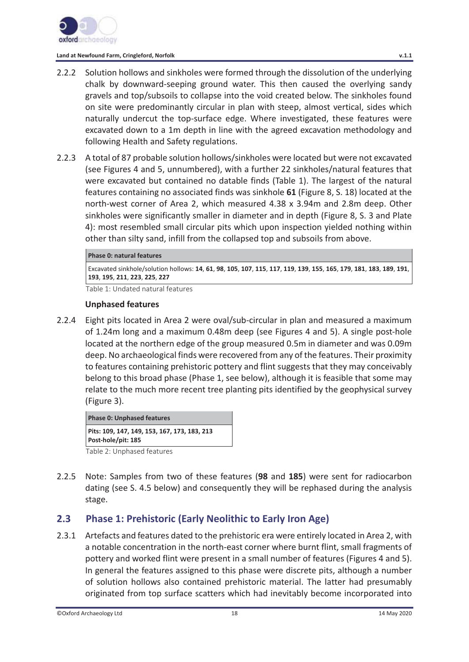

- 2.2.2 Solution hollows and sinkholes were formed through the dissolution of the underlying chalk by downward-seeping ground water. This then caused the overlying sandy gravels and top/subsoils to collapse into the void created below. The sinkholes found on site were predominantly circular in plan with steep, almost vertical, sides which naturally undercut the top-surface edge. Where investigated, these features were excavated down to a 1m depth in line with the agreed excavation methodology and following Health and Safety regulations.
- 2.2.3 A total of 87 probable solution hollows/sinkholes were located but were not excavated (see Figures 4 and 5, unnumbered), with a further 22 sinkholes/natural features that were excavated but contained no datable finds (Table 1). The largest of the natural features containing no associated finds was sinkhole **61** (Figure 8, S. 18) located at the north-west corner of Area 2, which measured 4.38 x 3.94m and 2.8m deep. Other sinkholes were significantly smaller in diameter and in depth (Figure 8, S. 3 and Plate 4): most resembled small circular pits which upon inspection yielded nothing within other than silty sand, infill from the collapsed top and subsoils from above.

#### **Phase 0: natural features**

Excavated sinkhole/solution hollows: 14, 61, 98, 105, 107, 115, 117, 119, 139, 155, 165, 179, 181, 183, 189, 191, **193**, **195**, **211**, **223**, **225**, **227** 

Table 1: Undated natural features

#### **Unphased features**

2.2.4 Eight pits located in Area 2 were oval/sub-circular in plan and measured a maximum of 1.24m long and a maximum 0.48m deep (see Figures 4 and 5). A single post-hole located at the northern edge of the group measured 0.5m in diameter and was 0.09m deep. No archaeological finds were recovered from any of the features. Their proximity to features containing prehistoric pottery and flint suggests that they may conceivably belong to this broad phase (Phase 1, see below), although it is feasible that some may relate to the much more recent tree planting pits identified by the geophysical survey (Figure 3).

**Phase 0: Unphased features Pits: 109, 147, 149, 153, 167, 173, 183, 213 Post-hole/pit: 185** 

Table 2: Unphased features

2.2.5 Note: Samples from two of these features (**98** and **185**) were sent for radiocarbon dating (see S. 4.5 below) and consequently they will be rephased during the analysis stage.

# **2.3 Phase 1: Prehistoric (Early Neolithic to Early Iron Age)**

2.3.1 Artefacts and features dated to the prehistoric era were entirely located in Area 2, with a notable concentration in the north-east corner where burnt flint, small fragments of pottery and worked flint were present in a small number of features (Figures 4 and 5). In general the features assigned to this phase were discrete pits, although a number of solution hollows also contained prehistoric material. The latter had presumably originated from top surface scatters which had inevitably become incorporated into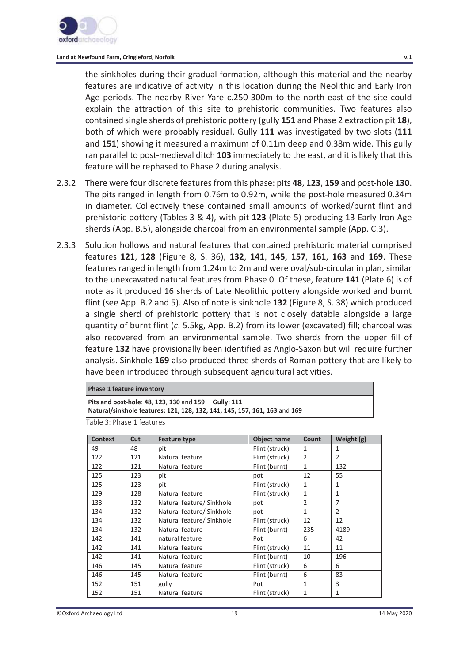

the sinkholes during their gradual formation, although this material and the nearby features are indicative of activity in this location during the Neolithic and Early Iron Age periods. The nearby River Yare c.250-300m to the north-east of the site could explain the attraction of this site to prehistoric communities. Two features also contained single sherds of prehistoric pottery (gully **151** and Phase 2 extraction pit **18**), both of which were probably residual. Gully **111** was investigated by two slots (**111** and **151**) showing it measured a maximum of 0.11m deep and 0.38m wide. This gully ran parallel to post-medieval ditch **103** immediately to the east, and it is likely that this feature will be rephased to Phase 2 during analysis.

- 2.3.2 There were four discrete features from this phase: pits **48**, **123**, **159** and post-hole **130**. The pits ranged in length from 0.76m to 0.92m, while the post-hole measured 0.34m in diameter. Collectively these contained small amounts of worked/burnt flint and prehistoric pottery (Tables 3 & 4), with pit **123** (Plate 5) producing 13 Early Iron Age sherds (App. B.5), alongside charcoal from an environmental sample (App. C.3).
- 2.3.3 Solution hollows and natural features that contained prehistoric material comprised features **121**, **128** (Figure 8, S. 36), **132**, **141**, **145**, **157**, **161**, **163** and **169**. These features ranged in length from 1.24m to 2m and were oval/sub-circular in plan, similar to the unexcavated natural features from Phase 0. Of these, feature **141** (Plate 6) is of note as it produced 16 sherds of Late Neolithic pottery alongside worked and burnt flint (see App. B.2 and 5). Also of note is sinkhole **132** (Figure 8, S. 38) which produced a single sherd of prehistoric pottery that is not closely datable alongside a large quantity of burnt flint (*c*. 5.5kg, App. B.2) from its lower (excavated) fill; charcoal was also recovered from an environmental sample. Two sherds from the upper fill of feature **132** have provisionally been identified as Anglo-Saxon but will require further analysis. Sinkhole **169** also produced three sherds of Roman pottery that are likely to have been introduced through subsequent agricultural activities.

#### **Phase 1 feature inventory**

**Pits and post-hole**: **48**, **123**, **130** and **159 Gully: 111**

**Natural/sinkhole features: 121, 128, 132, 141, 145, 157, 161, 163** and **169** 

Table 3: Phase 1 features

| <b>Context</b> | Cut | <b>Feature type</b>       | <b>Object name</b> | Count          | Weight (g)     |
|----------------|-----|---------------------------|--------------------|----------------|----------------|
| 49             | 48  | pit                       | Flint (struck)     | 1              | 1              |
| 122            | 121 | Natural feature           | Flint (struck)     | $\overline{2}$ | $\overline{2}$ |
| 122            | 121 | Natural feature           | Flint (burnt)      | $\mathbf{1}$   | 132            |
| 125            | 123 | pit                       | pot                | 12             | 55             |
| 125            | 123 | pit                       | Flint (struck)     | 1              | 1              |
| 129            | 128 | Natural feature           | Flint (struck)     | 1              | 1              |
| 133            | 132 | Natural feature/ Sinkhole | pot                | $\overline{2}$ | 7              |
| 134            | 132 | Natural feature/ Sinkhole | pot                | 1              | $\overline{2}$ |
| 134            | 132 | Natural feature/ Sinkhole | Flint (struck)     | 12             | 12             |
| 134            | 132 | Natural feature           | Flint (burnt)      | 235            | 4189           |
| 142            | 141 | natural feature           | Pot                | 6              | 42             |
| 142            | 141 | Natural feature           | Flint (struck)     | 11             | 11             |
| 142            | 141 | Natural feature           | Flint (burnt)      | 10             | 196            |
| 146            | 145 | Natural feature           | Flint (struck)     | 6              | 6              |
| 146            | 145 | Natural feature           | Flint (burnt)      | 6              | 83             |
| 152            | 151 | gully                     | Pot                | 1              | 3              |
| 152            | 151 | Natural feature           | Flint (struck)     | 1              | 1              |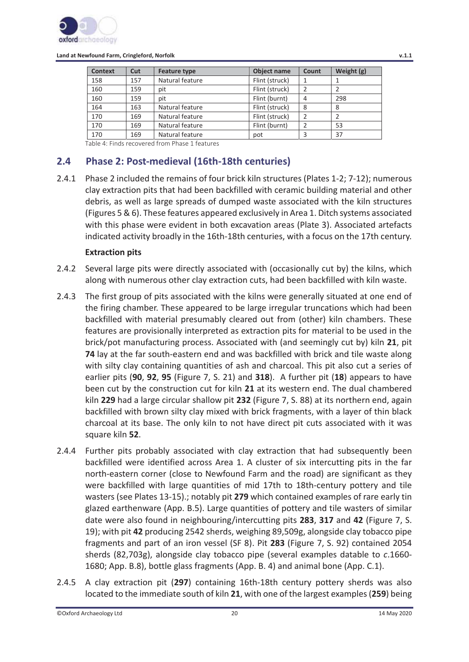

| <b>Context</b> | Cut | Object name<br><b>Feature type</b> |                | Count | Weight (g) |
|----------------|-----|------------------------------------|----------------|-------|------------|
| 158            | 157 | Natural feature                    | Flint (struck) |       |            |
| 160            | 159 | pit                                | Flint (struck) |       |            |
| 160            | 159 | pit                                | Flint (burnt)  | 4     | 298        |
| 164            | 163 | Natural feature                    | Flint (struck) | 8     | 8          |
| 170            | 169 | Natural feature                    | Flint (struck) |       |            |
| 170            | 169 | Natural feature                    | Flint (burnt)  |       | 53         |
| 170            | 169 | Natural feature                    | pot            |       | 37         |

Table 4: Finds recovered from Phase 1 features

# **2.4 Phase 2: Post-medieval (16th-18th centuries)**

2.4.1 Phase 2 included the remains of four brick kiln structures (Plates 1-2; 7-12); numerous clay extraction pits that had been backfilled with ceramic building material and other debris, as well as large spreads of dumped waste associated with the kiln structures (Figures 5 & 6). These features appeared exclusively in Area 1. Ditch systems associated with this phase were evident in both excavation areas (Plate 3). Associated artefacts indicated activity broadly in the 16th-18th centuries, with a focus on the 17th century.

#### **Extraction pits**

- 2.4.2 Several large pits were directly associated with (occasionally cut by) the kilns, which along with numerous other clay extraction cuts, had been backfilled with kiln waste.
- 2.4.3 The first group of pits associated with the kilns were generally situated at one end of the firing chamber. These appeared to be large irregular truncations which had been backfilled with material presumably cleared out from (other) kiln chambers. These features are provisionally interpreted as extraction pits for material to be used in the brick/pot manufacturing process. Associated with (and seemingly cut by) kiln **21**, pit **74** lay at the far south-eastern end and was backfilled with brick and tile waste along with silty clay containing quantities of ash and charcoal. This pit also cut a series of earlier pits (**90**, **92**, **95** (Figure 7, S. 21) and **318**). A further pit (**18**) appears to have been cut by the construction cut for kiln **21** at its western end. The dual chambered kiln **229** had a large circular shallow pit **232** (Figure 7, S. 88) at its northern end, again backfilled with brown silty clay mixed with brick fragments, with a layer of thin black charcoal at its base. The only kiln to not have direct pit cuts associated with it was square kiln **52**.
- 2.4.4 Further pits probably associated with clay extraction that had subsequently been backfilled were identified across Area 1. A cluster of six intercutting pits in the far north-eastern corner (close to Newfound Farm and the road) are significant as they were backfilled with large quantities of mid 17th to 18th-century pottery and tile wasters (see Plates 13-15).; notably pit **279** which contained examples of rare early tin glazed earthenware (App. B.5). Large quantities of pottery and tile wasters of similar date were also found in neighbouring/intercutting pits **283**, **317** and **42** (Figure 7, S. 19); with pit **42** producing 2542 sherds, weighing 89,509g, alongside clay tobacco pipe fragments and part of an iron vessel (SF 8). Pit **283** (Figure 7, S. 92) contained 2054 sherds (82,703g), alongside clay tobacco pipe (several examples datable to *c*.1660- 1680; App. B.8), bottle glass fragments (App. B. 4) and animal bone (App. C.1).
- 2.4.5 A clay extraction pit (**297**) containing 16th-18th century pottery sherds was also located to the immediate south of kiln **21**, with one of the largest examples (**259**) being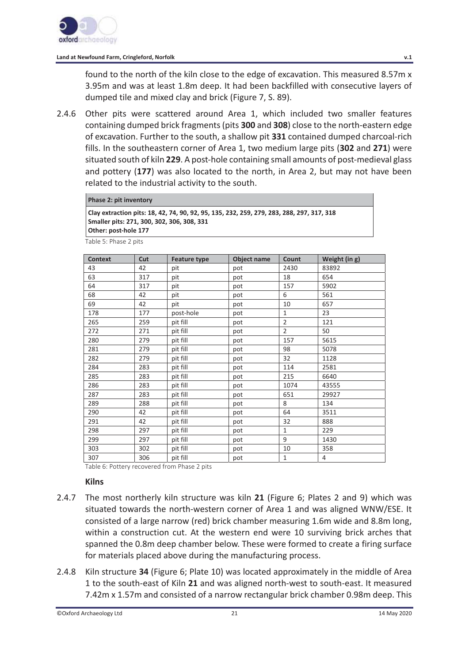

found to the north of the kiln close to the edge of excavation. This measured 8.57m x 3.95m and was at least 1.8m deep. It had been backfilled with consecutive layers of dumped tile and mixed clay and brick (Figure 7, S. 89).

2.4.6 Other pits were scattered around Area 1, which included two smaller features containing dumped brick fragments (pits **300** and **308**) close to the north-eastern edge of excavation. Further to the south, a shallow pit **331** contained dumped charcoal-rich fills. In the southeastern corner of Area 1, two medium large pits (**302** and **271**) were situated south of kiln **229**. A post-hole containing small amounts of post-medieval glass and pottery (**177**) was also located to the north, in Area 2, but may not have been related to the industrial activity to the south.

#### **Phase 2: pit inventory**

**Clay extraction pits: 18, 42, 74, 90, 92, 95, 135, 232, 259, 279, 283, 288, 297, 317, 318 Smaller pits: 271, 300, 302, 306, 308, 331 Other: post-hole 177** 

Table 5: Phase 2 pits

| <b>Context</b> | Cut | <b>Feature type</b> | Object name | Count          | Weight (in g) |
|----------------|-----|---------------------|-------------|----------------|---------------|
| 43             | 42  | pit                 | pot         | 2430           | 83892         |
| 63             | 317 | pit                 | pot         | 18             | 654           |
| 64             | 317 | pit                 | pot         | 157            | 5902          |
| 68             | 42  | pit                 | pot         | 6              | 561           |
| 69             | 42  | pit                 | pot         | 10             | 657           |
| 178            | 177 | post-hole           | pot         | $\mathbf{1}$   | 23            |
| 265            | 259 | pit fill            | pot         | $\overline{2}$ | 121           |
| 272            | 271 | pit fill            | pot         | $\overline{2}$ | 50            |
| 280            | 279 | pit fill            | pot         | 157            | 5615          |
| 281            | 279 | pit fill            | pot         | 98             | 5078          |
| 282            | 279 | pit fill            | pot         | 32             | 1128          |
| 284            | 283 | pit fill            | pot         | 114            | 2581          |
| 285            | 283 | pit fill            | pot         | 215            | 6640          |
| 286            | 283 | pit fill            | pot         | 1074           | 43555         |
| 287            | 283 | pit fill            | pot         | 651            | 29927         |
| 289            | 288 | pit fill            | pot         | 8              | 134           |
| 290            | 42  | pit fill            | pot         | 64             | 3511          |
| 291            | 42  | pit fill            | pot         | 32             | 888           |
| 298            | 297 | pit fill            | pot         | $\mathbf{1}$   | 229           |
| 299            | 297 | pit fill            | pot         | 9              | 1430          |
| 303            | 302 | pit fill            | pot         | 10             | 358           |
| 307            | 306 | pit fill            | pot         | $\mathbf 1$    | 4             |

Table 6: Pottery recovered from Phase 2 pits

#### **Kilns**

- 2.4.7 The most northerly kiln structure was kiln **21** (Figure 6; Plates 2 and 9) which was situated towards the north-western corner of Area 1 and was aligned WNW/ESE. It consisted of a large narrow (red) brick chamber measuring 1.6m wide and 8.8m long, within a construction cut. At the western end were 10 surviving brick arches that spanned the 0.8m deep chamber below. These were formed to create a firing surface for materials placed above during the manufacturing process.
- 2.4.8 Kiln structure **34** (Figure 6; Plate 10) was located approximately in the middle of Area 1 to the south-east of Kiln **21** and was aligned north-west to south-east. It measured 7.42m x 1.57m and consisted of a narrow rectangular brick chamber 0.98m deep. This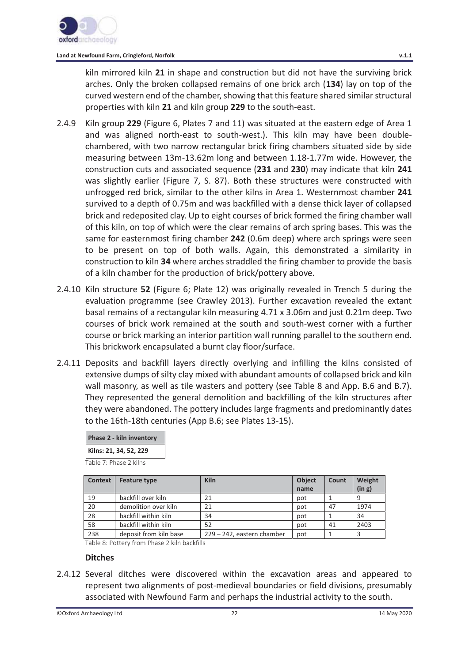kiln mirrored kiln **21** in shape and construction but did not have the surviving brick arches. Only the broken collapsed remains of one brick arch (**134**) lay on top of the curved western end of the chamber, showing that this feature shared similar structural properties with kiln **21** and kiln group **229** to the south-east.

- 2.4.9 Kiln group **229** (Figure 6, Plates 7 and 11) was situated at the eastern edge of Area 1 and was aligned north-east to south-west.). This kiln may have been doublechambered, with two narrow rectangular brick firing chambers situated side by side measuring between 13m-13.62m long and between 1.18-1.77m wide. However, the construction cuts and associated sequence (**231** and **230**) may indicate that kiln **241** was slightly earlier (Figure 7, S. 87). Both these structures were constructed with unfrogged red brick, similar to the other kilns in Area 1. Westernmost chamber **241** survived to a depth of 0.75m and was backfilled with a dense thick layer of collapsed brick and redeposited clay. Up to eight courses of brick formed the firing chamber wall of this kiln, on top of which were the clear remains of arch spring bases. This was the same for easternmost firing chamber **242** (0.6m deep) where arch springs were seen to be present on top of both walls. Again, this demonstrated a similarity in construction to kiln **34** where arches straddled the firing chamber to provide the basis of a kiln chamber for the production of brick/pottery above.
- 2.4.10 Kiln structure **52** (Figure 6; Plate 12) was originally revealed in Trench 5 during the evaluation programme (see Crawley 2013). Further excavation revealed the extant basal remains of a rectangular kiln measuring 4.71 x 3.06m and just 0.21m deep. Two courses of brick work remained at the south and south-west corner with a further course or brick marking an interior partition wall running parallel to the southern end. This brickwork encapsulated a burnt clay floor/surface.
- 2.4.11 Deposits and backfill layers directly overlying and infilling the kilns consisted of extensive dumps of silty clay mixed with abundant amounts of collapsed brick and kiln wall masonry, as well as tile wasters and pottery (see Table 8 and App. B.6 and B.7). They represented the general demolition and backfilling of the kiln structures after they were abandoned. The pottery includes large fragments and predominantly dates to the 16th-18th centuries (App B.6; see Plates 13-15).

| Phase 2 - kiln inventory |
|--------------------------|
| Kilns: 21, 34, 52, 229   |

Table 7: Phase 2 kilns

| <b>Context</b> | <b>Feature type</b>    | <b>Kiln</b>                | <b>Object</b> | Count | Weight |
|----------------|------------------------|----------------------------|---------------|-------|--------|
|                |                        |                            | name          |       | (in g) |
| 19             | backfill over kiln     | 21                         | pot           |       | 9      |
| 20             | demolition over kiln   | 21                         | pot           | 47    | 1974   |
| 28             | backfill within kiln   | 34                         | pot           |       | 34     |
| 58             | backfill within kiln   | 52                         | pot           | 41    | 2403   |
| 238            | deposit from kiln base | 229 - 242, eastern chamber | pot           |       |        |

Table 8: Pottery from Phase 2 kiln backfills

#### **Ditches**

2.4.12 Several ditches were discovered within the excavation areas and appeared to represent two alignments of post-medieval boundaries or field divisions, presumably associated with Newfound Farm and perhaps the industrial activity to the south.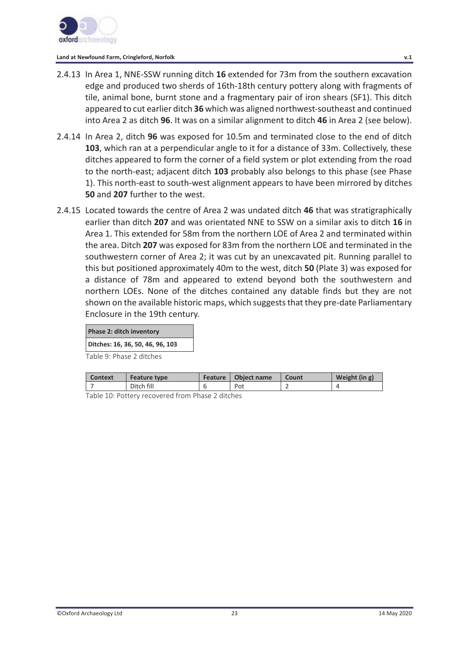

- 2.4.13 In Area 1, NNE-SSW running ditch **16** extended for 73m from the southern excavation edge and produced two sherds of 16th-18th century pottery along with fragments of tile, animal bone, burnt stone and a fragmentary pair of iron shears (SF1). This ditch appeared to cut earlier ditch **36** which was aligned northwest-southeast and continued into Area 2 as ditch **96**. It was on a similar alignment to ditch **46** in Area 2 (see below).
- 2.4.14 In Area 2, ditch **96** was exposed for 10.5m and terminated close to the end of ditch **103**, which ran at a perpendicular angle to it for a distance of 33m. Collectively, these ditches appeared to form the corner of a field system or plot extending from the road to the north-east; adjacent ditch **103** probably also belongs to this phase (see Phase 1). This north-east to south-west alignment appears to have been mirrored by ditches **50** and **207** further to the west.
- 2.4.15 Located towards the centre of Area 2 was undated ditch **46** that was stratigraphically earlier than ditch **207** and was orientated NNE to SSW on a similar axis to ditch **16** in Area 1. This extended for 58m from the northern LOE of Area 2 and terminated within the area. Ditch **207** was exposed for 83m from the northern LOE and terminated in the southwestern corner of Area 2; it was cut by an unexcavated pit. Running parallel to this but positioned approximately 40m to the west, ditch **50** (Plate 3) was exposed for a distance of 78m and appeared to extend beyond both the southwestern and northern LOEs. None of the ditches contained any datable finds but they are not shown on the available historic maps, which suggests that they pre-date Parliamentary Enclosure in the 19th century.

|  | Phase 2: ditch inventory |
|--|--------------------------|
|  |                          |

**Ditches: 16, 36, 50, 46, 96, 103** 

Table 9: Phase 2 ditches

| <b>Context</b>                                                                                                                                                                                                                                                                                                                                                                                                                                                                                   | <b>Feature type</b> | Feature  | Object name | Count | Weight (in g) |
|--------------------------------------------------------------------------------------------------------------------------------------------------------------------------------------------------------------------------------------------------------------------------------------------------------------------------------------------------------------------------------------------------------------------------------------------------------------------------------------------------|---------------------|----------|-------------|-------|---------------|
|                                                                                                                                                                                                                                                                                                                                                                                                                                                                                                  | Ditch fill          |          | Pot         |       |               |
| $-11$<br>$\begin{array}{ccccccccccccccccc} \multicolumn{4}{c}{} & \multicolumn{4}{c}{} & \multicolumn{4}{c}{} & \multicolumn{4}{c}{} & \multicolumn{4}{c}{} & \multicolumn{4}{c}{} & \multicolumn{4}{c}{} & \multicolumn{4}{c}{} & \multicolumn{4}{c}{} & \multicolumn{4}{c}{} & \multicolumn{4}{c}{} & \multicolumn{4}{c}{} & \multicolumn{4}{c}{} & \multicolumn{4}{c}{} & \multicolumn{4}{c}{} & \multicolumn{4}{c}{} & \multicolumn{4}{c}{} & \multicolumn{4}{c}{} & \multicolumn{4}{c}{} &$ | $\sim$ 1            | $\cdots$ |             |       |               |

Table 10: Pottery recovered from Phase 2 ditches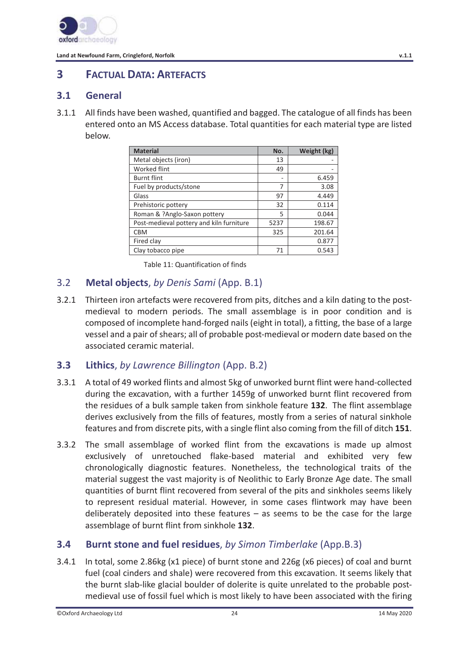

# **3 FACTUAL DATA: ARTEFACTS**

### **3.1 General**

3.1.1 All finds have been washed, quantified and bagged. The catalogue of all finds has been entered onto an MS Access database. Total quantities for each material type are listed below.

| <b>Material</b>                          | No.  | Weight (kg) |
|------------------------------------------|------|-------------|
| Metal objects (iron)                     | 13   |             |
| <b>Worked flint</b>                      | 49   |             |
| <b>Burnt flint</b>                       |      | 6.459       |
| Fuel by products/stone                   | 7    | 3.08        |
| Glass                                    | 97   | 4.449       |
| Prehistoric pottery                      | 32   | 0.114       |
| Roman & ?Anglo-Saxon pottery             | 5    | 0.044       |
| Post-medieval pottery and kiln furniture | 5237 | 198.67      |
| <b>CBM</b>                               | 325  | 201.64      |
| Fired clay                               |      | 0.877       |
| Clay tobacco pipe                        | 71   | 0.543       |

Table 11: Quantification of finds

# 3.2 **Metal objects**, *by Denis Sami* (App. B.1)

3.2.1 Thirteen iron artefacts were recovered from pits, ditches and a kiln dating to the postmedieval to modern periods. The small assemblage is in poor condition and is composed of incomplete hand-forged nails (eight in total), a fitting, the base of a large vessel and a pair of shears; all of probable post-medieval or modern date based on the associated ceramic material.

### **3.3 Lithics**, *by Lawrence Billington* (App. B.2)

- 3.3.1 A total of 49 worked flints and almost 5kg of unworked burnt flint were hand-collected during the excavation, with a further 1459g of unworked burnt flint recovered from the residues of a bulk sample taken from sinkhole feature **132**. The flint assemblage derives exclusively from the fills of features, mostly from a series of natural sinkhole features and from discrete pits, with a single flint also coming from the fill of ditch **151**.
- 3.3.2 The small assemblage of worked flint from the excavations is made up almost exclusively of unretouched flake-based material and exhibited very few chronologically diagnostic features. Nonetheless, the technological traits of the material suggest the vast majority is of Neolithic to Early Bronze Age date. The small quantities of burnt flint recovered from several of the pits and sinkholes seems likely to represent residual material. However, in some cases flintwork may have been deliberately deposited into these features – as seems to be the case for the large assemblage of burnt flint from sinkhole **132**.

# **3.4 Burnt stone and fuel residues**, *by Simon Timberlake* (App.B.3)

3.4.1 In total, some 2.86kg (x1 piece) of burnt stone and 226g (x6 pieces) of coal and burnt fuel (coal cinders and shale) were recovered from this excavation. It seems likely that the burnt slab-like glacial boulder of dolerite is quite unrelated to the probable postmedieval use of fossil fuel which is most likely to have been associated with the firing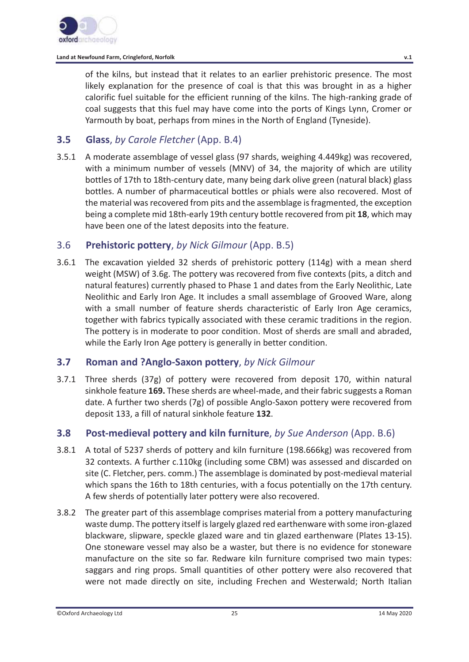

of the kilns, but instead that it relates to an earlier prehistoric presence. The most likely explanation for the presence of coal is that this was brought in as a higher calorific fuel suitable for the efficient running of the kilns. The high-ranking grade of coal suggests that this fuel may have come into the ports of Kings Lynn, Cromer or Yarmouth by boat, perhaps from mines in the North of England (Tyneside).

# **3.5 Glass**, *by Carole Fletcher* (App. B.4)

3.5.1 A moderate assemblage of vessel glass (97 shards, weighing 4.449kg) was recovered, with a minimum number of vessels (MNV) of 34, the majority of which are utility bottles of 17th to 18th-century date, many being dark olive green (natural black) glass bottles. A number of pharmaceutical bottles or phials were also recovered. Most of the material was recovered from pits and the assemblage is fragmented, the exception being a complete mid 18th-early 19th century bottle recovered from pit **18**, which may have been one of the latest deposits into the feature.

# 3.6 **Prehistoric pottery**, *by Nick Gilmour* (App. B.5)

3.6.1 The excavation yielded 32 sherds of prehistoric pottery (114g) with a mean sherd weight (MSW) of 3.6g. The pottery was recovered from five contexts (pits, a ditch and natural features) currently phased to Phase 1 and dates from the Early Neolithic, Late Neolithic and Early Iron Age. It includes a small assemblage of Grooved Ware, along with a small number of feature sherds characteristic of Early Iron Age ceramics, together with fabrics typically associated with these ceramic traditions in the region. The pottery is in moderate to poor condition. Most of sherds are small and abraded, while the Early Iron Age pottery is generally in better condition.

# **3.7 Roman and ?Anglo-Saxon pottery**, *by Nick Gilmour*

3.7.1 Three sherds (37g) of pottery were recovered from deposit 170, within natural sinkhole feature **169.** These sherds are wheel-made, and their fabric suggests a Roman date. A further two sherds (7g) of possible Anglo-Saxon pottery were recovered from deposit 133, a fill of natural sinkhole feature **132**.

# **3.8 Post-medieval pottery and kiln furniture**, *by Sue Anderson* (App. B.6)

- 3.8.1 A total of 5237 sherds of pottery and kiln furniture (198.666kg) was recovered from 32 contexts. A further c.110kg (including some CBM) was assessed and discarded on site (C. Fletcher, pers. comm.) The assemblage is dominated by post-medieval material which spans the 16th to 18th centuries, with a focus potentially on the 17th century. A few sherds of potentially later pottery were also recovered.
- 3.8.2 The greater part of this assemblage comprises material from a pottery manufacturing waste dump. The pottery itself is largely glazed red earthenware with some iron-glazed blackware, slipware, speckle glazed ware and tin glazed earthenware (Plates 13-15). One stoneware vessel may also be a waster, but there is no evidence for stoneware manufacture on the site so far. Redware kiln furniture comprised two main types: saggars and ring props. Small quantities of other pottery were also recovered that were not made directly on site, including Frechen and Westerwald; North Italian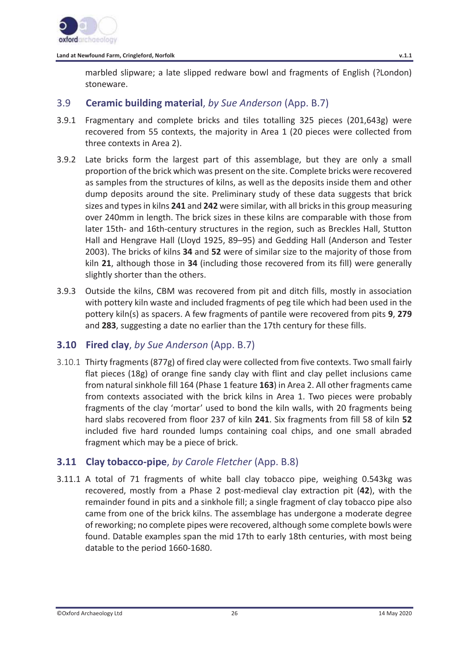

marbled slipware; a late slipped redware bowl and fragments of English (?London) stoneware.

# 3.9 **Ceramic building material**, *by Sue Anderson* (App. B.7)

- 3.9.1 Fragmentary and complete bricks and tiles totalling 325 pieces (201,643g) were recovered from 55 contexts, the majority in Area 1 (20 pieces were collected from three contexts in Area 2).
- 3.9.2 Late bricks form the largest part of this assemblage, but they are only a small proportion of the brick which was present on the site. Complete bricks were recovered as samples from the structures of kilns, as well as the deposits inside them and other dump deposits around the site. Preliminary study of these data suggests that brick sizes and types in kilns **241** and **242** were similar, with all bricks in this group measuring over 240mm in length. The brick sizes in these kilns are comparable with those from later 15th- and 16th-century structures in the region, such as Breckles Hall, Stutton Hall and Hengrave Hall (Lloyd 1925, 89–95) and Gedding Hall (Anderson and Tester 2003). The bricks of kilns **34** and **52** were of similar size to the majority of those from kiln **21**, although those in **34** (including those recovered from its fill) were generally slightly shorter than the others.
- 3.9.3 Outside the kilns, CBM was recovered from pit and ditch fills, mostly in association with pottery kiln waste and included fragments of peg tile which had been used in the pottery kiln(s) as spacers. A few fragments of pantile were recovered from pits **9**, **279** and **283**, suggesting a date no earlier than the 17th century for these fills.

# **3.10 Fired clay**, *by Sue Anderson* (App. B.7)

3.10.1 Thirty fragments (877g) of fired clay were collected from five contexts. Two small fairly flat pieces (18g) of orange fine sandy clay with flint and clay pellet inclusions came from natural sinkhole fill 164 (Phase 1 feature **163**) in Area 2. All other fragments came from contexts associated with the brick kilns in Area 1. Two pieces were probably fragments of the clay 'mortar' used to bond the kiln walls, with 20 fragments being hard slabs recovered from floor 237 of kiln **241**. Six fragments from fill 58 of kiln **52** included five hard rounded lumps containing coal chips, and one small abraded fragment which may be a piece of brick.

# **3.11 Clay tobacco-pipe**, *by Carole Fletcher* (App. B.8)

3.11.1 A total of 71 fragments of white ball clay tobacco pipe, weighing 0.543kg was recovered, mostly from a Phase 2 post-medieval clay extraction pit (**42**), with the remainder found in pits and a sinkhole fill; a single fragment of clay tobacco pipe also came from one of the brick kilns. The assemblage has undergone a moderate degree of reworking; no complete pipes were recovered, although some complete bowls were found. Datable examples span the mid 17th to early 18th centuries, with most being datable to the period 1660-1680.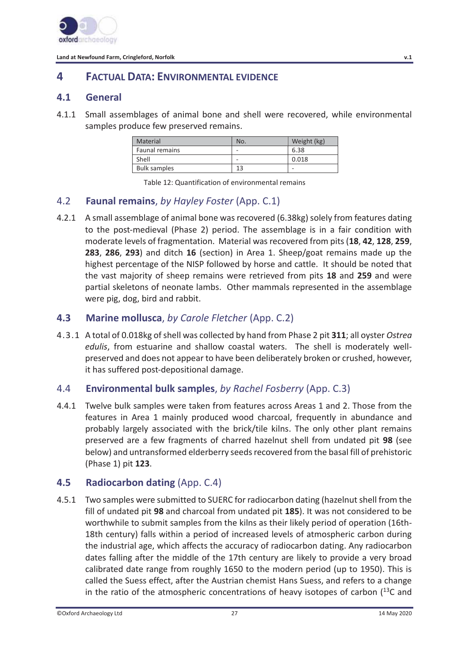

# **4 FACTUAL DATA: ENVIRONMENTAL EVIDENCE**

### **4.1 General**

4.1.1 Small assemblages of animal bone and shell were recovered, while environmental samples produce few preserved remains.

| Material              | No.                      | Weight (kg) |
|-----------------------|--------------------------|-------------|
| <b>Faunal remains</b> | $\overline{\phantom{a}}$ | 6.38        |
| Shell                 | $\overline{\phantom{a}}$ | 0.018       |
| <b>Bulk samples</b>   | 1 ጋ                      |             |

Table 12: Quantification of environmental remains

# 4.2 **Faunal remains**, *by Hayley Foster* (App. C.1)

4.2.1 A small assemblage of animal bone was recovered (6.38kg) solely from features dating to the post-medieval (Phase 2) period. The assemblage is in a fair condition with moderate levels of fragmentation. Material was recovered from pits (**18**, **42**, **128**, **259**, **283**, **286**, **293**) and ditch **16** (section) in Area 1. Sheep/goat remains made up the highest percentage of the NISP followed by horse and cattle. It should be noted that the vast majority of sheep remains were retrieved from pits **18** and **259** and were partial skeletons of neonate lambs. Other mammals represented in the assemblage were pig, dog, bird and rabbit.

# **4.3 Marine mollusca**, *by Carole Fletcher* (App. C.2)

4.3.1 A total of 0.018kg of shell was collected by hand from Phase 2 pit **311**; all oyster *Ostrea edulis*, from estuarine and shallow coastal waters. The shell is moderately wellpreserved and does not appear to have been deliberately broken or crushed, however, it has suffered post-depositional damage.

# 4.4 **Environmental bulk samples**, *by Rachel Fosberry* (App. C.3)

4.4.1 Twelve bulk samples were taken from features across Areas 1 and 2. Those from the features in Area 1 mainly produced wood charcoal, frequently in abundance and probably largely associated with the brick/tile kilns. The only other plant remains preserved are a few fragments of charred hazelnut shell from undated pit **98** (see below) and untransformed elderberry seeds recovered from the basal fill of prehistoric (Phase 1) pit **123**.

# **4.5 • Radiocarbon dating (App. C.4)**

4.5.1 Two samples were submitted to SUERC for radiocarbon dating (hazelnut shell from the fill of undated pit **98** and charcoal from undated pit **185**). It was not considered to be worthwhile to submit samples from the kilns as their likely period of operation (16th-18th century) falls within a period of increased levels of atmospheric carbon during the industrial age, which affects the accuracy of radiocarbon dating. Any radiocarbon dates falling after the middle of the 17th century are likely to provide a very broad calibrated date range from roughly 1650 to the modern period (up to 1950). This is called the Suess effect, after the Austrian chemist Hans Suess, and refers to a change in the ratio of the atmospheric concentrations of heavy isotopes of carbon  $(^{13}C)$  and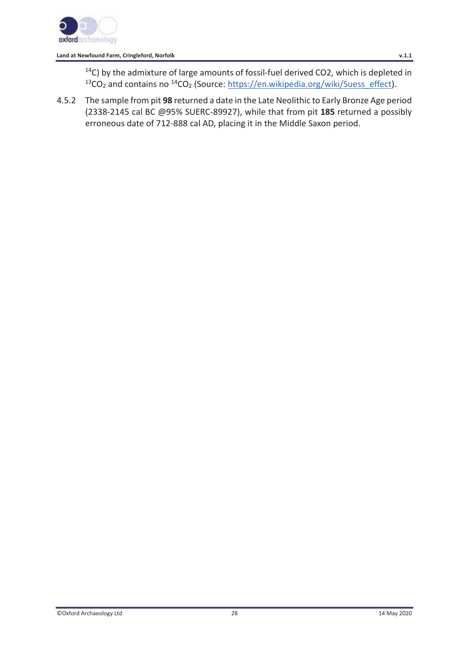

14C) by the admixture of large amounts of fossil-fuel derived CO2, which is depleted in  $13CO<sub>2</sub>$  and contains no  $14CO<sub>2</sub>$  (Source: https://en.wikipedia.org/wiki/Suess\_effect).

4.5.2 The sample from pit **98** returned a date in the Late Neolithic to Early Bronze Age period (2338-2145 cal BC @95% SUERC-89927), while that from pit **185** returned a possibly erroneous date of 712-888 cal AD, placing it in the Middle Saxon period.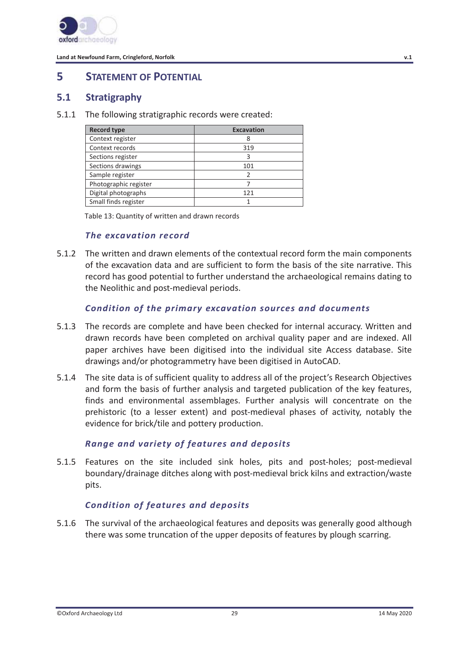

# **5 STATEMENT OF POTENTIAL**

#### **5.1 Stratigraphy**

5.1.1 The following stratigraphic records were created:

| <b>Record type</b>    | <b>Excavation</b> |  |
|-----------------------|-------------------|--|
| Context register      |                   |  |
| Context records       | 319               |  |
| Sections register     |                   |  |
| Sections drawings     | 101               |  |
| Sample register       |                   |  |
| Photographic register |                   |  |
| Digital photographs   | 121               |  |
| Small finds register  |                   |  |

Table 13: Quantity of written and drawn records

#### *The excavation record*

5.1.2 The written and drawn elements of the contextual record form the main components of the excavation data and are sufficient to form the basis of the site narrative. This record has good potential to further understand the archaeological remains dating to the Neolithic and post-medieval periods.

#### *Condition of the primary excavation sources and documents*

- 5.1.3 The records are complete and have been checked for internal accuracy. Written and drawn records have been completed on archival quality paper and are indexed. All paper archives have been digitised into the individual site Access database. Site drawings and/or photogrammetry have been digitised in AutoCAD.
- 5.1.4 The site data is of sufficient quality to address all of the project's Research Objectives and form the basis of further analysis and targeted publication of the key features, finds and environmental assemblages. Further analysis will concentrate on the prehistoric (to a lesser extent) and post-medieval phases of activity, notably the evidence for brick/tile and pottery production.

#### *Range and variety of features and deposits*

5.1.5 Features on the site included sink holes, pits and post-holes; post-medieval boundary/drainage ditches along with post-medieval brick kilns and extraction/waste pits.

#### *Condition of features and deposits*

5.1.6 The survival of the archaeological features and deposits was generally good although there was some truncation of the upper deposits of features by plough scarring.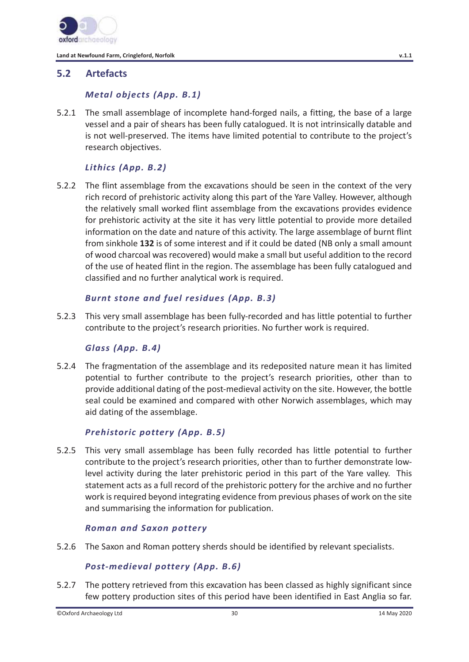

# **5.2 Artefacts**

### *Metal objects (App. B.1)*

5.2.1 The small assemblage of incomplete hand-forged nails, a fitting, the base of a large vessel and a pair of shears has been fully catalogued. It is not intrinsically datable and is not well-preserved. The items have limited potential to contribute to the project's research objectives.

# *Lithics (App. B.2)*

5.2.2 The flint assemblage from the excavations should be seen in the context of the very rich record of prehistoric activity along this part of the Yare Valley. However, although the relatively small worked flint assemblage from the excavations provides evidence for prehistoric activity at the site it has very little potential to provide more detailed information on the date and nature of this activity. The large assemblage of burnt flint from sinkhole **132** is of some interest and if it could be dated (NB only a small amount of wood charcoal was recovered) would make a small but useful addition to the record of the use of heated flint in the region. The assemblage has been fully catalogued and classified and no further analytical work is required.

### *Burnt stone and fuel residues (App. B.3)*

5.2.3 This very small assemblage has been fully-recorded and has little potential to further contribute to the project's research priorities. No further work is required.

#### *Glass (App. B.4)*

5.2.4 The fragmentation of the assemblage and its redeposited nature mean it has limited potential to further contribute to the project's research priorities, other than to provide additional dating of the post-medieval activity on the site. However, the bottle seal could be examined and compared with other Norwich assemblages, which may aid dating of the assemblage.

#### *Prehistoric pottery (App. B.5)*

5.2.5 This very small assemblage has been fully recorded has little potential to further contribute to the project's research priorities, other than to further demonstrate lowlevel activity during the later prehistoric period in this part of the Yare valley. This statement acts as a full record of the prehistoric pottery for the archive and no further work is required beyond integrating evidence from previous phases of work on the site and summarising the information for publication.

#### *Roman and Saxon pottery*

5.2.6 The Saxon and Roman pottery sherds should be identified by relevant specialists.

#### *Post-medieval pottery (App. B.6)*

5.2.7 The pottery retrieved from this excavation has been classed as highly significant since few pottery production sites of this period have been identified in East Anglia so far.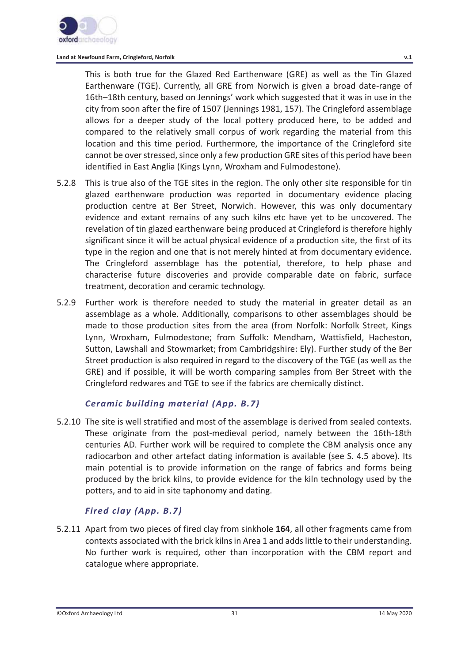

This is both true for the Glazed Red Earthenware (GRE) as well as the Tin Glazed Earthenware (TGE). Currently, all GRE from Norwich is given a broad date-range of 16th–18th century, based on Jennings' work which suggested that it was in use in the city from soon after the fire of 1507 (Jennings 1981, 157). The Cringleford assemblage allows for a deeper study of the local pottery produced here, to be added and compared to the relatively small corpus of work regarding the material from this location and this time period. Furthermore, the importance of the Cringleford site cannot be over stressed, since only a few production GRE sites of this period have been identified in East Anglia (Kings Lynn, Wroxham and Fulmodestone).

- 5.2.8 This is true also of the TGE sites in the region. The only other site responsible for tin glazed earthenware production was reported in documentary evidence placing production centre at Ber Street, Norwich. However, this was only documentary evidence and extant remains of any such kilns etc have yet to be uncovered. The revelation of tin glazed earthenware being produced at Cringleford is therefore highly significant since it will be actual physical evidence of a production site, the first of its type in the region and one that is not merely hinted at from documentary evidence. The Cringleford assemblage has the potential, therefore, to help phase and characterise future discoveries and provide comparable date on fabric, surface treatment, decoration and ceramic technology.
- 5.2.9 Further work is therefore needed to study the material in greater detail as an assemblage as a whole. Additionally, comparisons to other assemblages should be made to those production sites from the area (from Norfolk: Norfolk Street, Kings Lynn, Wroxham, Fulmodestone; from Suffolk: Mendham, Wattisfield, Hacheston, Sutton, Lawshall and Stowmarket; from Cambridgshire: Ely). Further study of the Ber Street production is also required in regard to the discovery of the TGE (as well as the GRE) and if possible, it will be worth comparing samples from Ber Street with the Cringleford redwares and TGE to see if the fabrics are chemically distinct.

# *Ceramic building material (App. B.7)*

5.2.10 The site is well stratified and most of the assemblage is derived from sealed contexts. These originate from the post-medieval period, namely between the 16th-18th centuries AD. Further work will be required to complete the CBM analysis once any radiocarbon and other artefact dating information is available (see S. 4.5 above). Its main potential is to provide information on the range of fabrics and forms being produced by the brick kilns, to provide evidence for the kiln technology used by the potters, and to aid in site taphonomy and dating.

# *Fired clay (App. B.7)*

5.2.11 Apart from two pieces of fired clay from sinkhole **164**, all other fragments came from contexts associated with the brick kilns in Area 1 and adds little to their understanding. No further work is required, other than incorporation with the CBM report and catalogue where appropriate.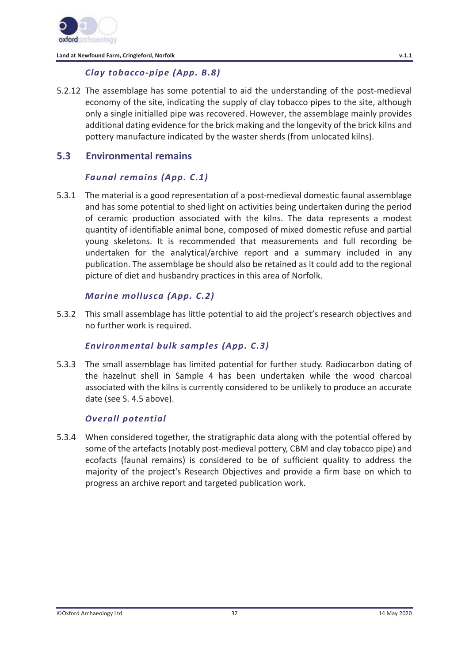

### *Clay tobacco-pipe (App. B.8)*

5.2.12 The assemblage has some potential to aid the understanding of the post-medieval economy of the site, indicating the supply of clay tobacco pipes to the site, although only a single initialled pipe was recovered. However, the assemblage mainly provides additional dating evidence for the brick making and the longevity of the brick kilns and pottery manufacture indicated by the waster sherds (from unlocated kilns).

### **5.3 Environmental remains**

#### *Faunal remains (App. C.1)*

5.3.1 The material is a good representation of a post-medieval domestic faunal assemblage and has some potential to shed light on activities being undertaken during the period of ceramic production associated with the kilns. The data represents a modest quantity of identifiable animal bone, composed of mixed domestic refuse and partial young skeletons. It is recommended that measurements and full recording be undertaken for the analytical/archive report and a summary included in any publication. The assemblage be should also be retained as it could add to the regional picture of diet and husbandry practices in this area of Norfolk.

#### *Marine mollusca (App. C.2)*

5.3.2 This small assemblage has little potential to aid the project's research objectives and no further work is required.

#### *Environmental bulk samples (App. C.3)*

5.3.3 The small assemblage has limited potential for further study. Radiocarbon dating of the hazelnut shell in Sample 4 has been undertaken while the wood charcoal associated with the kilns is currently considered to be unlikely to produce an accurate date (see S. 4.5 above).

#### *Overall potential*

5.3.4 When considered together, the stratigraphic data along with the potential offered by some of the artefacts (notably post-medieval pottery, CBM and clay tobacco pipe) and ecofacts (faunal remains) is considered to be of sufficient quality to address the majority of the project's Research Objectives and provide a firm base on which to progress an archive report and targeted publication work.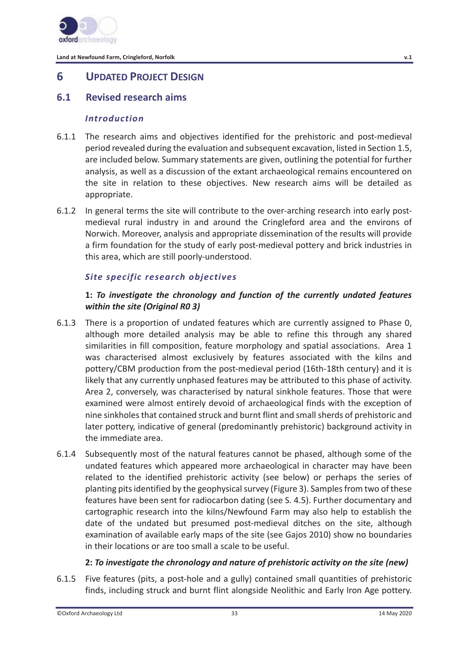

# **6 UPDATED PROJECT DESIGN**

### **6.1 Revised research aims**

#### *Introduction*

- 6.1.1 The research aims and objectives identified for the prehistoric and post-medieval period revealed during the evaluation and subsequent excavation, listed in Section 1.5, are included below. Summary statements are given, outlining the potential for further analysis, as well as a discussion of the extant archaeological remains encountered on the site in relation to these objectives. New research aims will be detailed as appropriate.
- 6.1.2 In general terms the site will contribute to the over-arching research into early postmedieval rural industry in and around the Cringleford area and the environs of Norwich. Moreover, analysis and appropriate dissemination of the results will provide a firm foundation for the study of early post-medieval pottery and brick industries in this area, which are still poorly-understood.

#### *Site specific research objectives*

#### **1:** *To investigate the chronology and function of the currently undated features within the site (Original R0 3)*

- 6.1.3 There is a proportion of undated features which are currently assigned to Phase 0, although more detailed analysis may be able to refine this through any shared similarities in fill composition, feature morphology and spatial associations. Area 1 was characterised almost exclusively by features associated with the kilns and pottery/CBM production from the post-medieval period (16th-18th century) and it is likely that any currently unphased features may be attributed to this phase of activity. Area 2, conversely, was characterised by natural sinkhole features. Those that were examined were almost entirely devoid of archaeological finds with the exception of nine sinkholes that contained struck and burnt flint and small sherds of prehistoric and later pottery, indicative of general (predominantly prehistoric) background activity in the immediate area.
- 6.1.4 Subsequently most of the natural features cannot be phased, although some of the undated features which appeared more archaeological in character may have been related to the identified prehistoric activity (see below) or perhaps the series of planting pits identified by the geophysical survey (Figure 3). Samples from two of these features have been sent for radiocarbon dating (see S. 4.5). Further documentary and cartographic research into the kilns/Newfound Farm may also help to establish the date of the undated but presumed post-medieval ditches on the site, although examination of available early maps of the site (see Gajos 2010) show no boundaries in their locations or are too small a scale to be useful.

#### **2:** *To investigate the chronology and nature of prehistoric activity on the site (new)*

6.1.5 Five features (pits, a post-hole and a gully) contained small quantities of prehistoric finds, including struck and burnt flint alongside Neolithic and Early Iron Age pottery.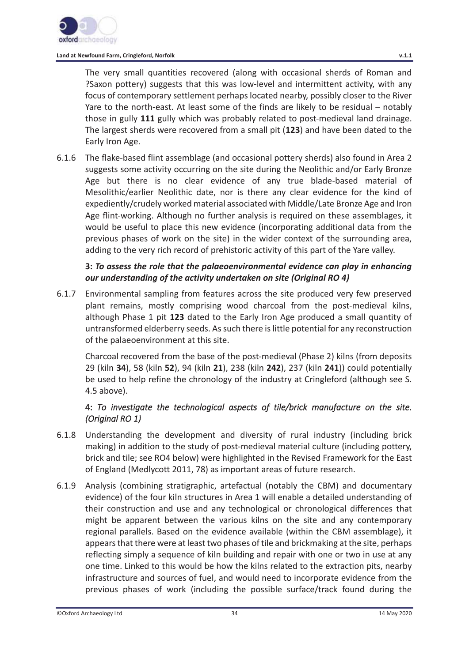The very small quantities recovered (along with occasional sherds of Roman and ?Saxon pottery) suggests that this was low-level and intermittent activity, with any focus of contemporary settlement perhaps located nearby, possibly closer to the River Yare to the north-east. At least some of the finds are likely to be residual – notably those in gully **111** gully which was probably related to post-medieval land drainage. The largest sherds were recovered from a small pit (**123**) and have been dated to the Early Iron Age.

6.1.6 The flake-based flint assemblage (and occasional pottery sherds) also found in Area 2 suggests some activity occurring on the site during the Neolithic and/or Early Bronze Age but there is no clear evidence of any true blade-based material of Mesolithic/earlier Neolithic date, nor is there any clear evidence for the kind of expediently/crudely worked material associated with Middle/Late Bronze Age and Iron Age flint-working. Although no further analysis is required on these assemblages, it would be useful to place this new evidence (incorporating additional data from the previous phases of work on the site) in the wider context of the surrounding area, adding to the very rich record of prehistoric activity of this part of the Yare valley.

### **3:** *To assess the role that the palaeoenvironmental evidence can play in enhancing our understanding of the activity undertaken on site (Original RO 4)*

6.1.7 Environmental sampling from features across the site produced very few preserved plant remains, mostly comprising wood charcoal from the post-medieval kilns, although Phase 1 pit **123** dated to the Early Iron Age produced a small quantity of untransformed elderberry seeds. As such there is little potential for any reconstruction of the palaeoenvironment at this site.

Charcoal recovered from the base of the post-medieval (Phase 2) kilns (from deposits 29 (kiln **34**), 58 (kiln **52**), 94 (kiln **21**), 238 (kiln **242**), 237 (kiln **241**)) could potentially be used to help refine the chronology of the industry at Cringleford (although see S. 4.5 above).

# 4: *To investigate the technological aspects of tile/brick manufacture on the site. (Original RO 1)*

- 6.1.8 Understanding the development and diversity of rural industry (including brick making) in addition to the study of post-medieval material culture (including pottery, brick and tile; see RO4 below) were highlighted in the Revised Framework for the East of England (Medlycott 2011, 78) as important areas of future research.
- 6.1.9 Analysis (combining stratigraphic, artefactual (notably the CBM) and documentary evidence) of the four kiln structures in Area 1 will enable a detailed understanding of their construction and use and any technological or chronological differences that might be apparent between the various kilns on the site and any contemporary regional parallels. Based on the evidence available (within the CBM assemblage), it appears that there were at least two phases of tile and brickmaking at the site, perhaps reflecting simply a sequence of kiln building and repair with one or two in use at any one time. Linked to this would be how the kilns related to the extraction pits, nearby infrastructure and sources of fuel, and would need to incorporate evidence from the previous phases of work (including the possible surface/track found during the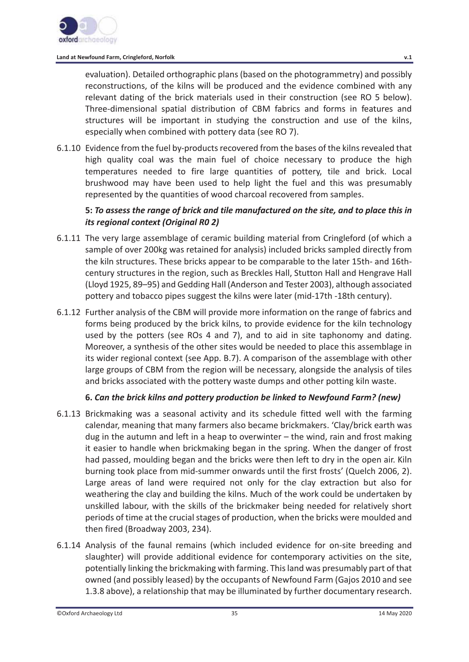evaluation). Detailed orthographic plans (based on the photogrammetry) and possibly reconstructions, of the kilns will be produced and the evidence combined with any relevant dating of the brick materials used in their construction (see RO 5 below). Three-dimensional spatial distribution of CBM fabrics and forms in features and structures will be important in studying the construction and use of the kilns, especially when combined with pottery data (see RO 7).

6.1.10 Evidence from the fuel by-products recovered from the bases of the kilns revealed that high quality coal was the main fuel of choice necessary to produce the high temperatures needed to fire large quantities of pottery, tile and brick. Local brushwood may have been used to help light the fuel and this was presumably represented by the quantities of wood charcoal recovered from samples.

### **5:** *To assess the range of brick and tile manufactured on the site, and to place this in its regional context (Original R0 2)*

- 6.1.11 The very large assemblage of ceramic building material from Cringleford (of which a sample of over 200kg was retained for analysis) included bricks sampled directly from the kiln structures. These bricks appear to be comparable to the later 15th- and 16thcentury structures in the region, such as Breckles Hall, Stutton Hall and Hengrave Hall (Lloyd 1925, 89–95) and Gedding Hall (Anderson and Tester 2003), although associated pottery and tobacco pipes suggest the kilns were later (mid-17th -18th century).
- 6.1.12 Further analysis of the CBM will provide more information on the range of fabrics and forms being produced by the brick kilns, to provide evidence for the kiln technology used by the potters (see ROs 4 and 7), and to aid in site taphonomy and dating. Moreover, a synthesis of the other sites would be needed to place this assemblage in its wider regional context (see App. B.7). A comparison of the assemblage with other large groups of CBM from the region will be necessary, alongside the analysis of tiles and bricks associated with the pottery waste dumps and other potting kiln waste.

#### **6.** *Can the brick kilns and pottery production be linked to Newfound Farm? (new)*

- 6.1.13 Brickmaking was a seasonal activity and its schedule fitted well with the farming calendar, meaning that many farmers also became brickmakers. 'Clay/brick earth was dug in the autumn and left in a heap to overwinter – the wind, rain and frost making it easier to handle when brickmaking began in the spring. When the danger of frost had passed, moulding began and the bricks were then left to dry in the open air. Kiln burning took place from mid-summer onwards until the first frosts' (Quelch 2006, 2). Large areas of land were required not only for the clay extraction but also for weathering the clay and building the kilns. Much of the work could be undertaken by unskilled labour, with the skills of the brickmaker being needed for relatively short periods of time at the crucial stages of production, when the bricks were moulded and then fired (Broadway 2003, 234).
- 6.1.14 Analysis of the faunal remains (which included evidence for on-site breeding and slaughter) will provide additional evidence for contemporary activities on the site, potentially linking the brickmaking with farming. This land was presumably part of that owned (and possibly leased) by the occupants of Newfound Farm (Gajos 2010 and see 1.3.8 above), a relationship that may be illuminated by further documentary research.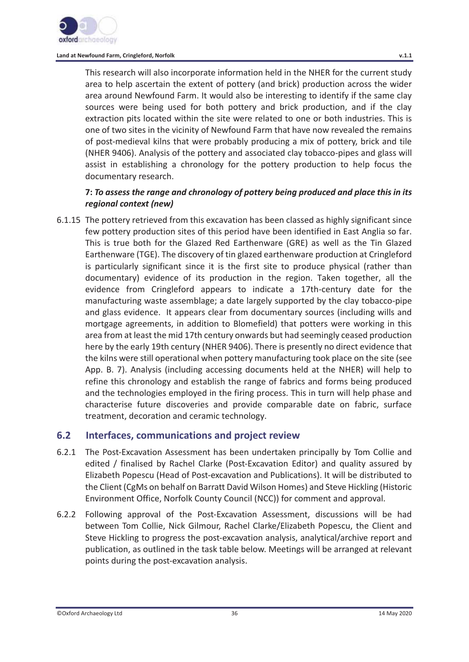

This research will also incorporate information held in the NHER for the current study area to help ascertain the extent of pottery (and brick) production across the wider area around Newfound Farm. It would also be interesting to identify if the same clay sources were being used for both pottery and brick production, and if the clay extraction pits located within the site were related to one or both industries. This is one of two sites in the vicinity of Newfound Farm that have now revealed the remains of post-medieval kilns that were probably producing a mix of pottery, brick and tile (NHER 9406). Analysis of the pottery and associated clay tobacco-pipes and glass will assist in establishing a chronology for the pottery production to help focus the documentary research.

### **7:** *To assess the range and chronology of pottery being produced and place this in its regional context (new)*

6.1.15 The pottery retrieved from this excavation has been classed as highly significant since few pottery production sites of this period have been identified in East Anglia so far. This is true both for the Glazed Red Earthenware (GRE) as well as the Tin Glazed Earthenware (TGE). The discovery of tin glazed earthenware production at Cringleford is particularly significant since it is the first site to produce physical (rather than documentary) evidence of its production in the region. Taken together, all the evidence from Cringleford appears to indicate a 17th-century date for the manufacturing waste assemblage; a date largely supported by the clay tobacco-pipe and glass evidence. It appears clear from documentary sources (including wills and mortgage agreements, in addition to Blomefield) that potters were working in this area from at least the mid 17th century onwards but had seemingly ceased production here by the early 19th century (NHER 9406). There is presently no direct evidence that the kilns were still operational when pottery manufacturing took place on the site (see App. B. 7). Analysis (including accessing documents held at the NHER) will help to refine this chronology and establish the range of fabrics and forms being produced and the technologies employed in the firing process. This in turn will help phase and characterise future discoveries and provide comparable date on fabric, surface treatment, decoration and ceramic technology.

# **6.2 Interfaces, communications and project review**

- 6.2.1 The Post-Excavation Assessment has been undertaken principally by Tom Collie and edited / finalised by Rachel Clarke (Post-Excavation Editor) and quality assured by Elizabeth Popescu (Head of Post-excavation and Publications). It will be distributed to the Client (CgMs on behalf on Barratt David Wilson Homes) and Steve Hickling (Historic Environment Office, Norfolk County Council (NCC)) for comment and approval.
- 6.2.2 Following approval of the Post-Excavation Assessment, discussions will be had between Tom Collie, Nick Gilmour, Rachel Clarke/Elizabeth Popescu, the Client and Steve Hickling to progress the post-excavation analysis, analytical/archive report and publication, as outlined in the task table below. Meetings will be arranged at relevant points during the post-excavation analysis.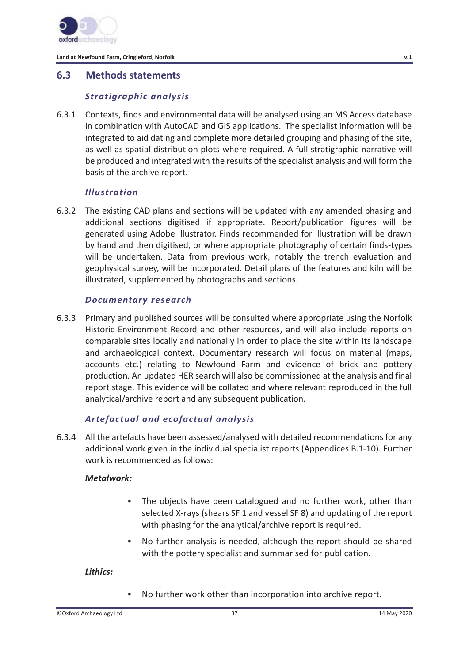

## **6.3 Methods statements**

### *Stratigraphic analysis*

6.3.1 Contexts, finds and environmental data will be analysed using an MS Access database in combination with AutoCAD and GIS applications. The specialist information will be integrated to aid dating and complete more detailed grouping and phasing of the site, as well as spatial distribution plots where required. A full stratigraphic narrative will be produced and integrated with the results of the specialist analysis and will form the basis of the archive report.

## *Illustration*

6.3.2 The existing CAD plans and sections will be updated with any amended phasing and additional sections digitised if appropriate. Report/publication figures will be generated using Adobe Illustrator. Finds recommended for illustration will be drawn by hand and then digitised, or where appropriate photography of certain finds-types will be undertaken. Data from previous work, notably the trench evaluation and geophysical survey, will be incorporated. Detail plans of the features and kiln will be illustrated, supplemented by photographs and sections.

#### *Documentary research*

6.3.3 Primary and published sources will be consulted where appropriate using the Norfolk Historic Environment Record and other resources, and will also include reports on comparable sites locally and nationally in order to place the site within its landscape and archaeological context. Documentary research will focus on material (maps, accounts etc.) relating to Newfound Farm and evidence of brick and pottery production. An updated HER search will also be commissioned at the analysis and final report stage. This evidence will be collated and where relevant reproduced in the full analytical/archive report and any subsequent publication.

### *Artefactual and ecofactual analysis*

6.3.4 All the artefacts have been assessed/analysed with detailed recommendations for any additional work given in the individual specialist reports (Appendices B.1-10). Further work is recommended as follows:

### *Metalwork:*

- The objects have been catalogued and no further work, other than selected X-rays (shears SF 1 and vessel SF 8) and updating of the report with phasing for the analytical/archive report is required.
- No further analysis is needed, although the report should be shared with the pottery specialist and summarised for publication.

*Lithics:* 

No further work other than incorporation into archive report.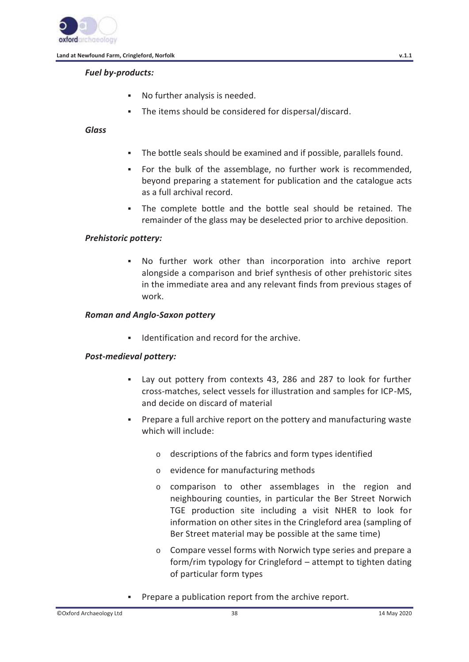

### *Fuel by-products:*

- No further analysis is needed.
- The items should be considered for dispersal/discard.

### *Glass*

- The bottle seals should be examined and if possible, parallels found.
- For the bulk of the assemblage, no further work is recommended, beyond preparing a statement for publication and the catalogue acts as a full archival record.
- The complete bottle and the bottle seal should be retained. The remainder of the glass may be deselected prior to archive deposition.

### *Prehistoric pottery:*

 No further work other than incorporation into archive report alongside a comparison and brief synthesis of other prehistoric sites in the immediate area and any relevant finds from previous stages of work.

#### *Roman and Anglo-Saxon pottery*

Identification and record for the archive.

### *Post-medieval pottery:*

- Lay out pottery from contexts 43, 286 and 287 to look for further cross-matches, select vessels for illustration and samples for ICP-MS, and decide on discard of material
- Prepare a full archive report on the pottery and manufacturing waste which will include:
	- o descriptions of the fabrics and form types identified
	- o evidence for manufacturing methods
	- o comparison to other assemblages in the region and neighbouring counties, in particular the Ber Street Norwich TGE production site including a visit NHER to look for information on other sites in the Cringleford area (sampling of Ber Street material may be possible at the same time)
	- o Compare vessel forms with Norwich type series and prepare a form/rim typology for Cringleford – attempt to tighten dating of particular form types
- **Prepare a publication report from the archive report.**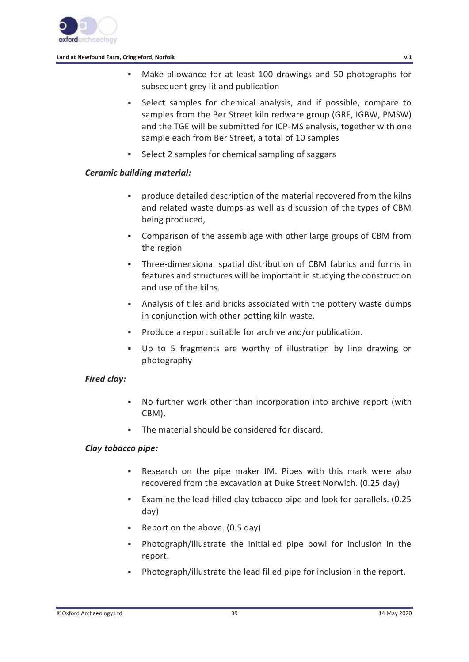

- Make allowance for at least 100 drawings and 50 photographs for subsequent grey lit and publication
- Select samples for chemical analysis, and if possible, compare to samples from the Ber Street kiln redware group (GRE, IGBW, PMSW) and the TGE will be submitted for ICP-MS analysis, together with one sample each from Ber Street, a total of 10 samples
- Select 2 samples for chemical sampling of saggars

## *Ceramic building material:*

- produce detailed description of the material recovered from the kilns and related waste dumps as well as discussion of the types of CBM being produced,
- Comparison of the assemblage with other large groups of CBM from the region
- Three-dimensional spatial distribution of CBM fabrics and forms in features and structures will be important in studying the construction and use of the kilns.
- Analysis of tiles and bricks associated with the pottery waste dumps in conjunction with other potting kiln waste.
- Produce a report suitable for archive and/or publication.
- Up to 5 fragments are worthy of illustration by line drawing or photography

### *Fired clay:*

- No further work other than incorporation into archive report (with CBM).
- The material should be considered for discard.

### *Clay tobacco pipe:*

- Research on the pipe maker IM. Pipes with this mark were also recovered from the excavation at Duke Street Norwich. (0.25 day)
- Examine the lead-filled clay tobacco pipe and look for parallels. (0.25 day)
- Report on the above. (0.5 day)
- Photograph/illustrate the initialled pipe bowl for inclusion in the report.
- Photograph/illustrate the lead filled pipe for inclusion in the report.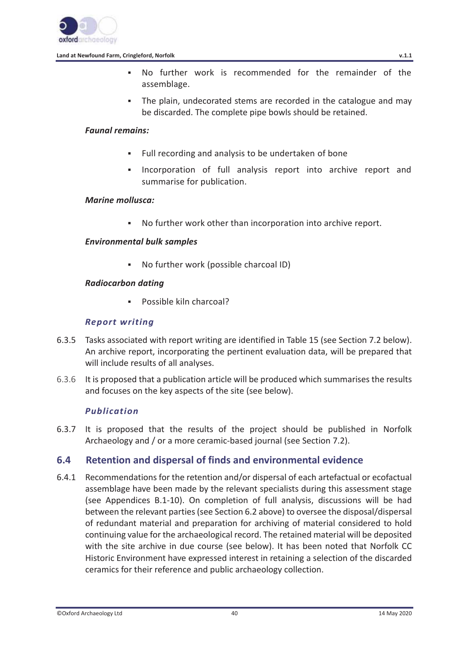

- No further work is recommended for the remainder of the assemblage.
- The plain, undecorated stems are recorded in the catalogue and may be discarded. The complete pipe bowls should be retained.

#### *Faunal remains:*

- Full recording and analysis to be undertaken of bone
- Incorporation of full analysis report into archive report and summarise for publication.

### *Marine mollusca:*

No further work other than incorporation into archive report.

### *Environmental bulk samples*

No further work (possible charcoal ID)

### *Radiocarbon dating*

**Possible kiln charcoal?** 

### *Report writing*

- 6.3.5 Tasks associated with report writing are identified in Table 15 (see Section 7.2 below). An archive report, incorporating the pertinent evaluation data, will be prepared that will include results of all analyses.
- 6.3.6 It is proposed that a publication article will be produced which summarises the results and focuses on the key aspects of the site (see below).

### *Publication*

6.3.7 It is proposed that the results of the project should be published in Norfolk Archaeology and / or a more ceramic-based journal (see Section 7.2).

## **6.4 Retention and dispersal of finds and environmental evidence**

6.4.1 Recommendations for the retention and/or dispersal of each artefactual or ecofactual assemblage have been made by the relevant specialists during this assessment stage (see Appendices B.1-10). On completion of full analysis, discussions will be had between the relevant parties (see Section 6.2 above) to oversee the disposal/dispersal of redundant material and preparation for archiving of material considered to hold continuing value for the archaeological record. The retained material will be deposited with the site archive in due course (see below). It has been noted that Norfolk CC Historic Environment have expressed interest in retaining a selection of the discarded ceramics for their reference and public archaeology collection.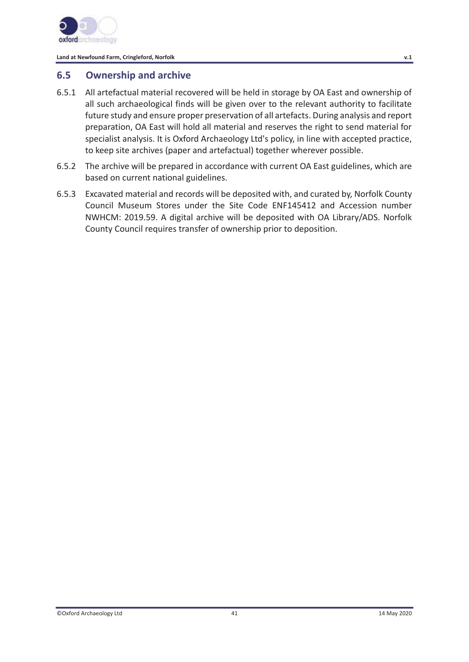

# **6.5 Ownership and archive**

- 6.5.1 All artefactual material recovered will be held in storage by OA East and ownership of all such archaeological finds will be given over to the relevant authority to facilitate future study and ensure proper preservation of all artefacts. During analysis and report preparation, OA East will hold all material and reserves the right to send material for specialist analysis. It is Oxford Archaeology Ltd's policy, in line with accepted practice, to keep site archives (paper and artefactual) together wherever possible.
- 6.5.2 The archive will be prepared in accordance with current OA East guidelines, which are based on current national guidelines.
- 6.5.3 Excavated material and records will be deposited with, and curated by, Norfolk County Council Museum Stores under the Site Code ENF145412 and Accession number NWHCM: 2019.59. A digital archive will be deposited with OA Library/ADS. Norfolk County Council requires transfer of ownership prior to deposition.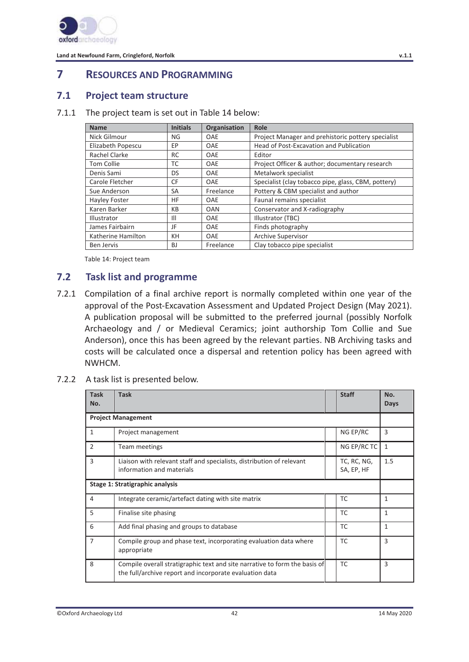

# **7 RESOURCES AND PROGRAMMING**

## **7.1 Project team structure**

#### 7.1.1 The project team is set out in Table 14 below:

| <b>Name</b>          | <b>Initials</b> | <b>Organisation</b> | Role                                                |
|----------------------|-----------------|---------------------|-----------------------------------------------------|
| Nick Gilmour         | NG              | <b>OAE</b>          | Project Manager and prehistoric pottery specialist  |
| Elizabeth Popescu    | EР              | <b>OAE</b>          | Head of Post-Excavation and Publication             |
| Rachel Clarke        | RC              | <b>OAE</b>          | Editor                                              |
| <b>Tom Collie</b>    | ТC              | <b>OAE</b>          | Project Officer & author; documentary research      |
| Denis Sami           | DS              | <b>OAE</b>          | Metalwork specialist                                |
| Carole Fletcher      | CF              | <b>OAE</b>          | Specialist (clay tobacco pipe, glass, CBM, pottery) |
| Sue Anderson         | SА              | Freelance           | Pottery & CBM specialist and author                 |
| <b>Hayley Foster</b> | ΗF              | <b>OAE</b>          | Faunal remains specialist                           |
| Karen Barker         | КB              | OAN                 | Conservator and X-radiography                       |
| Illustrator          | Ш               | <b>OAE</b>          | Illustrator (TBC)                                   |
| James Fairbairn      | JF              | <b>OAE</b>          | Finds photography                                   |
| Katherine Hamilton   | KН              | <b>OAE</b>          | <b>Archive Supervisor</b>                           |
| Ben Jervis           | BJ              | Freelance           | Clay tobacco pipe specialist                        |

Table 14: Project team

## **7.2 Task list and programme**

- 7.2.1 Compilation of a final archive report is normally completed within one year of the approval of the Post-Excavation Assessment and Updated Project Design (May 2021). A publication proposal will be submitted to the preferred journal (possibly Norfolk Archaeology and / or Medieval Ceramics; joint authorship Tom Collie and Sue Anderson), once this has been agreed by the relevant parties. NB Archiving tasks and costs will be calculated once a dispersal and retention policy has been agreed with NWHCM.
- 7.2.2 A task list is presented below.

| <b>Task</b><br>No.              | <b>Task</b>                                                                                                                           |  | <b>Staff</b>              | No.<br>Days  |  |  |  |  |
|---------------------------------|---------------------------------------------------------------------------------------------------------------------------------------|--|---------------------------|--------------|--|--|--|--|
|                                 | <b>Project Management</b>                                                                                                             |  |                           |              |  |  |  |  |
| 1                               | Project management                                                                                                                    |  | NG EP/RC                  | 3            |  |  |  |  |
| 2                               | Team meetings                                                                                                                         |  | NG EP/RC TC               | 1            |  |  |  |  |
| 3                               | Liaison with relevant staff and specialists, distribution of relevant<br>information and materials                                    |  | TC, RC, NG,<br>SA, EP, HF | 1.5          |  |  |  |  |
| Stage 1: Stratigraphic analysis |                                                                                                                                       |  |                           |              |  |  |  |  |
| 4                               | Integrate ceramic/artefact dating with site matrix                                                                                    |  | <b>TC</b>                 | 1            |  |  |  |  |
| 5                               | Finalise site phasing                                                                                                                 |  | TC                        | 1            |  |  |  |  |
| 6                               | Add final phasing and groups to database                                                                                              |  | <b>TC</b>                 | $\mathbf{1}$ |  |  |  |  |
| $\overline{7}$                  | Compile group and phase text, incorporating evaluation data where<br>appropriate                                                      |  | TC                        | 3            |  |  |  |  |
| 8                               | Compile overall stratigraphic text and site narrative to form the basis of<br>the full/archive report and incorporate evaluation data |  | TC                        | 3            |  |  |  |  |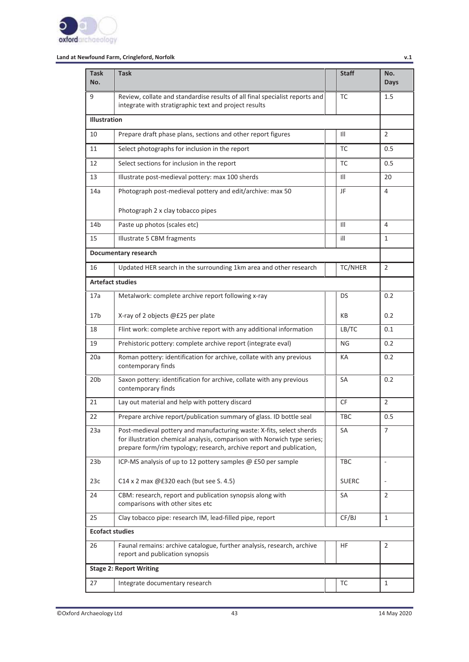

| <b>Task</b><br>No.  | <b>Task</b>                                                                                                                                                                                                              | <b>Staff</b>   | No.<br>Days    |  |  |  |  |  |
|---------------------|--------------------------------------------------------------------------------------------------------------------------------------------------------------------------------------------------------------------------|----------------|----------------|--|--|--|--|--|
| 9                   | Review, collate and standardise results of all final specialist reports and<br>integrate with stratigraphic text and project results                                                                                     | TC             | $1.5\,$        |  |  |  |  |  |
| <b>Illustration</b> |                                                                                                                                                                                                                          |                |                |  |  |  |  |  |
| 10                  | Prepare draft phase plans, sections and other report figures                                                                                                                                                             | $\mathsf{III}$ | $\overline{2}$ |  |  |  |  |  |
| 11                  | Select photographs for inclusion in the report                                                                                                                                                                           | ТC             | 0.5            |  |  |  |  |  |
| 12                  | Select sections for inclusion in the report                                                                                                                                                                              | TC             | 0.5            |  |  |  |  |  |
| 13                  | Illustrate post-medieval pottery: max 100 sherds                                                                                                                                                                         | Ш              | 20             |  |  |  |  |  |
| 14a                 | Photograph post-medieval pottery and edit/archive: max 50                                                                                                                                                                | JF             | 4              |  |  |  |  |  |
|                     | Photograph 2 x clay tobacco pipes                                                                                                                                                                                        |                |                |  |  |  |  |  |
| 14 <sub>b</sub>     | Paste up photos (scales etc)                                                                                                                                                                                             | Ш              | 4              |  |  |  |  |  |
| 15                  | Illustrate 5 CBM fragments                                                                                                                                                                                               | ill            | 1              |  |  |  |  |  |
|                     | Documentary research                                                                                                                                                                                                     |                |                |  |  |  |  |  |
| 16                  | Updated HER search in the surrounding 1km area and other research                                                                                                                                                        | TC/NHER        | 2              |  |  |  |  |  |
|                     | <b>Artefact studies</b>                                                                                                                                                                                                  |                |                |  |  |  |  |  |
| 17a                 | Metalwork: complete archive report following x-ray<br>DS                                                                                                                                                                 |                |                |  |  |  |  |  |
| 17 <sub>b</sub>     | X-ray of 2 objects @£25 per plate                                                                                                                                                                                        | КB             | 0.2            |  |  |  |  |  |
| 18                  | Flint work: complete archive report with any additional information                                                                                                                                                      | LB/TC          | 0.1            |  |  |  |  |  |
| 19                  | Prehistoric pottery: complete archive report (integrate eval)                                                                                                                                                            | ΝG             | 0.2            |  |  |  |  |  |
| 20a                 | Roman pottery: identification for archive, collate with any previous<br>contemporary finds                                                                                                                               | КA             | 0.2            |  |  |  |  |  |
| 20 <sub>b</sub>     | Saxon pottery: identification for archive, collate with any previous<br>contemporary finds                                                                                                                               | SA             | 0.2            |  |  |  |  |  |
| 21                  | Lay out material and help with pottery discard                                                                                                                                                                           | CF             | $\overline{2}$ |  |  |  |  |  |
| 22                  | Prepare archive report/publication summary of glass. ID bottle seal                                                                                                                                                      | TBC            | 0.5            |  |  |  |  |  |
| 23a                 | Post-medieval pottery and manufacturing waste: X-fits, select sherds<br>for illustration chemical analysis, comparison with Norwich type series;<br>prepare form/rim typology; research, archive report and publication, | SA             | 7              |  |  |  |  |  |
| 23 <sub>b</sub>     | ICP-MS analysis of up to 12 pottery samples @ £50 per sample                                                                                                                                                             | <b>TBC</b>     | ÷,             |  |  |  |  |  |
| 23c                 | C14 x 2 max @£320 each (but see S. 4.5)                                                                                                                                                                                  | <b>SUERC</b>   |                |  |  |  |  |  |
| 24                  | CBM: research, report and publication synopsis along with<br>comparisons with other sites etc                                                                                                                            | SA             | 2              |  |  |  |  |  |
| 25                  | Clay tobacco pipe: research IM, lead-filled pipe, report                                                                                                                                                                 | CF/BJ          | $\mathbf{1}$   |  |  |  |  |  |
|                     | <b>Ecofact studies</b>                                                                                                                                                                                                   |                |                |  |  |  |  |  |
| 26                  | Faunal remains: archive catalogue, further analysis, research, archive<br>report and publication synopsis                                                                                                                | ΗF             | 2              |  |  |  |  |  |
|                     | <b>Stage 2: Report Writing</b>                                                                                                                                                                                           |                |                |  |  |  |  |  |
| 27                  | Integrate documentary research                                                                                                                                                                                           | TC             | 1              |  |  |  |  |  |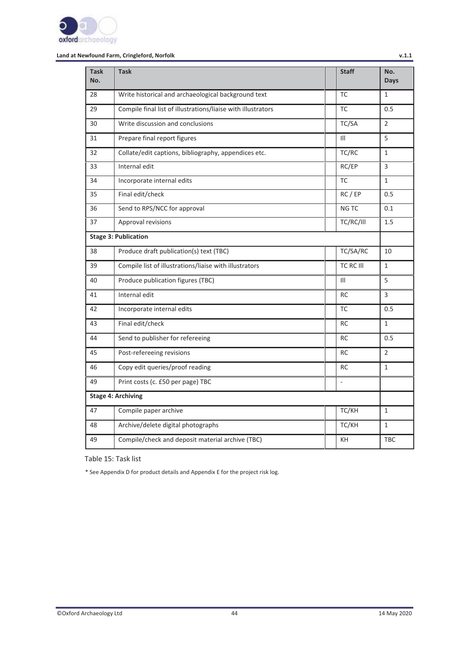

| <b>Task</b><br>No. | <b>Task</b>                                                  | <b>Staff</b>     | No.<br><b>Days</b> |
|--------------------|--------------------------------------------------------------|------------------|--------------------|
| 28                 | Write historical and archaeological background text          | <b>TC</b>        | $\mathbf{1}$       |
| 29                 | Compile final list of illustrations/liaise with illustrators | <b>TC</b>        | 0.5                |
| 30                 | Write discussion and conclusions                             | TC/SA            | $\overline{2}$     |
| 31                 | Prepare final report figures                                 | $\mathbf{III}$   | 5                  |
| 32                 | Collate/edit captions, bibliography, appendices etc.         | TC/RC            | $\mathbf{1}$       |
| 33                 | Internal edit                                                | RC/EP            | 3                  |
| 34                 | Incorporate internal edits                                   | <b>TC</b>        | $\mathbf{1}$       |
| 35                 | Final edit/check                                             | RC / EP          | 0.5                |
| 36                 | Send to RPS/NCC for approval                                 | NG TC            | 0.1                |
| 37                 | Approval revisions                                           | TC/RC/III        | 1.5                |
|                    | <b>Stage 3: Publication</b>                                  |                  |                    |
| 38                 | Produce draft publication(s) text (TBC)                      | TC/SA/RC         | 10                 |
| 39                 | Compile list of illustrations/liaise with illustrators       | <b>TC RC III</b> | 1                  |
| 40                 | Produce publication figures (TBC)                            | $\mathbf{III}$   | 5                  |
| 41                 | Internal edit                                                | <b>RC</b>        | 3                  |
| 42                 | Incorporate internal edits                                   | <b>TC</b>        | 0.5                |
| 43                 | Final edit/check                                             | <b>RC</b>        | $\mathbf{1}$       |
| 44                 | Send to publisher for refereeing                             | <b>RC</b>        | 0.5                |
| 45                 | Post-refereeing revisions                                    | <b>RC</b>        | $\overline{2}$     |
| 46                 | Copy edit queries/proof reading                              | <b>RC</b>        | $\mathbf{1}$       |
| 49                 | Print costs (c. £50 per page) TBC                            | $\omega$         |                    |
|                    | <b>Stage 4: Archiving</b>                                    |                  |                    |
| 47                 | Compile paper archive                                        | TC/KH            | $\mathbf{1}$       |
| 48                 | Archive/delete digital photographs                           | TC/KH            | 1                  |
| 49                 | Compile/check and deposit material archive (TBC)             | KH               | <b>TBC</b>         |

Table 15: Task list

\* See Appendix D for product details and Appendix E for the project risk log.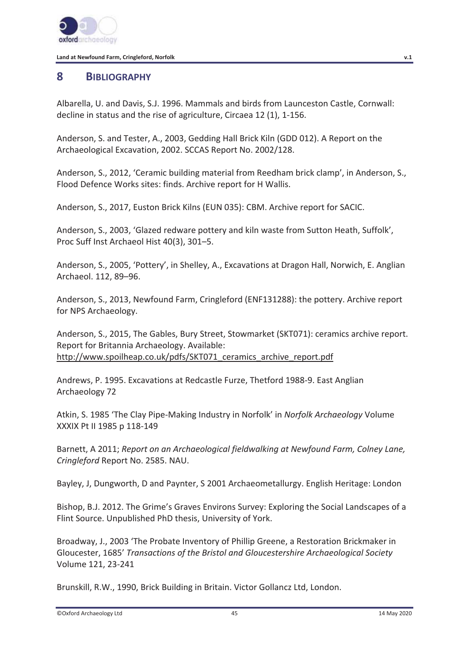

# **8 BIBLIOGRAPHY**

Albarella, U. and Davis, S.J. 1996. Mammals and birds from Launceston Castle, Cornwall: decline in status and the rise of agriculture, Circaea 12 (1), 1-156.

Anderson, S. and Tester, A., 2003, Gedding Hall Brick Kiln (GDD 012). A Report on the Archaeological Excavation, 2002. SCCAS Report No. 2002/128.

Anderson, S., 2012, 'Ceramic building material from Reedham brick clamp', in Anderson, S., Flood Defence Works sites: finds. Archive report for H Wallis.

Anderson, S., 2017, Euston Brick Kilns (EUN 035): CBM. Archive report for SACIC.

Anderson, S., 2003, 'Glazed redware pottery and kiln waste from Sutton Heath, Suffolk', Proc Suff Inst Archaeol Hist 40(3), 301–5.

Anderson, S., 2005, 'Pottery', in Shelley, A., Excavations at Dragon Hall, Norwich, E. Anglian Archaeol. 112, 89–96.

Anderson, S., 2013, Newfound Farm, Cringleford (ENF131288): the pottery. Archive report for NPS Archaeology.

Anderson, S., 2015, The Gables, Bury Street, Stowmarket (SKT071): ceramics archive report. Report for Britannia Archaeology. Available: http://www.spoilheap.co.uk/pdfs/SKT071\_ceramics\_archive\_report.pdf

Andrews, P. 1995. Excavations at Redcastle Furze, Thetford 1988-9. East Anglian Archaeology 72

Atkin, S. 1985 'The Clay Pipe-Making Industry in Norfolk' in *Norfolk Archaeology* Volume XXXIX Pt II 1985 p 118-149

Barnett, A 2011; *Report on an Archaeological fieldwalking at Newfound Farm, Colney Lane, Cringleford* Report No. 2585. NAU.

Bayley, J, Dungworth, D and Paynter, S 2001 Archaeometallurgy. English Heritage: London

Bishop, B.J. 2012. The Grime's Graves Environs Survey: Exploring the Social Landscapes of a Flint Source. Unpublished PhD thesis, University of York.

Broadway, J., 2003 'The Probate Inventory of Phillip Greene, a Restoration Brickmaker in Gloucester, 1685' *Transactions of the Bristol and Gloucestershire Archaeological Society*  Volume 121, 23-241

Brunskill, R.W., 1990, Brick Building in Britain. Victor Gollancz Ltd, London.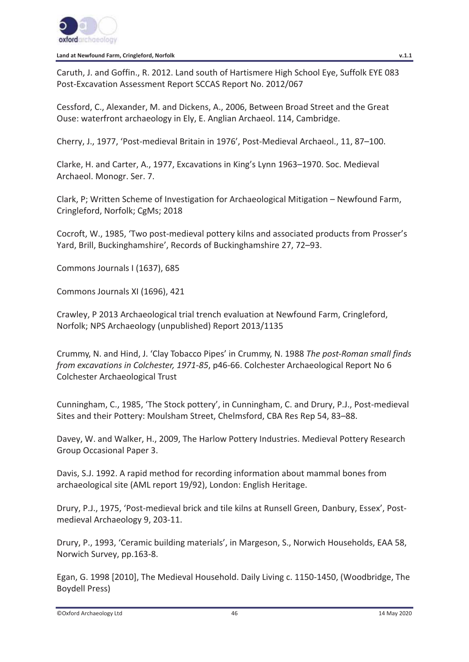

Caruth, J. and Goffin., R. 2012. Land south of Hartismere High School Eye, Suffolk EYE 083 Post-Excavation Assessment Report SCCAS Report No. 2012/067

Cessford, C., Alexander, M. and Dickens, A., 2006, Between Broad Street and the Great Ouse: waterfront archaeology in Ely, E. Anglian Archaeol. 114, Cambridge.

Cherry, J., 1977, 'Post-medieval Britain in 1976', Post-Medieval Archaeol., 11, 87–100.

Clarke, H. and Carter, A., 1977, Excavations in King's Lynn 1963–1970. Soc. Medieval Archaeol. Monogr. Ser. 7.

Clark, P; Written Scheme of Investigation for Archaeological Mitigation – Newfound Farm, Cringleford, Norfolk; CgMs; 2018

Cocroft, W., 1985, 'Two post-medieval pottery kilns and associated products from Prosser's Yard, Brill, Buckinghamshire', Records of Buckinghamshire 27, 72–93.

Commons Journals I (1637), 685

Commons Journals XI (1696), 421

Crawley, P 2013 Archaeological trial trench evaluation at Newfound Farm, Cringleford, Norfolk; NPS Archaeology (unpublished) Report 2013/1135

Crummy, N. and Hind, J. 'Clay Tobacco Pipes' in Crummy, N. 1988 *The post-Roman small finds from excavations in Colchester, 1971-85*, p46-66. Colchester Archaeological Report No 6 Colchester Archaeological Trust

Cunningham, C., 1985, 'The Stock pottery', in Cunningham, C. and Drury, P.J., Post-medieval Sites and their Pottery: Moulsham Street, Chelmsford, CBA Res Rep 54, 83–88.

Davey, W. and Walker, H., 2009, The Harlow Pottery Industries. Medieval Pottery Research Group Occasional Paper 3.

Davis, S.J. 1992. A rapid method for recording information about mammal bones from archaeological site (AML report 19/92), London: English Heritage.

Drury, P.J., 1975, 'Post-medieval brick and tile kilns at Runsell Green, Danbury, Essex', Postmedieval Archaeology 9, 203-11.

Drury, P., 1993, 'Ceramic building materials', in Margeson, S., Norwich Households, EAA 58, Norwich Survey, pp.163-8.

Egan, G. 1998 [2010], The Medieval Household. Daily Living c. 1150-1450, (Woodbridge, The Boydell Press)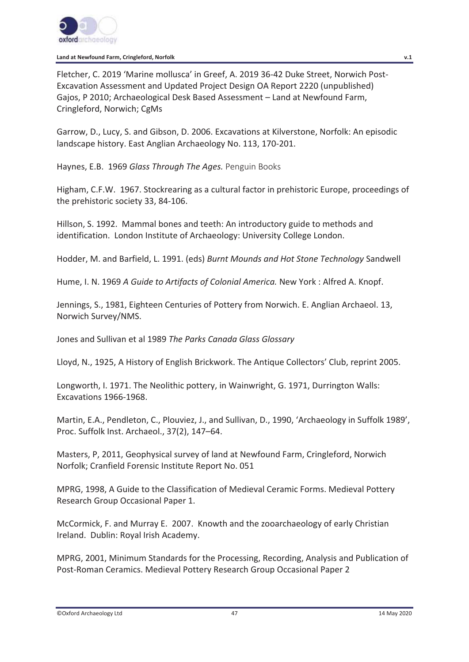

Fletcher, C. 2019 'Marine mollusca' in Greef, A. 2019 36-42 Duke Street, Norwich Post-Excavation Assessment and Updated Project Design OA Report 2220 (unpublished) Gajos, P 2010; Archaeological Desk Based Assessment – Land at Newfound Farm, Cringleford, Norwich; CgMs

Garrow, D., Lucy, S. and Gibson, D. 2006. Excavations at Kilverstone, Norfolk: An episodic landscape history. East Anglian Archaeology No. 113, 170-201.

Haynes, E.B. 1969 *Glass Through The Ages.* Penguin Books

Higham, C.F.W. 1967. Stockrearing as a cultural factor in prehistoric Europe, proceedings of the prehistoric society 33, 84-106.

Hillson, S. 1992. Mammal bones and teeth: An introductory guide to methods and identification. London Institute of Archaeology: University College London.

Hodder, M. and Barfield, L. 1991. (eds) *Burnt Mounds and Hot Stone Technology* Sandwell

Hume, I. N. 1969 *A Guide to Artifacts of Colonial America.* New York : Alfred A. Knopf.

Jennings, S., 1981, Eighteen Centuries of Pottery from Norwich. E. Anglian Archaeol. 13, Norwich Survey/NMS.

Jones and Sullivan et al 1989 *The Parks Canada Glass Glossary*

Lloyd, N., 1925, A History of English Brickwork. The Antique Collectors' Club, reprint 2005.

Longworth, I. 1971. The Neolithic pottery, in Wainwright, G. 1971, Durrington Walls: Excavations 1966-1968.

Martin, E.A., Pendleton, C., Plouviez, J., and Sullivan, D., 1990, 'Archaeology in Suffolk 1989', Proc. Suffolk Inst. Archaeol., 37(2), 147–64.

Masters, P, 2011, Geophysical survey of land at Newfound Farm, Cringleford, Norwich Norfolk; Cranfield Forensic Institute Report No. 051

MPRG, 1998, A Guide to the Classification of Medieval Ceramic Forms. Medieval Pottery Research Group Occasional Paper 1.

McCormick, F. and Murray E. 2007. Knowth and the zooarchaeology of early Christian Ireland. Dublin: Royal Irish Academy.

MPRG, 2001, Minimum Standards for the Processing, Recording, Analysis and Publication of Post-Roman Ceramics. Medieval Pottery Research Group Occasional Paper 2

<sup>©</sup>Oxford Archaeology Ltd 47 14 May 2020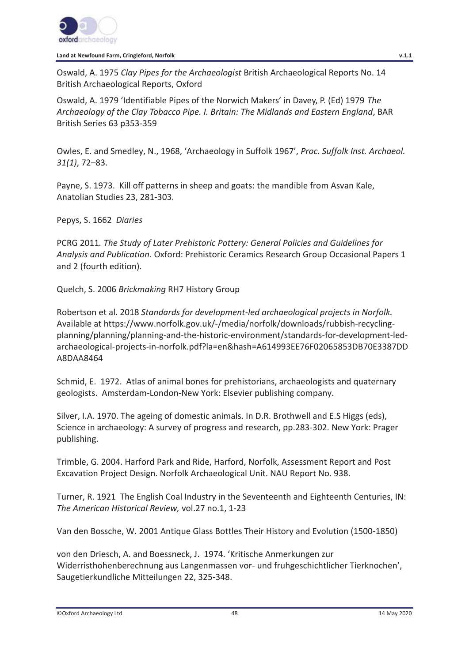

Oswald, A. 1975 *Clay Pipes for the Archaeologist* British Archaeological Reports No. 14 British Archaeological Reports, Oxford

Oswald, A. 1979 'Identifiable Pipes of the Norwich Makers' in Davey, P. (Ed) 1979 *The Archaeology of the Clay Tobacco Pipe. I. Britain: The Midlands and Eastern England*, BAR British Series 63 p353-359

Owles, E. and Smedley, N., 1968, 'Archaeology in Suffolk 1967', *Proc. Suffolk Inst. Archaeol. 31(1)*, 72–83.

Payne, S. 1973. Kill off patterns in sheep and goats: the mandible from Asvan Kale, Anatolian Studies 23, 281-303.

Pepys, S. 1662 *Diaries* 

PCRG 2011*. The Study of Later Prehistoric Pottery: General Policies and Guidelines for Analysis and Publication*. Oxford: Prehistoric Ceramics Research Group Occasional Papers 1 and 2 (fourth edition).

Quelch, S. 2006 *Brickmaking* RH7 History Group

Robertson et al. 2018 *Standards for development-led archaeological projects in Norfolk.*  Available at https://www.norfolk.gov.uk/-/media/norfolk/downloads/rubbish-recyclingplanning/planning/planning-and-the-historic-environment/standards-for-development-ledarchaeological-projects-in-norfolk.pdf?la=en&hash=A614993EE76F02065853DB70E3387DD A8DAA8464

Schmid, E. 1972. Atlas of animal bones for prehistorians, archaeologists and quaternary geologists. Amsterdam-London-New York: Elsevier publishing company.

Silver, I.A. 1970. The ageing of domestic animals. In D.R. Brothwell and E.S Higgs (eds), Science in archaeology: A survey of progress and research, pp.283-302. New York: Prager publishing.

Trimble, G. 2004. Harford Park and Ride, Harford, Norfolk, Assessment Report and Post Excavation Project Design. Norfolk Archaeological Unit. NAU Report No. 938.

Turner, R. 1921 The English Coal Industry in the Seventeenth and Eighteenth Centuries, IN: *The American Historical Review,* vol.27 no.1, 1-23

Van den Bossche, W. 2001 Antique Glass Bottles Their History and Evolution (1500-1850)

von den Driesch, A. and Boessneck, J. 1974. 'Kritische Anmerkungen zur Widerristhohenberechnung aus Langenmassen vor- und fruhgeschichtlicher Tierknochen', Saugetierkundliche Mitteilungen 22, 325-348.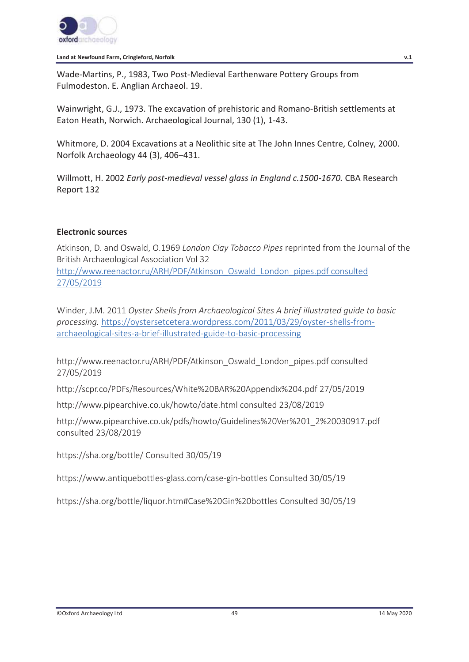

Wade-Martins, P., 1983, Two Post-Medieval Earthenware Pottery Groups from Fulmodeston. E. Anglian Archaeol. 19.

Wainwright, G.J., 1973. The excavation of prehistoric and Romano-British settlements at Eaton Heath, Norwich. Archaeological Journal, 130 (1), 1-43.

Whitmore, D. 2004 Excavations at a Neolithic site at The John Innes Centre, Colney, 2000. Norfolk Archaeology 44 (3), 406–431.

Willmott, H. 2002 *Early post-medieval vessel glass in England c.1500-1670.* CBA Research Report 132

## **Electronic sources**

Atkinson, D. and Oswald, O.1969 *London Clay Tobacco Pipes* reprinted from the Journal of the British Archaeological Association Vol 32 http://www.reenactor.ru/ARH/PDF/Atkinson\_Oswald\_London\_pipes.pdf consulted 27/05/2019

Winder, J.M. 2011 *Oyster Shells from Archaeological Sites A brief illustrated guide to basic processing.* https://oystersetcetera.wordpress.com/2011/03/29/oyster-shells-fromarchaeological-sites-a-brief-illustrated-guide-to-basic-processing

http://www.reenactor.ru/ARH/PDF/Atkinson\_Oswald\_London\_pipes.pdf consulted 27/05/2019

http://scpr.co/PDFs/Resources/White%20BAR%20Appendix%204.pdf 27/05/2019

http://www.pipearchive.co.uk/howto/date.html consulted 23/08/2019

http://www.pipearchive.co.uk/pdfs/howto/Guidelines%20Ver%201\_2%20030917.pdf consulted 23/08/2019

https://sha.org/bottle/ Consulted 30/05/19

https://www.antiquebottles-glass.com/case-gin-bottles Consulted 30/05/19

https://sha.org/bottle/liquor.htm#Case%20Gin%20bottles Consulted 30/05/19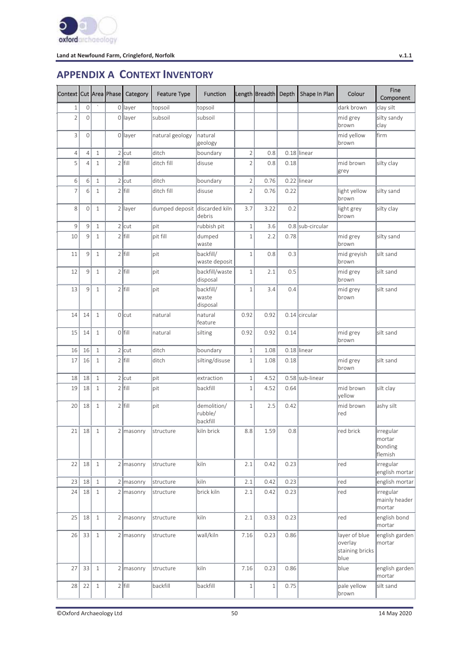

# **APPENDIX A CONTEXT INVENTORY**

| Context Cut Area Phase |                |              | Category    | <b>Feature Type</b>           | <b>Function</b>                    |                | Length Breadth Depth |      | Shape In Plan    | Colour                                              | Fine<br>Component                          |
|------------------------|----------------|--------------|-------------|-------------------------------|------------------------------------|----------------|----------------------|------|------------------|-----------------------------------------------------|--------------------------------------------|
| $1\,$                  | $\mathbf 0$    |              | 0 layer     | topsoil                       | topsoil                            |                |                      |      |                  | dark brown                                          | clay silt                                  |
| $\overline{2}$         | $\mathbf 0$    |              | 0 layer     | subsoil                       | subsoil                            |                |                      |      |                  | mid grey<br>brown                                   | silty sandy<br>clay                        |
| 3                      | $\overline{0}$ |              | 0 layer     | natural geology               | natural<br>geology                 |                |                      |      |                  | mid yellow<br>brown                                 | firm                                       |
| $\overline{4}$         | $\overline{4}$ | $\,1\,$      | $2$ cut     | ditch                         | boundary                           | $\sqrt{2}$     | 0.8                  |      | $0.18$ linear    |                                                     |                                            |
| 5                      | $\overline{4}$ | $\mathbf{1}$ | $2$ fill    | ditch fill                    | disuse                             | $\overline{2}$ | 0.8                  | 0.18 |                  | mid brown<br>grey                                   | silty clay                                 |
| 6                      | 6              | $\mathbf{1}$ | $2$ cut     | ditch                         | boundary                           | $\overline{2}$ | 0.76                 |      | 0.22 linear      |                                                     |                                            |
| $\overline{7}$         | 6              | $1\,$        | $2$ fill    | ditch fill                    | disuse                             | $\overline{2}$ | 0.76                 | 0.22 |                  | light yellow<br>brown                               | silty sand                                 |
| 8                      | $\mathbf 0$    | $\mathbf{1}$ | 2 layer     | dumped deposit discarded kiln | debris                             | 3.7            | 3.22                 | 0.2  |                  | light grey<br>brown                                 | silty clay                                 |
| 9                      | 9              | $1\,$        | $2$ cut     | pit                           | rubbish pit                        | $\,1\,$        | 3.6                  |      | 0.8 sub-circular |                                                     |                                            |
| 10                     | 9              | $\mathbf{1}$ | $2$ fill    | pit fill                      | dumped<br>waste                    | $\,1\,$        | 2.2                  | 0.78 |                  | mid grey<br>brown                                   | silty sand                                 |
| 11                     | 9              | $\mathbf{1}$ | $2$ fill    | pit                           | backfill/<br>waste deposit         | $\,1\,$        | 0.8                  | 0.3  |                  | mid greyish<br>brown                                | silt sand                                  |
| 12                     | 9              | $\mathbf{1}$ | $2$ fill    | lpit                          | backfill/waste<br>disposal         | $\,1\,$        | 2.1                  | 0.5  |                  | mid grey<br>brown                                   | silt sand                                  |
| 13                     | 9              | $1\,$        | $2$ fill    | pit                           | backfill/<br>waste<br>disposal     | $\,1\,$        | 3.4                  | 0.4  |                  | mid grey<br>brown                                   | silt sand                                  |
| 14                     | 14             | $\,1\,$      | $0$ cut     | natural                       | natural<br>feature                 | 0.92           | 0.92                 |      | 0.14 circular    |                                                     |                                            |
| 15                     | 14             | $1\,$        | $O$ fill    | <b>natural</b>                | silting                            | 0.92           | 0.92                 | 0.14 |                  | mid grey<br>brown                                   | silt sand                                  |
| 16                     | 16             | $1\,$        | $2$ cut     | ditch                         | boundary                           | $\,1\,$        | 1.08                 |      | $0.18$ linear    |                                                     |                                            |
| 17                     | 16             | $\mathbf{1}$ | $2$ fill    | ditch                         | silting/disuse                     | $\mathbf{1}$   | 1.08                 | 0.18 |                  | mid grey<br>brown                                   | silt sand                                  |
| 18                     | 18             | $\mathbf{1}$ | $2$ cut     | pit                           | extraction                         | $\,1\,$        | 4.52                 |      | 0.58 sub-linear  |                                                     |                                            |
| 19                     | 18             | $\mathbf{1}$ | $2$ fill    | pit                           | backfill                           | $\,1\,$        | 4.52                 | 0.64 |                  | mid brown<br>yellow                                 | silt clay                                  |
| 20                     | 18             | $\mathbf{1}$ | $2$ fill    | lpit                          | demolition/<br>rubble/<br>backfill | $\mathbf 1$    | 2.5                  | 0.42 |                  | mid brown<br>red                                    | ashy silt                                  |
| 21                     | 18             | $\mathbf{1}$ | $2$ masonry | structure                     | kiln brick                         | 8.8            | 1.59                 | 0.8  |                  | red brick                                           | irregular<br> mortar<br>bonding<br>flemish |
| 22                     | 18             | $\mathbf{1}$ | 2 masonry   | structure                     | kiln                               | 2.1            | 0.42                 | 0.23 |                  | red                                                 | irregular<br>english mortar                |
| 23                     | 18             | $\mathbf{1}$ | $2$ masonry | structure                     | kiln                               | 2.1            | 0.42                 | 0.23 |                  | red                                                 | english mortar                             |
| 24                     | 18             | $\mathbf{1}$ | 2 masonry   | structure                     | brick kiln                         | 2.1            | 0.42                 | 0.23 |                  | red                                                 | irregular<br>mainly header<br>mortar       |
| 25                     | 18             | $\mathbf{1}$ | 2 masonry   | Istructure                    | kiln                               | 2.1            | 0.33                 | 0.23 |                  | red                                                 | english bond<br>mortar                     |
| 26                     | 33             | $\mathbf{1}$ | $2$ masonry | Istructure                    | wall/kiln                          | 7.16           | 0.23                 | 0.86 |                  | layer of blue<br>overlay<br>staining bricks<br>blue | english garden<br>mortar                   |
| 27                     | 33             | $\mathbf{1}$ | 2 masonry   | structure                     | kiln                               | 7.16           | 0.23                 | 0.86 |                  | blue                                                | english garden<br>mortar                   |
| 28                     | 22             | $1\,$        | $2$ fill    | backfill                      | backfill                           | $\,1\,$        | $1\,$                | 0.75 |                  | pale yellow<br>brown                                | silt sand                                  |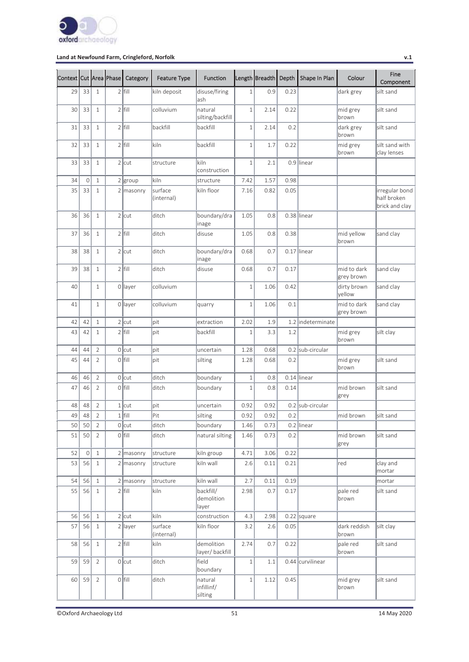

| Context Cut Area Phase |             |                | Category    | <b>Feature Type</b>   | <b>Function</b>                  |              | Length Breadth | Depth | Shape In Plan     | Colour                    | Fine<br>Component                               |
|------------------------|-------------|----------------|-------------|-----------------------|----------------------------------|--------------|----------------|-------|-------------------|---------------------------|-------------------------------------------------|
| 29                     | 33          | $\mathbf{1}$   | $2$ fill    | kiln deposit          | disuse/firing<br>ash             | $\mathbf{1}$ | 0.9            | 0.23  |                   | dark grey                 | silt sand                                       |
| 30                     | 33          | $1\,$          | $2$ fill    | colluvium             | natural<br>silting/backfill      | $1\,$        | 2.14           | 0.22  |                   | mid grey<br>brown         | silt sand                                       |
| 31                     | 33          | $1\,$          | $2$  fill   | backfill              | backfill                         | $\mathbf 1$  | 2.14           | 0.2   |                   | dark grey<br>brown        | silt sand                                       |
| 32                     | 33          | $1\,$          | $2$ fill    | kiln                  | backfill                         | $\,1\,$      | 1.7            | 0.22  |                   | mid grey<br>brown         | silt sand with<br>clay lenses                   |
| 33                     | 33          | $\,1\,$        | $2$ cut     | structure             | kiln<br>construction             | $\mathbf 1$  | 2.1            |       | 0.9 linear        |                           |                                                 |
| 34                     | $\mathbf 0$ | $\,1\,$        | $2$ group   | kiln                  | structure                        | 7.42         | 1.57           | 0.98  |                   |                           |                                                 |
| 35                     | 33          | $1\,$          | $2$ masonry | surface<br>(internal) | kiln floor                       | 7.16         | 0.82           | 0.05  |                   |                           | irregular bond<br>half broken<br>brick and clay |
| 36                     | 36          | $1\,$          | $2$ cut     | ditch                 | boundary/dra<br>inage            | 1.05         | 0.8            |       | $0.38$ linear     |                           |                                                 |
| 37                     | 36          | $1\,$          | $2$ fill    | ditch                 | disuse                           | 1.05         | 0.8            | 0.38  |                   | mid yellow<br>brown       | sand clay                                       |
| 38                     | 38          | $1\,$          | $2$ cut     | ditch                 | boundary/dra<br>inage            | 0.68         | 0.7            |       | $0.17$ linear     |                           |                                                 |
| 39                     | 38          | $1\,$          | $2$ fill    | ditch                 | disuse                           | 0.68         | 0.7            | 0.17  |                   | mid to dark<br>grey brown | sand clay                                       |
| 40                     |             | $\mathbf{1}$   | 0 layer     | colluvium             |                                  | $\,1\,$      | 1.06           | 0.42  |                   | dirty brown<br>vellow     | sand clay                                       |
| 41                     |             | $\mathbf{1}$   | 0 layer     | colluvium             | quarry                           | $\mathbf 1$  | 1.06           | 0.1   |                   | mid to dark<br>grey brown | sand clay                                       |
| 42                     | 42          | $1\,$          | $2$ cut     | pit                   | extraction                       | 2.02         | 1.9            |       | 1.2 indeterminate |                           |                                                 |
| 43                     | 42          | $\mathbf{1}$   | $2$ fill    | pit                   | backfill                         | $1\,$        | 3.3            | 1.2   |                   | mid grey<br>brown         | silt clay                                       |
| 44                     | 44          | $\overline{2}$ | $0$ cut     | pit                   | uncertain                        | 1.28         | 0.68           |       | 0.2 sub-circular  |                           |                                                 |
| 45                     | 44          | $\overline{2}$ | $0$  fill   | pit                   | silting                          | 1.28         | 0.68           | 0.2   |                   | mid grey<br>brown         | silt sand                                       |
| 46                     | 46          | $\overline{2}$ | $0$ cut     | ditch                 | boundary                         | $1\,$        | 0.8            |       | $0.14$ linear     |                           |                                                 |
| 47                     | 46          | $\overline{2}$ | $0$ fill    | ditch                 | boundary                         | $\mathbf 1$  | 0.8            | 0.14  |                   | mid brown<br>grey         | silt sand                                       |
| 48                     | 48          | $\overline{2}$ | $1$ cut     | pit                   | uncertain                        | 0.92         | 0.92           |       | 0.2 sub-circular  |                           |                                                 |
| 49                     | 48          | $\overline{2}$ | $1$ fill    | Pit                   | silting                          | 0.92         | 0.92           | 0.2   |                   | mid brown                 | silt sand                                       |
| 50                     | 50          | $\overline{2}$ | $0$ cut     | ditch                 | boundary                         | 1.46         | 0.73           |       | $0.2$ linear      |                           |                                                 |
| 51                     | 50          | $\overline{2}$ | $0$ fill    | ditch                 | natural silting                  | 1.46         | 0.73           | 0.2   |                   | mid brown<br>grey         | silt sand                                       |
| 52                     | $\mathbb O$ | $\,1\,$        | $2$ masonry | structure             | kiln group                       | 4.71         | 3.06           | 0.22  |                   |                           |                                                 |
| 53                     | 56          | $\mathbf{1}$   | $2$ masonry | structure             | kiln wall                        | 2.6          | 0.11           | 0.21  |                   | red                       | clay and<br>mortar                              |
| 54                     | 56          | $1\,$          | $2$ masonry | structure             | kiln wall                        | 2.7          | 0.11           | 0.19  |                   |                           | mortar                                          |
| 55                     | 56          | $\mathbf{1}$   | $2$ fill    | kiln                  | backfill/<br>demolition<br>layer | 2.98         | 0.7            | 0.17  |                   | pale red<br>brown         | silt sand                                       |
| 56                     | 56          | $1\,$          | $2$ cut     | kiln                  | construction                     | 4.3          | 2.98           |       | $0.22$ square     |                           |                                                 |
| 57                     | 56          | $\mathbf{1}$   | $2$ layer   | surface<br>(internal) | kiln floor                       | 3.2          | 2.6            | 0.05  |                   | dark reddish<br>brown     | silt clay                                       |
| 58                     | 56          | $\mathbf{1}$   | $2$ fill    | kiln                  | demolition<br>layer/ backfill    | 2.74         | 0.7            | 0.22  |                   | pale red<br>brown         | silt sand                                       |
| 59                     | 59          | $\overline{2}$ | $0$ cut     | ditch                 | field<br>boundary                | $\,1\,$      | 1.1            |       | 0.44 curvilinear  |                           |                                                 |
| 60                     | 59          | $\sqrt{2}$     | $0$ fill    | ditch                 | natural<br>infillinf/<br>silting | $\,1$        | 1.12           | 0.45  |                   | mid grey<br>brown         | silt sand                                       |

©Oxford Archaeology Ltd 51 14 May 2020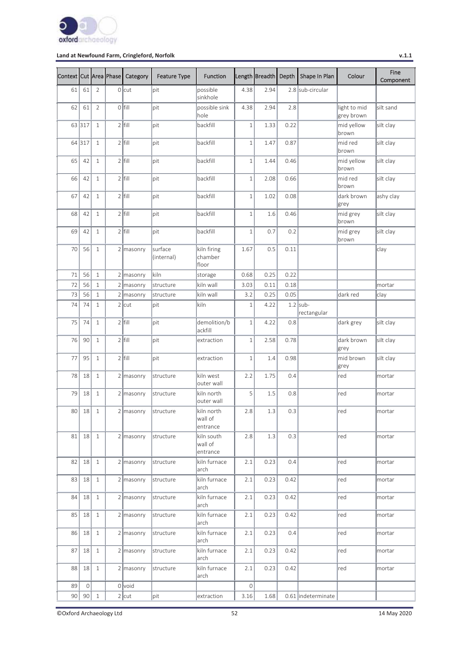

| Context Cut Area Phase |         |                | Category    | <b>Feature Type</b>   | <b>Function</b>                   |                     | Length Breadth | Depth | Shape In Plan             | Colour                     | Fine<br>Component |
|------------------------|---------|----------------|-------------|-----------------------|-----------------------------------|---------------------|----------------|-------|---------------------------|----------------------------|-------------------|
| 61                     | 61      | $\overline{2}$ | $0$ cut     | pit                   | possible<br>sinkhole              | 4.38                | 2.94           |       | 2.8 sub-circular          |                            |                   |
| 62                     | 61      | $\overline{2}$ | $0$ fill    | pit                   | possible sink<br>hole             | 4.38                | 2.94           | 2.8   |                           | light to mid<br>grey brown | silt sand         |
|                        | 63 317  | $\mathbf{1}$   | $2$ fill    | pit                   | backfill                          | $1\,$               | 1.33           | 0.22  |                           | mid yellow<br>brown        | silt clay         |
|                        | 64 317  | $\mathbf{1}$   | $2$ fill    | pit                   | backfill                          | $\,1\,$             | 1.47           | 0.87  |                           | mid red<br>brown           | silt clay         |
| 65                     | 42      | $\mathbf{1}$   | $2$ fill    | pit                   | backfill                          | $1\,$               | 1.44           | 0.46  |                           | mid yellow<br>brown        | silt clay         |
| 66                     | 42      | $\mathbf{1}$   | $2$ fill    | pit                   | backfill                          | $\mathbf 1$         | 2.08           | 0.66  |                           | mid red<br>brown           | silt clay         |
| 67                     | 42      | $\mathbf{1}$   | $2$ fill    | pit                   | backfill                          | $1\,$               | 1.02           | 0.08  |                           | dark brown<br>grey         | ashy clay         |
| 68                     | 42      | $\mathbf{1}$   | $2$ fill    | pit                   | backfill                          | $\mathbf{1}$        | 1.6            | 0.46  |                           | mid grey<br>brown          | silt clay         |
| 69                     | 42      | $\mathbf{1}$   | $2$ fill    | pit                   | backfill                          | 1                   | 0.7            | 0.2   |                           | mid grey<br>brown          | silt clay         |
| 70                     | 56      | $\mathbf{1}$   | $2$ masonry | surface<br>(internal) | kiln firing<br>chamber<br>floor   | 1.67                | 0.5            | 0.11  |                           |                            | clay              |
| 71                     | 56      | $\mathbf{1}$   | 2 masonry   | kiln                  | storage                           | 0.68                | 0.25           | 0.22  |                           |                            |                   |
| 72                     | 56      | $\mathbf{1}$   | 2 masonry   | structure             | kiln wall                         | 3.03                | 0.11           | 0.18  |                           |                            | mortar            |
| 73                     | 56      | $1\,$          | $2$ masonry | structure             | kiln wall                         | 3.2                 | 0.25           | 0.05  |                           | dark red                   | clay              |
| 74                     | 74      | $\mathbf{1}$   | $2$ cut     | pit                   | kiln                              | $\mathbf 1$         | 4.22           |       | $1.2$ sub-<br>rectangular |                            |                   |
| 75                     | 74      | $\mathbf{1}$   | $2$ fill    | pit                   | demolition/b<br>ackfill           | $1\,$               | 4.22           | 0.8   |                           | dark grey                  | silt clay         |
| 76                     | 90      | $\mathbf{1}$   | $2$ fill    | pit                   | extraction                        | $1\,$               | 2.58           | 0.78  |                           | dark brown<br>grey         | silt clay         |
| 77                     | 95      | $\mathbf{1}$   | $2$ fill    | pit                   | extraction                        | $\mathbf 1$         | 1.4            | 0.98  |                           | mid brown<br>grey          | silt clay         |
| 78                     | 18      | $\mathbf{1}$   | $2$ masonry | structure             | kiln west<br>outer wall           | 2.2                 | 1.75           | 0.4   |                           | red                        | mortar            |
| 79                     | 18      | $\mathbf{1}$   | 2 masonry   | structure             | kiln north<br>outer wall          | 5                   | 1.5            | 0.8   |                           | red                        | mortar            |
| 80                     | 18      | $\mathbf{1}$   | $2$ masonry | structure             | kiln north<br>wall of<br>entrance | 2.8                 | 1.3            | 0.3   |                           | red                        | mortar            |
| 81                     | 18      | 1              | $2$ masonry | structure             | kiln south<br>wall of<br>entrance | 2.8                 | 1.3            | 0.3   |                           | red                        | mortar            |
| 82                     | 18      | $\mathbf{1}$   | $2$ masonry | structure             | kiln furnace<br>arch              | 2.1                 | 0.23           | 0.4   |                           | red                        | mortar            |
| 83                     | 18      | $\mathbf{1}$   | $2$ masonry | structure             | kiln furnace<br>arch              | 2.1                 | 0.23           | 0.42  |                           | red                        | mortar            |
| 84                     | 18      | $\mathbf{1}$   | $2$ masonry | structure             | kiln furnace<br>arch              | 2.1                 | 0.23           | 0.42  |                           | red                        | mortar            |
| 85                     | 18      | $\mathbf{1}$   | 2 masonry   | structure             | kiln furnace<br>arch              | 2.1                 | 0.23           | 0.42  |                           | red                        | mortar            |
| 86                     | 18      | $\mathbf{1}$   | $2$ masonry | structure             | kiln furnace<br>arch              | 2.1                 | 0.23           | 0.4   |                           | red                        | mortar            |
| 87                     | 18      | $\mathbf{1}$   | $2$ masonry | structure             | kiln furnace<br>arch              | 2.1                 | 0.23           | 0.42  |                           | red                        | mortar            |
| 88                     | 18      | $\mathbf{1}$   | 2 masonry   | structure             | kiln furnace<br>arch              | 2.1                 | 0.23           | 0.42  |                           | red                        | mortar            |
| 89                     | $\circ$ |                | $0$ void    |                       |                                   | $\mathsf{O}\xspace$ |                |       |                           |                            |                   |
| 90                     | 90      | $\mathbf{1}$   | $2$ cut     | pit                   | extraction                        | 3.16                | 1.68           |       | 0.61 indeterminate        |                            |                   |

©Oxford Archaeology Ltd 52 14 May 2020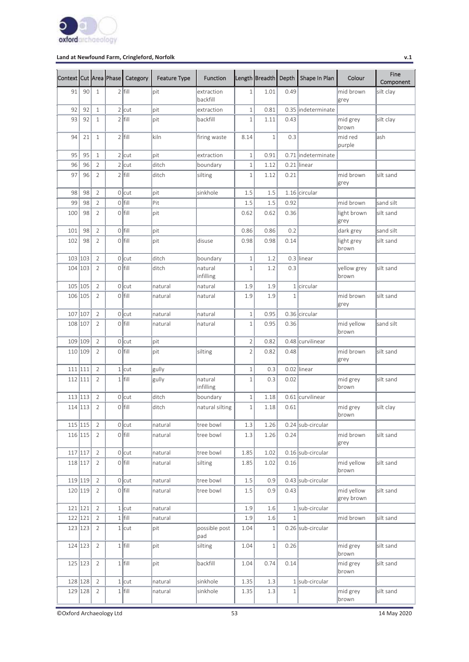

| Context Cut Area Phase |         |                | Category  | <b>Feature Type</b> | <b>Function</b>        |                | Length Breadth Depth |              | Shape In Plan      | Colour                   | Fine<br>Component |
|------------------------|---------|----------------|-----------|---------------------|------------------------|----------------|----------------------|--------------|--------------------|--------------------------|-------------------|
| 91                     | 90      | $\mathbf{1}$   | $2$ fill  | pit                 | extraction<br>backfill | $1\,$          | 1.01                 | 0.49         |                    | mid brown<br>grey        | silt clay         |
| 92                     | 92      | $\mathbf{1}$   | $2$ cut   | lpit                | extraction             | $\,1\,$        | 0.81                 |              | 0.35 indeterminate |                          |                   |
| 93                     | 92      | 1              | $2$ fill  | pit                 | backfill               | $\mathbf 1$    | 1.11                 | 0.43         |                    | mid grey<br>brown        | silt clay         |
| 94                     | 21      | $\mathbf{1}$   | $2$ fill  | kiln                | firing waste           | 8.14           | $\mathbf{1}$         | 0.3          |                    | mid red<br>purple        | ash               |
| 95                     | 95      | $1\,$          | $2$ cut   | pit                 | extraction             | $1\,$          | 0.91                 |              | 0.71 indeterminate |                          |                   |
| 96                     | 96      | $\overline{2}$ | $2$ cut   | lditch              | boundary               | $\,1\,$        | 1.12                 |              | 0.21 linear        |                          |                   |
| 97                     | 96      | $\overline{2}$ | $2$ fill  | ditch               | silting                | $\mathbf 1$    | 1.12                 | 0.21         |                    | mid brown<br>grey        | silt sand         |
| 98                     | 98      | $\overline{2}$ | $0$ cut   | pit                 | sinkhole               | 1.5            | 1.5                  |              | 1.16 circular      |                          |                   |
| 99                     | 98      | $\overline{2}$ | $0$ fill  | Pit                 |                        | 1.5            | 1.5                  | 0.92         |                    | mid brown                | sand silt         |
| 100                    | 98      | $\overline{2}$ | $0$ fill  | pit                 |                        | 0.62           | 0.62                 | 0.36         |                    | light brown<br>grey      | silt sand         |
| 101                    | 98      | $\overline{2}$ | $0$ fill  | pit                 |                        | 0.86           | 0.86                 | 0.2          |                    | dark grey                | sand silt         |
| 102                    | 98      | $\overline{2}$ | $O$ fill  | lpit                | disuse                 | 0.98           | 0.98                 | 0.14         |                    | light grey<br>brown      | silt sand         |
| 103 103                |         | $\overline{2}$ | $0$ cut   | ditch               | boundary               | $1\,$          | 1.2                  |              | $0.3$ linear       |                          |                   |
|                        | 104 103 | $\overline{2}$ | $0$ fill  | ditch               | natural<br>infilling   | $\mathbf{1}$   | 1.2                  | 0.3          |                    | yellow grey<br>brown     | silt sand         |
| 105 105                |         | $\overline{2}$ | $0$ cut   | natural             | natural                | 1.9            | 1.9                  |              | 1 circular         |                          |                   |
| 106 105                |         | $\overline{2}$ | o Ifill   | natural             | natural                | 1.9            | 1.9                  | $\mathbf{1}$ |                    | mid brown<br>grey        | silt sand         |
| 107 107                |         | $\overline{2}$ | $0$ cut   | natural             | natural                | $1\,$          | 0.95                 |              | 0.36 circular      |                          |                   |
| 108 107                |         | 2              | $0$ fill  | natural             | natural                | $1\,$          | 0.95                 | 0.36         |                    | mid yellow<br>brown      | sand silt         |
| 109                    | 109     | $\overline{2}$ | $0$ cut   | lpit                |                        | $\overline{2}$ | 0.82                 |              | 0.48 curvilinear   |                          |                   |
| 110                    | 109     | $\overline{2}$ | $0$ fill  | lpit                | silting                | $\overline{2}$ | 0.82                 | 0.48         |                    | mid brown<br>grey        | silt sand         |
| 111 111                |         | $\overline{2}$ | $1$ cut   | gully               |                        | $\,1\,$        | 0.3                  |              | 0.02 linear        |                          |                   |
| 112 111                |         | $\overline{2}$ | $1$ fill  | gully               | natural<br>infilling   | $1\,$          | 0.3                  | 0.02         |                    | mid grey<br>brown        | silt sand         |
| 113 113                |         | $\overline{2}$ | $0$ cut   | ditch               | boundary               | $1\,$          | 1.18                 |              | 0.61 curvilinear   |                          |                   |
|                        | 114 113 | $\overline{2}$ | $0$  fill | ditch               | natural silting        | $1\,$          | 1.18                 | 0.61         |                    | mid grey<br>brown        | silt clay         |
|                        | 115 115 | $\sqrt{2}$     | $0$ cut   | natural             | tree bowl              | 1.3            | 1.26                 |              | 0.24 sub-circular  |                          |                   |
|                        | 116 115 | $\overline{2}$ | $0$ fill  | natural             | tree bowl              | 1.3            | 1.26                 | 0.24         |                    | mid brown<br>grey        | silt sand         |
| 117 117                |         | $\sqrt{2}$     | $0$ cut   | natural             | tree bowl              | 1.85           | 1.02                 |              | 0.16 sub-circular  |                          |                   |
| 118 117                |         | $\overline{2}$ | $0$ fill  | natural             | silting                | 1.85           | 1.02                 | 0.16         |                    | mid yellow<br>brown      | silt sand         |
| 119 119                |         | $\overline{2}$ | $0$ cut   | natural             | tree bowl              | 1.5            | 0.9                  |              | 0.43 sub-circular  |                          |                   |
| 120 119                |         | $\overline{2}$ | $0$ fill  | natural             | tree bowl              | $1.5\,$        | 0.9                  | 0.43         |                    | mid yellow<br>grey brown | silt sand         |
| 121 121                |         | $\overline{2}$ | $1$ cut   | natural             |                        | 1.9            | 1.6                  |              | 1 sub-circular     |                          |                   |
| 122 121                |         | $\overline{2}$ | $1$ fill  | natural             |                        | 1.9            | 1.6                  | $\mathbf{1}$ |                    | mid brown                | silt sand         |
|                        | 123 123 | $\overline{2}$ | $1$ cut   | pit                 | possible post<br>pad   | 1.04           | $\mathbf{1}$         |              | 0.26 sub-circular  |                          |                   |
|                        | 124 123 | $\overline{2}$ | $1$ fill  | pit                 | silting                | 1.04           | $\,1$                | 0.26         |                    | mid grey<br>brown        | silt sand         |
|                        | 125 123 | $\overline{2}$ | $1$ fill  | pit                 | backfill               | 1.04           | 0.74                 | 0.14         |                    | mid grey<br>brown        | silt sand         |
|                        | 128 128 | $\overline{2}$ | $1$ cut   | natural             | sinkhole               | 1.35           | 1.3                  |              | 1 sub-circular     |                          |                   |
| 129 128                |         | $\overline{2}$ | $1$ fill  | natural             | sinkhole               | 1.35           | 1.3                  | $\mathbf{1}$ |                    | mid grey<br>brown        | silt sand         |

©Oxford Archaeology Ltd 53 14 May 2020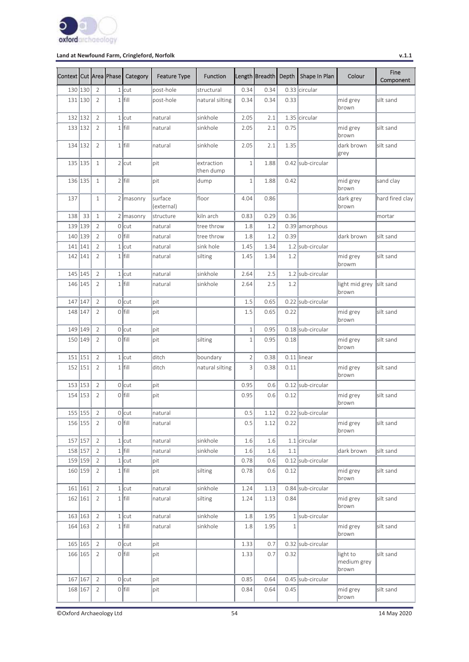

| Context Cut Area Phase |     |                | Category    | <b>Feature Type</b>   | <b>Function</b>         |                | Length Breadth | Depth        | Shape In Plan     | Colour                           | Fine<br>Component |
|------------------------|-----|----------------|-------------|-----------------------|-------------------------|----------------|----------------|--------------|-------------------|----------------------------------|-------------------|
| 130 130                |     | $\overline{2}$ | $1$ cut     | post-hole             | structural              | 0.34           | 0.34           |              | 0.33 circular     |                                  |                   |
| 131 130                |     | 2              | $1$ fill    | post-hole             | natural silting         | 0.34           | 0.34           | 0.33         |                   | mid grey<br>brown                | silt sand         |
| 132 132                |     | $\overline{2}$ | $1$ cut     | natural               | sinkhole                | 2.05           | 2.1            |              | 1.35 circular     |                                  |                   |
| 133 132                |     | $\overline{2}$ | $1$ fill    | natural               | sinkhole                | 2.05           | 2.1            | 0.75         |                   | mid grey<br>brown                | silt sand         |
| 134 132                |     | $\overline{2}$ | $1$ fill    | natural               | sinkhole                | 2.05           | 2.1            | 1.35         |                   | dark brown<br>grey               | silt sand         |
| 135 135                |     | $\mathbf{1}$   | $2$ cut     | lpit                  | extraction<br>then dump | $\mathbf 1$    | 1.88           |              | 0.42 sub-circular |                                  |                   |
| 136 135                |     | $\mathbf{1}$   | $2$ fill    | lpit                  | dump                    | $\mathbf 1$    | 1.88           | 0.42         |                   | mid grey<br>brown                | sand clay         |
| 137                    |     | $\mathbf 1$    | $2$ masonry | surface<br>(external) | floor                   | 4.04           | 0.86           |              |                   | dark grey<br>brown               | hard fired clay   |
| 138                    | 33  | $\mathbf{1}$   | $2$ masonry | structure             | kiln arch               | 0.83           | 0.29           | 0.36         |                   |                                  | mortar            |
| 139 139                |     | $\overline{2}$ | $0$ cut     | natural               | tree throw              | 1.8            | 1.2            |              | 0.39 amorphous    |                                  |                   |
| 140 139                |     | $\overline{2}$ | $0$ fill    | Inatural              | tree throw              | 1.8            | 1.2            | 0.39         |                   | dark brown                       | silt sand         |
| 141 141                |     | $\overline{2}$ | $1$ cut     | natural               | sink hole               | 1.45           | 1.34           |              | 1.2 sub-circular  |                                  |                   |
| 142 141                |     | $\overline{2}$ | $1$ fill    | natural               | silting                 | 1.45           | 1.34           | 1.2          |                   | mid grey<br> browm               | silt sand         |
| 145 145                |     | $\overline{2}$ | $1$ cut     | natural               | sinkhole                | 2.64           | 2.5            |              | 1.2 sub-circular  |                                  |                   |
| 146 145                |     | $\overline{2}$ | $1$ fill    | natural               | sinkhole                | 2.64           | 2.5            | 1.2          |                   | light mid grey<br>brown          | silt sand         |
| 147                    | 147 | $\overline{2}$ | $0$ cut     | pit                   |                         | 1.5            | 0.65           |              | 0.22 sub-circular |                                  |                   |
| 148 147                |     | $\overline{2}$ | $0$ fill    | lpit                  |                         | 1.5            | 0.65           | 0.22         |                   | mid grey<br>brown                | silt sand         |
| 149 149                |     | $\overline{2}$ | $0$ cut     | pit                   |                         | $\,1\,$        | 0.95           |              | 0.18 sub-circular |                                  |                   |
| 150 149                |     | $\overline{2}$ | $0$  fill   | pit                   | silting                 | $1\,$          | 0.95           | 0.18         |                   | mid grey<br>brown                | silt sand         |
| 151 151                |     | $\overline{2}$ | $1$ cut     | ditch                 | boundary                | $\overline{2}$ | 0.38           |              | $0.11$ linear     |                                  |                   |
| 152 151                |     | $\overline{2}$ | $1$ fill    | ditch                 | natural silting         | 3              | 0.38           | 0.11         |                   | mid grey<br>brown                | silt sand         |
| 153 153                |     | $\overline{2}$ | $0$ cut     | lpit                  |                         | 0.95           | 0.6            |              | 0.12 sub-circular |                                  |                   |
| 154 153                |     | $\overline{2}$ | $0$  fill   | pit                   |                         | 0.95           | 0.6            | 0.12         |                   | mid grey<br>brown                | silt sand         |
| 155 155                |     | $\overline{2}$ | $0$ cut     | natural               |                         | 0.5            | 1.12           |              | 0.22 sub-circular |                                  |                   |
| 156 155                |     | $\overline{2}$ | $0$ fill    | natural               |                         | 0.5            | 1.12           | 0.22         |                   | mid grey<br>brown                | silt sand         |
| 157 157                |     | $\sqrt{2}$     | $1$ cut     | natural               | sinkhole                | 1.6            | $1.6\,$        |              | $1.1$ circular    |                                  |                   |
| 158 157                |     | $\overline{2}$ | $1$ fill    | natural               | sinkhole                | 1.6            | 1.6            | 1.1          |                   | dark brown                       | silt sand         |
| 159 159                |     | $\overline{2}$ | $1$ cut     | pit                   |                         | 0.78           | 0.6            |              | 0.12 sub-circular |                                  |                   |
| 160 159                |     | $\overline{2}$ | $1$ fill    | pit                   | silting                 | 0.78           | 0.6            | 0.12         |                   | mid grey<br>brown                | silt sand         |
| 161 161                |     | $\overline{2}$ | $1$ cut     | natural               | sinkhole                | 1.24           | 1.13           |              | 0.84 sub-circular |                                  |                   |
| 162 161                |     | $\overline{2}$ | $1$ fill    | natural               | silting                 | 1.24           | 1.13           | 0.84         |                   | mid grey<br>brown                | silt sand         |
| 163 163                |     | $\sqrt{2}$     | $1$ cut     | natural               | sinkhole                | 1.8            | 1.95           |              | 1 sub-circular    |                                  |                   |
| 164 163                |     | $\overline{2}$ | $1$ fill    | natural               | sinkhole                | 1.8            | 1.95           | $\mathbf{1}$ |                   | mid grey<br>brown                | silt sand         |
| 165 165                |     | $\overline{2}$ | $0$ cut     | pit                   |                         | 1.33           | 0.7            |              | 0.32 sub-circular |                                  |                   |
| 166 165                |     | $\overline{2}$ | $O$ fill    | pit                   |                         | 1.33           | 0.7            | 0.32         |                   | light to<br>medium grey<br>brown | silt sand         |
| 167 167                |     | $\overline{2}$ | $0$ cut     | pit                   |                         | 0.85           | 0.64           |              | 0.45 sub-circular |                                  |                   |
| 168 167                |     | $\overline{2}$ | $0$ fill    | pit                   |                         | 0.84           | 0.64           | 0.45         |                   | mid grey<br>brown                | silt sand         |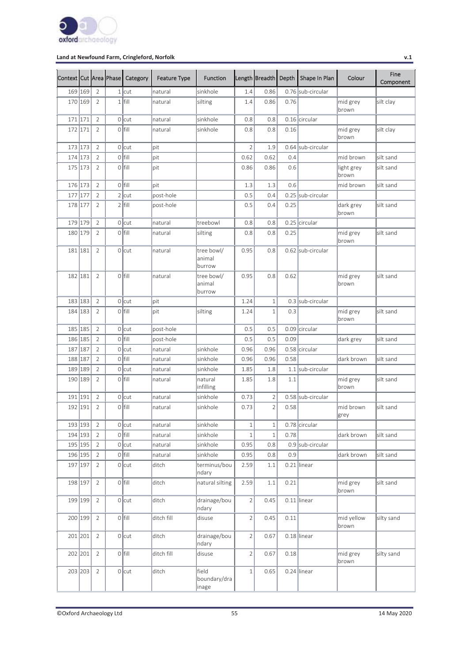

| Context Cut Area Phase |         |                | Category  | <b>Feature Type</b> | <b>Function</b>                |                | Length Breadth | Depth | Shape In Plan     | Colour              | Fine<br>Component |
|------------------------|---------|----------------|-----------|---------------------|--------------------------------|----------------|----------------|-------|-------------------|---------------------|-------------------|
| 169 169                |         | $\overline{2}$ | $1$ cut   | natural             | sinkhole                       | 1.4            | 0.86           |       | 0.76 sub-circular |                     |                   |
| 170 169                |         | $\overline{2}$ | $1$ fill  | natural             | silting                        | 1.4            | 0.86           | 0.76  |                   | mid grey<br>brown   | silt clay         |
| 171 171                |         | $\overline{2}$ | $0$ cut   | natural             | sinkhole                       | 0.8            | 0.8            |       | 0.16 circular     |                     |                   |
| 172 171                |         | $\overline{2}$ | $0$  fill | natural             | sinkhole                       | 0.8            | 0.8            | 0.16  |                   | mid grey<br>brown   | silt clay         |
| 173 173                |         | $\overline{2}$ | $0$ cut   | pit                 |                                | $\overline{2}$ | 1.9            |       | 0.64 sub-circular |                     |                   |
| 174 173                |         | $\overline{2}$ | $0$ fill  | pit                 |                                | 0.62           | 0.62           | 0.4   |                   | mid brown           | silt sand         |
| 175 173                |         | $\overline{2}$ | $0$ fill  | pit                 |                                | 0.86           | 0.86           | 0.6   |                   | light grey<br>brown | silt sand         |
| 176 173                |         | $\overline{2}$ | $0$ fill  | pit                 |                                | 1.3            | 1.3            | 0.6   |                   | mid brown           | silt sand         |
| 177                    | 177     | $\overline{2}$ | $2$ cut   | post-hole           |                                | 0.5            | 0.4            |       | 0.25 sub-circular |                     |                   |
| 178 177                |         | $\overline{2}$ | $2$ fill  | post-hole           |                                | 0.5            | 0.4            | 0.25  |                   | dark grey<br>brown  | silt sand         |
| 179 179                |         | $\sqrt{2}$     | $0$ cut   | natural             | treebowl                       | 0.8            | 0.8            |       | 0.25 circular     |                     |                   |
| 180 179                |         | $\overline{2}$ | $O$ fill  | natural             | silting                        | 0.8            | 0.8            | 0.25  |                   | mid grey<br>brown   | silt sand         |
| 181 181                |         | $\overline{2}$ | 0 cut     | natural             | tree bowl/<br>animal<br>burrow | 0.95           | 0.8            |       | 0.62 sub-circular |                     |                   |
| 182 181                |         | $\overline{2}$ | $O$ fill  | natural             | tree bowl/<br>animal<br>burrow | 0.95           | 0.8            | 0.62  |                   | mid grey<br>brown   | silt sand         |
| 183 183                |         | $\overline{2}$ | $0$ cut   | lpit                |                                | 1.24           | $\mathbf{1}$   |       | 0.3 sub-circular  |                     |                   |
| 184 183                |         | $\overline{2}$ | $O$ fill  | pit                 | silting                        | 1.24           | $1\,$          | 0.3   |                   | mid grey<br>brown   | silt sand         |
| 185 185                |         | $\overline{2}$ | $0$ cut   | post-hole           |                                | 0.5            | 0.5            |       | 0.09 circular     |                     |                   |
| 186 185                |         | $\overline{2}$ | $0$ fill  | post-hole           |                                | 0.5            | 0.5            | 0.09  |                   | dark grey           | silt sand         |
| 187 187                |         | $\overline{2}$ | $0$ cut   | natural             | sinkhole                       | 0.96           | 0.96           |       | 0.58 circular     |                     |                   |
| 188 187                |         | $\overline{2}$ | $O$ fill  | natural             | sinkhole                       | 0.96           | 0.96           | 0.58  |                   | dark brown          | silt sand         |
| 189 189                |         | $\overline{2}$ | $0$ cut   | natural             | sinkhole                       | 1.85           | 1.8            |       | 1.1 sub-circular  |                     |                   |
| 190 189                |         | $\overline{2}$ | $O$ fill  | natural             | natural<br>infilling           | 1.85           | 1.8            | 1.1   |                   | mid grey<br>brown   | silt sand         |
| 191 191                |         | $\overline{2}$ | 0 cut     | natural             | sinkhole                       | 0.73           | $\overline{2}$ |       | 0.58 sub-circular |                     |                   |
| 192 191                |         | $\overline{2}$ | $0$  fill | natural             | sinkhole                       | 0.73           | $\overline{2}$ | 0.58  |                   | mid brown<br>grey   | silt sand         |
|                        | 193 193 | $\sqrt{2}$     | $0$ cut   | natural             | sinkhole                       | $1\,$          | $\,1$          |       | $0.78$ circular   |                     |                   |
| 194 193                |         | $\overline{2}$ | $0$ fill  | natural             | sinkhole                       | $\,1\,$        | $\,1\,$        | 0.78  |                   | dark brown          | silt sand         |
| 195 195                |         | $\overline{2}$ | $0$ cut   | natural             | sinkhole                       | 0.95           | 0.8            |       | 0.9 sub-circular  |                     |                   |
| 196 195                |         | $\sqrt{2}$     | $0$  fill | natural             | sinkhole                       | 0.95           | 0.8            | 0.9   |                   | dark brown          | silt sand         |
| 197 197                |         | $\overline{2}$ | $0$ cut   | ditch               | terminus/bou<br>ndary          | 2.59           | 1.1            |       | $0.21$ linear     |                     |                   |
| 198 197                |         | $\overline{2}$ | $0$  fill | ditch               | natural silting                | 2.59           | $1.1\,$        | 0.21  |                   | mid grey<br>brown   | silt sand         |
| 199 199                |         | $\overline{2}$ | $0$ cut   | ditch               | drainage/bou<br>ndary          | $\overline{2}$ | 0.45           |       | $0.11$ linear     |                     |                   |
|                        | 200 199 | $\overline{2}$ | $0$  fill | ditch fill          | disuse                         | $\overline{2}$ | 0.45           | 0.11  |                   | mid yellow<br>brown | silty sand        |
| 201 201                |         | $\overline{2}$ | $0$ cut   | ditch               | drainage/bou<br>ndary          | $\overline{2}$ | 0.67           |       | $0.18$ linear     |                     |                   |
| 202 201                |         | $\overline{2}$ | $0$  fill | ditch fill          | disuse                         | $\overline{2}$ | 0.67           | 0.18  |                   | mid grey<br>brown   | silty sand        |
|                        | 203 203 | $\overline{2}$ | $0$ cut   | ditch               | field<br>boundary/dra<br>inage | $\,1$          | 0.65           |       | 0.24 linear       |                     |                   |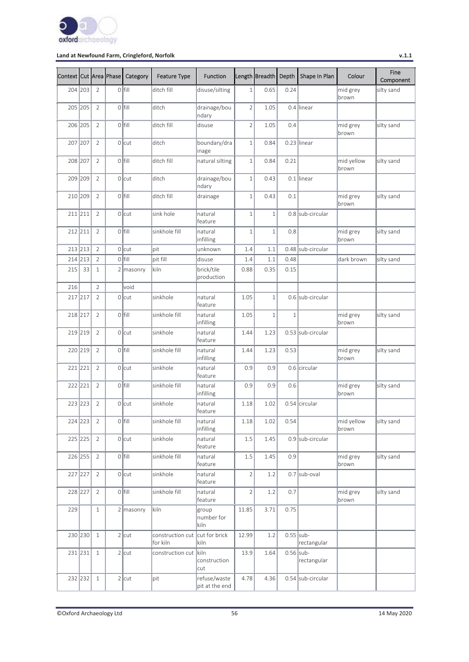

| Context Cut Area Phase |         |                | Category    | <b>Feature Type</b>                        | <b>Function</b>                |                | Length Breadth | Depth        | Shape In Plan     | Colour              | Fine<br>Component |
|------------------------|---------|----------------|-------------|--------------------------------------------|--------------------------------|----------------|----------------|--------------|-------------------|---------------------|-------------------|
| 204 203                |         | $\overline{2}$ | $0$ fill    | ditch fill                                 | disuse/silting                 | $\mathbf{1}$   | 0.65           | 0.24         |                   | mid grey<br>brown   | silty sand        |
| 205 205                |         | $\overline{2}$ | o Ifill     | ditch                                      | drainage/bou<br>ndary          | $\overline{2}$ | 1.05           |              | 0.4 linear        |                     |                   |
| 206 205                |         | $\overline{2}$ | o Ifill     | ditch fill                                 | disuse                         | $\overline{2}$ | 1.05           | 0.4          |                   | mid grey<br>brown   | silty sand        |
| 207 207                |         | $\overline{2}$ | $0$ cut     | ditch                                      | boundary/dra<br>inage          | $1\,$          | 0.84           |              | $0.23$ linear     |                     |                   |
| 208 207                |         | $\overline{2}$ | $O$ fill    | ditch fill                                 | natural silting                | $\,1\,$        | 0.84           | 0.21         |                   | mid yellow<br>brown | silty sand        |
| 209 209                |         | $\overline{2}$ | $0$ cut     | ditch                                      | drainage/bou<br>ndary          | $1\,$          | 0.43           |              | $0.1$ linear      |                     |                   |
| 210 209                |         | $\overline{2}$ | $O$ fill    | ditch fill                                 | drainage                       | $1\,$          | 0.43           | 0.1          |                   | mid grey<br>brown   | silty sand        |
| 211 211                |         | $\overline{2}$ | $0$ cut     | sink hole                                  | natural<br>feature             | $\,1\,$        | $\mathbf{1}$   |              | 0.8 sub-circular  |                     |                   |
| 212 211                |         | $\overline{2}$ | $O$ fill    | sinkhole fill                              | natural<br>infilling           | $\,1\,$        | $\mathbf 1$    | 0.8          |                   | mid grey<br>brown   | silty sand        |
| 213 213                |         | $\overline{2}$ | $0$ cut     | lpit                                       | unknown                        | 1.4            | 1.1            |              | 0.48 sub-circular |                     |                   |
| 214 213                |         | $\overline{2}$ | $0$ fill    | pit fill                                   | disuse                         | 1.4            | 1.1            | 0.48         |                   | dark brown          | silty sand        |
| 215                    | 33      | $\mathbf{1}$   | $2$ masonry | kiln                                       | brick/tile<br>production       | 0.88           | 0.35           | 0.15         |                   |                     |                   |
| 216                    |         | $\overline{2}$ | void        |                                            |                                |                |                |              |                   |                     |                   |
| 217 217                |         | $\overline{2}$ | $0$ cut     | sinkhole                                   | natural<br>feature             | 1.05           | $\mathbf{1}$   |              | 0.6 sub-circular  |                     |                   |
| 218 217                |         | $\overline{2}$ | $0$ fill    | sinkhole fill                              | natural<br>infilling           | 1.05           | $\mathbf 1$    | $\mathbf{1}$ |                   | mid grey<br>brown   | silty sand        |
| 219 219                |         | $\overline{2}$ | 0 lcut      | sinkhole                                   | natural<br>feature             | 1.44           | 1.23           |              | 0.53 sub-circular |                     |                   |
| 220 219                |         | $\overline{2}$ | $0$ fill    | sinkhole fill                              | natural<br>infilling           | 1.44           | 1.23           | 0.53         |                   | mid grey<br>brown   | silty sand        |
| 221 221                |         | $\overline{2}$ | $0$ cut     | sinkhole                                   | natural<br>feature             | 0.9            | 0.9            |              | 0.6 circular      |                     |                   |
| 222 221                |         | $\overline{2}$ | $0$ fill    | sinkhole fill                              | natural<br>infilling           | 0.9            | 0.9            | 0.6          |                   | mid grey<br>brown   | silty sand        |
| 223 223                |         | $\overline{2}$ | $0$ cut     | sinkhole                                   | natural<br>feature             | 1.18           | 1.02           |              | 0.54 circular     |                     |                   |
|                        | 224 223 | $\overline{2}$ | $0$  fill   | sinkhole fill                              | natural<br>infilling           | 1.18           | 1.02           | 0.54         |                   | mid yellow<br>brown | silty sand        |
|                        | 225 225 | $\overline{2}$ | $0$ cut     | sinkhole                                   | natural<br>feature             | 1.5            | 1.45           |              | 0.9 sub-circular  |                     |                   |
| 226 255                |         | $\overline{2}$ | $0$  fill   | sinkhole fill                              | natural<br>feature             | 1.5            | 1.45           | 0.9          |                   | mid grey<br>brown   | silty sand        |
| 227 227                |         | $\overline{2}$ | $0$ cut     | sinkhole                                   | natural<br>feature             | $\overline{2}$ | 1.2            |              | $0.7$ sub-oval    |                     |                   |
| 228 227                |         | $\overline{2}$ | $0$ fill    | sinkhole fill                              | natural<br>feature             | $\overline{2}$ | 1.2            | 0.7          |                   | mid grey<br>brown   | silty sand        |
| 229                    |         | $\mathbf 1$    | $2$ masonry | kiln                                       | group<br>number for<br>kiln    | 11.85          | 3.71           | 0.75         |                   |                     |                   |
|                        | 230 230 | $\mathbf{1}$   | $2$ cut     | construction cut cut for brick<br>for kiln | kiln                           | 12.99          | 1.2            | $0.55$ sub-  | rectangular       |                     |                   |
|                        | 231 231 | $\mathbf{1}$   | $2$ cut     | construction cut kiln                      | construction<br>cut            | 13.9           | 1.64           | $0.56$ sub-  | rectangular       |                     |                   |
| 232 232                |         | $\mathbf{1}$   | $2$ cut     | pit                                        | refuse/waste<br>pit at the end | 4.78           | 4.36           |              | 0.54 sub-circular |                     |                   |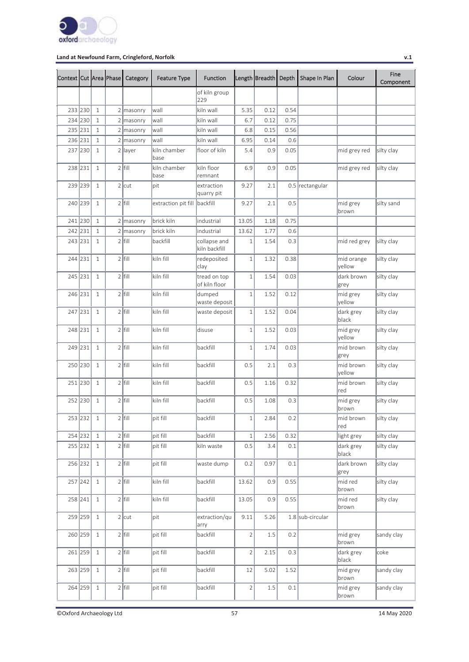

| Context Cut Area Phase |         |              | Category    | <b>Feature Type</b>          | <b>Function</b>               |                | Length Breadth | Depth   | Shape In Plan    | Colour               | Fine<br>Component |
|------------------------|---------|--------------|-------------|------------------------------|-------------------------------|----------------|----------------|---------|------------------|----------------------|-------------------|
|                        |         |              |             |                              | of kiln group<br>229          |                |                |         |                  |                      |                   |
|                        | 233 230 | $\mathbf{1}$ | $2$ masonry | wall                         | kiln wall                     | 5.35           | 0.12           | 0.54    |                  |                      |                   |
|                        | 234 230 | $\mathbf{1}$ | $2$ masonry | wall                         | kiln wall                     | 6.7            | 0.12           | 0.75    |                  |                      |                   |
| 235 231                |         | $\mathbf{1}$ | 2 masonry   | wall                         | kiln wall                     | 6.8            | 0.15           | 0.56    |                  |                      |                   |
| 236 231                |         | $1\,$        | 2 masonry   | wall                         | kiln wall                     | 6.95           | 0.14           | 0.6     |                  |                      |                   |
| 237                    | 230     | $\mathbf{1}$ | $2$ layer   | kiln chamber<br>lbase        | floor of kiln                 | 5.4            | 0.9            | 0.05    |                  | mid grey red         | silty clay        |
| 238 231                |         | $\mathbf{1}$ | $2$ fill    | kiln chamber<br>base         | kiln floor<br>remnant         | 6.9            | 0.9            | 0.05    |                  | mid grey red         | silty clay        |
|                        | 239 239 | $\mathbf{1}$ | $2$ cut     | pit                          | extraction<br>quarry pit      | 9.27           | 2.1            |         | 0.5 rectangular  |                      |                   |
|                        | 240 239 | $\mathbf{1}$ | $2$ fill    | extraction pit fill backfill |                               | 9.27           | 2.1            | 0.5     |                  | mid grey<br>brown    | silty sand        |
|                        | 241 230 | $\mathbf{1}$ | $2$ masonry | brick kiln                   | industrial                    | 13.05          | 1.18           | 0.75    |                  |                      |                   |
| 242 231                |         | $\mathbf{1}$ | $2$ masonry | brick kiln                   | industrial                    | 13.62          | 1.77           | 0.6     |                  |                      |                   |
|                        | 243 231 | $\mathbf{1}$ | $2$ fill    | backfill                     | collapse and<br>kiln backfill | $\mathbf 1$    | 1.54           | 0.3     |                  | mid red grey         | silty clay        |
|                        | 244 231 | $\mathbf{1}$ | $2$ fill    | kiln fill                    | redeposited<br>clay           | $1\,$          | 1.32           | 0.38    |                  | mid orange<br>vellow | silty clay        |
|                        | 245 231 | $\mathbf{1}$ | $2$ fill    | kiln fill                    | tread on top<br>of kiln floor | $\,1\,$        | 1.54           | 0.03    |                  | dark brown<br>grey   | silty clay        |
|                        | 246 231 | $\mathbf{1}$ | $2$  fill   | kiln fill                    | dumped<br>waste deposit       | $\mathbf 1$    | 1.52           | 0.12    |                  | mid grey<br>yellow   | silty clay        |
|                        | 247 231 | $\mathbf{1}$ | $2$ fill    | kiln fill                    | waste deposit                 | $1\,$          | 1.52           | 0.04    |                  | dark grey<br>black   | silty clay        |
| 248 231                |         | $\mathbf{1}$ | $2$ fill    | kiln fill                    | disuse                        | $\,1\,$        | 1.52           | 0.03    |                  | mid grey<br>yellow   | silty clay        |
| 249 231                |         | $\mathbf{1}$ | $2$ fill    | kiln fill                    | backfill                      | $\mathbf 1$    | 1.74           | 0.03    |                  | mid brown<br>grey    | silty clay        |
|                        | 250 230 | $\mathbf{1}$ | $2$  fill   | kiln fill                    | backfill                      | 0.5            | 2.1            | 0.3     |                  | mid brown<br>vellow  | silty clay        |
|                        | 251 230 | $\mathbf{1}$ | $2$ fill    | kiln fill                    | backfill                      | 0.5            | 1.16           | 0.32    |                  | mid brown<br>red     | silty clay        |
|                        | 252 230 | $\mathbf{1}$ | $2$ fill    | kiln fill                    | backfill                      | 0.5            | 1.08           | 0.3     |                  | mid grey<br>brown    | silty clay        |
|                        | 253 232 | $\mathbf{1}$ | $2$ fill    | pit fill                     | backfill                      | $\,1\,$        | 2.84           | 0.2     |                  | mid brown<br>red     | silty clay        |
|                        | 254 232 | $\mathbf{1}$ | $2$ fill    | pit fill                     | backfill                      | $\,1\,$        | 2.56           | 0.32    |                  | light grey           | silty clay        |
|                        | 255 232 | $\mathbf{1}$ | $2$ fill    | pit fill                     | kiln waste                    | 0.5            | 3.4            | 0.1     |                  | dark grey<br>black   | silty clay        |
|                        | 256 232 | $\mathbf{1}$ | $2$ fill    | pit fill                     | waste dump                    | 0.2            | 0.97           | 0.1     |                  | dark brown<br>grey   | silty clay        |
|                        | 257 242 | $\mathbf{1}$ | $2$ fill    | kiln fill                    | backfill                      | 13.62          | 0.9            | 0.55    |                  | mid red<br>brown     | silty clay        |
|                        | 258 241 | $\mathbf{1}$ | $2$ fill    | kiln fill                    | backfill                      | 13.05          | 0.9            | 0.55    |                  | mid red<br>brown     | silty clay        |
|                        | 259 259 | $\mathbf{1}$ | $2$ cut     | pit                          | extraction/qu<br>arry         | 9.11           | 5.26           |         | 1.8 sub-circular |                      |                   |
|                        | 260 259 | 1            | $2$ fill    | pit fill                     | backfill                      | $\overline{c}$ | $1.5\,$        | $0.2\,$ |                  | mid grey<br>brown    | sandy clay        |
|                        | 261 259 | $\mathbf{1}$ | $2$ fill    | pit fill                     | backfill                      | $\overline{2}$ | 2.15           | 0.3     |                  | dark grey<br>black   | coke              |
|                        | 263 259 | $\mathbf{1}$ | $2$ fill    | pit fill                     | backfill                      | 12             | 5.02           | 1.52    |                  | mid grey<br>brown    | sandy clay        |
|                        | 264 259 | 1            | $2$ fill    | pit fill                     | backfill                      | $\overline{c}$ | $1.5\,$        | 0.1     |                  | mid grey<br>brown    | sandy clay        |

©Oxford Archaeology Ltd 57 14 May 2020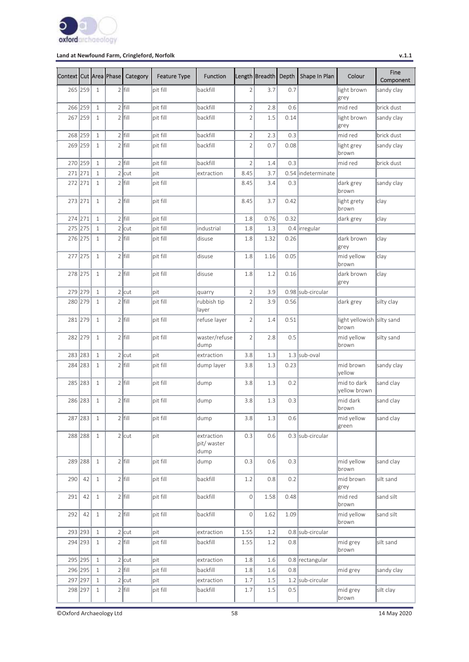

| Context Cut Area Phase |           |              | Category  | <b>Feature Type</b> | <b>Function</b>                   |                | Length Breadth | Depth | Shape In Plan       | Colour                              | Fine<br>Component |
|------------------------|-----------|--------------|-----------|---------------------|-----------------------------------|----------------|----------------|-------|---------------------|-------------------------------------|-------------------|
| 265 259                |           | $\mathbf{1}$ | $2$  fill | pit fill            | backfill                          | $\overline{2}$ | 3.7            | 0.7   |                     | light brown<br>grey                 | sandy clay        |
| 266 259                |           | $1\,$        | $2$ fill  | pit fill            | backfill                          | $\sqrt{2}$     | 2.8            | 0.6   |                     | mid red                             | brick dust        |
| 267 259                |           | 1            | $2$ fill  | pit fill            | backfill                          | $\overline{2}$ | 1.5            | 0.14  |                     | light brown<br>grey                 | sandy clay        |
| 268 259                |           | $1\,$        | $2$ fill  | pit fill            | backfill                          | $\overline{c}$ | 2.3            | 0.3   |                     | mid red                             | brick dust        |
| 269 259                |           | $\mathbf{1}$ | $2$ fill  | pit fill            | backfill                          | $\overline{2}$ | 0.7            | 0.08  |                     | light grey<br>brown                 | sandy clay        |
| 270 259                |           | $1\,$        | $2$ fill  | pit fill            | backfill                          | $\overline{2}$ | 1.4            | 0.3   |                     | mid red                             | brick dust        |
| 271 271                |           | $\mathbf{1}$ | $2$ cut   | pit                 | extraction                        | 8.45           | 3.7            |       | 0.54  indeterminate |                                     |                   |
| 272 271                |           | $\mathbf{1}$ | $2$ fill  | pit fill            |                                   | 8.45           | 3.4            | 0.3   |                     | dark grey<br>brown                  | sandy clay        |
| 273 271                |           | $\mathbf{1}$ | $2$ fill  | pit fill            |                                   | 8.45           | 3.7            | 0.42  |                     | light grety<br>brown                | clay              |
| 274 271                |           | $\mathbf{1}$ | $2$ fill  | pit fill            |                                   | 1.8            | 0.76           | 0.32  |                     | dark grey                           | clay              |
| 275 275                |           | $\mathbf{1}$ | $2$ cut   | pit fill            | industrial                        | 1.8            | 1.3            |       | 0.4 lirregular      |                                     |                   |
| 276 275                |           | $\mathbf{1}$ | $2$ fill  | pit fill            | disuse                            | 1.8            | 1.32           | 0.26  |                     | dark brown<br>grey                  | clay              |
| 277 275                |           | $\mathbf{1}$ | $2$ fill  | pit fill            | disuse                            | 1.8            | 1.16           | 0.05  |                     | mid yellow<br>brown                 | clay              |
| 278 275                |           | $\mathbf{1}$ | $2$ fill  | pit fill            | disuse                            | 1.8            | 1.2            | 0.16  |                     | dark brown<br>grey                  | clay              |
| 279 279                |           | $\mathbf{1}$ | $2$ cut   | pit                 | quarry                            | $\sqrt{2}$     | 3.9            |       | 0.98 sub-circular   |                                     |                   |
| 280 279                |           | 1            | $2$ fill  | pit fill            | rubbish tip<br>layer              | $\overline{2}$ | 3.9            | 0.56  |                     | dark grey                           | silty clay        |
| 281 279                |           | $\mathbf{1}$ | $2$ fill  | pit fill            | refuse layer                      | $\overline{2}$ | 1.4            | 0.51  |                     | light yellowish silty sand<br>brown |                   |
| 282 279                |           | $\mathbf{1}$ | $2$ fill  | pit fill            | waster/refuse<br>dump             | $\overline{2}$ | 2.8            | 0.5   |                     | mid yellow<br>brown                 | silty sand        |
| 283 283                |           | $\mathbf{1}$ | $2$ cut   | pit                 | extraction                        | 3.8            | 1.3            |       | $1.3$ sub-oval      |                                     |                   |
| 284 283                |           | 1            | $2$ fill  | pit fill            | dump layer                        | 3.8            | 1.3            | 0.23  |                     | mid brown<br>yellow                 | sandy clay        |
| 285 283                |           | $\mathbf{1}$ | $2$ fill  | pit fill            | dump                              | 3.8            | 1.3            | 0.2   |                     | mid to dark<br>yellow brown         | sand clay         |
| 286 283                |           | 1            | $2$ fill  | pit fill            | dump                              | 3.8            | 1.3            | 0.3   |                     | mid dark<br>brown                   | sand clay         |
|                        | 287 283 1 |              | $2$ fill  | pit fill            | dump                              | 3.8            | 1.3            | 0.6   |                     | mid yellow<br>green                 | sand clay         |
|                        | 288 288   | 1            | $2$ cut   | pit                 | extraction<br>pit/ waster<br>dump | 0.3            | 0.6            |       | 0.3 sub-circular    |                                     |                   |
|                        | 289 288   | $\mathbf{1}$ | $2$ fill  | pit fill            | dump                              | 0.3            | 0.6            | 0.3   |                     | mid yellow<br>brown                 | sand clay         |
| 290                    | 42        | $\mathbf{1}$ | $2$ fill  | pit fill            | backfill                          | 1.2            | 0.8            | 0.2   |                     | mid brown<br>grey                   | silt sand         |
| 291                    | 42        | $\mathbf{1}$ | $2$ fill  | pit fill            | backfill                          | $\overline{O}$ | 1.58           | 0.48  |                     | mid red<br>brown                    | sand silt         |
| 292                    | 42        | $\mathbf{1}$ | $2$ fill  | pit fill            | backfill                          | 0              | 1.62           | 1.09  |                     | mid yellow<br>brown                 | sand silt         |
| 293 293                |           | $\mathbf{1}$ | $2$ cut   | pit                 | extraction                        | 1.55           | 1.2            |       | 0.8 sub-circular    |                                     |                   |
| 294 293                |           | $\mathbf{1}$ | $2$ fill  | pit fill            | backfill                          | 1.55           | 1.2            | 0.8   |                     | mid grey<br>brown                   | silt sand         |
| 295 295                |           | $\mathbf{1}$ | $2$ cut   | pit                 | extraction                        | 1.8            | 1.6            |       | 0.8 rectangular     |                                     |                   |
| 296 295                |           | $\mathbf{1}$ | $2$ fill  | pit fill            | backfill                          | 1.8            | 1.6            | 0.8   |                     | mid grey                            | sandy clay        |
| 297 297                |           | $\mathbf{1}$ | $2$ cut   | pit                 | extraction                        | 1.7            | 1.5            |       | 1.2 sub-circular    |                                     |                   |
| 298 297                |           | $\mathbf{1}$ | $2$ fill  | pit fill            | backfill                          | 1.7            | $1.5\,$        | 0.5   |                     | mid grey<br>brown                   | silt clay         |

©Oxford Archaeology Ltd 58 14 May 2020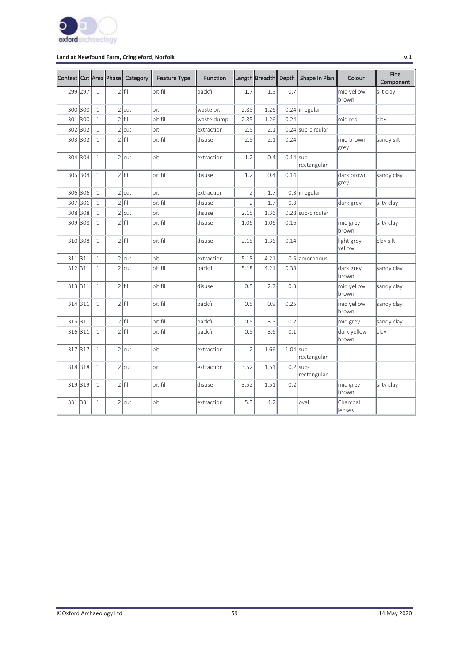

| Context Cut Area Phase |         |              | Category  | <b>Feature Type</b> | <b>Function</b> |                | Length Breadth Depth |             | Shape In Plan             | Colour               | Fine<br>Component |
|------------------------|---------|--------------|-----------|---------------------|-----------------|----------------|----------------------|-------------|---------------------------|----------------------|-------------------|
| 299 297                |         | $\mathbf{1}$ | $2$ fill  | pit fill            | backfill        | 1.7            | 1.5                  | 0.7         |                           | mid yellow<br>brown  | silt clay         |
| 300 300                |         | $1\,$        | $2$ cut   | lpit                | waste pit       | 2.85           | 1.26                 |             | 0.24 lirregular           |                      |                   |
| 301 300                |         | $\mathbf{1}$ | $2$ fill  | pit fill            | waste dump      | 2.85           | 1.26                 | 0.24        |                           | mid red              | clay              |
| 302                    | 302     | $\mathbf{1}$ | $2$ cut   | lpit                | extraction      | 2.5            | 2.1                  |             | 0.24 sub-circular         |                      |                   |
| 303 302                |         | $\mathbf{1}$ | $2$  fill | bit fill            | ldisuse         | 2.5            | 2.1                  | 0.24        |                           | mid brown<br>grey    | sandy silt        |
|                        | 304 304 | $\mathbf{1}$ | $2$ cut   | lpit                | extraction      | 1.2            | 0.4                  | $0.14$ sub- | rectangular               |                      |                   |
|                        | 305 304 | $\mathbf{1}$ | $2$ fill  | bit fill            | disuse          | 1.2            | 0.4                  | 0.14        |                           | dark brown<br>grey   | sandy clay        |
|                        | 306 306 | $\mathbf{1}$ | $2$ cut   | lpit                | extraction      | $\overline{2}$ | 1.7                  |             | 0.3 lirregular            |                      |                   |
|                        | 307 306 | $\mathbf{1}$ | $2$ fill  | pit fill            | disuse          | $\overline{2}$ | 1.7                  | 0.3         |                           | dark grey            | silty clay        |
| 308                    | 308     | $\mathbf{1}$ | $2$ cut   | pit                 | disuse          | 2.15           | 1.36                 |             | 0.28 sub-circular         |                      |                   |
| 309                    | 308     | $\mathbf{1}$ | $2$ fill  | pit fill            | disuse          | 1.06           | 1.06                 | 0.16        |                           | mid grey<br>brown    | silty clay        |
|                        | 310 308 | $\mathbf{1}$ | $2$ fill  | pit fill            | disuse          | 2.15           | 1.36                 | 0.14        |                           | light grey<br>vellow | clay silt         |
| 311 311                |         | $\mathbf{1}$ | $2$ cut   | lpit                | extraction      | 5.18           | 4.21                 |             | 0.5 amorphous             |                      |                   |
| 312 311                |         | $\mathbf{1}$ | $2$ cut   | pit fill            | backfill        | 5.18           | 4.21                 | 0.38        |                           | dark grey<br>brown   | sandy clay        |
|                        | 313 311 | $\mathbf{1}$ | $2$ fill  | pit fill            | disuse          | 0.5            | 2.7                  | 0.3         |                           | mid yellow<br>brown  | sandy clay        |
|                        | 314 311 | $\mathbf{1}$ | $2$ fill  | pit fill            | backfill        | 0.5            | 0.9                  | 0.25        |                           | mid yellow<br>brown  | sandy clay        |
|                        | 315 311 | $\mathbf{1}$ | $2$ fill  | pit fill            | backfill        | 0.5            | 3.5                  | 0.2         |                           | mid grey             | sandy clay        |
| 316 311                |         | $\mathbf{1}$ | $2$ fill  | lpit fill           | backfill        | 0.5            | 3.6                  | 0.1         |                           | dark yellow<br>brown | clay              |
| 317 317                |         | $\mathbf{1}$ | $2$ cut   | lpit                | extraction      | $\overline{2}$ | 1.66                 | $1.04$ sub- | rectangular               |                      |                   |
|                        | 318 318 | 1            | $2$ cut   | lpit                | extraction      | 3.52           | 1.51                 |             | $0.2$ sub-<br>rectangular |                      |                   |
|                        | 319 319 | $\mathbf{1}$ | $2$ fill  | pit fill            | disuse          | 3.52           | 1.51                 | 0.2         |                           | mid grey<br>brown    | silty clay        |
|                        | 331 331 | $\mathbf{1}$ | $2$ cut   | lpit                | extraction      | 5.3            | 4.2                  |             | loval                     | Charcoal<br>lenses   |                   |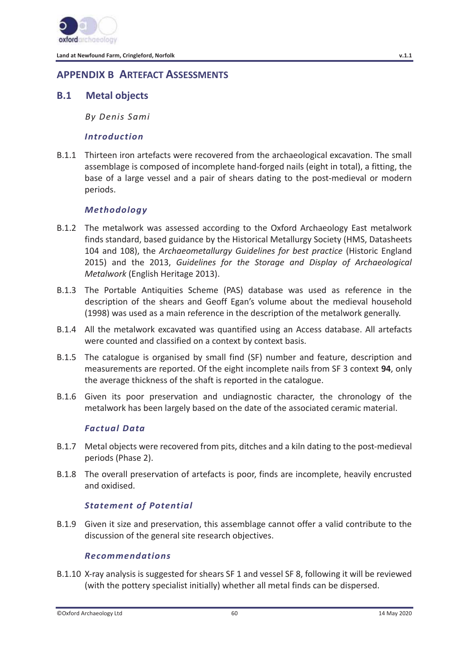

# **APPENDIX B ARTEFACT ASSESSMENTS**

## **B.1 Metal objects**

*By Denis Sami* 

### *Introduction*

B.1.1 Thirteen iron artefacts were recovered from the archaeological excavation. The small assemblage is composed of incomplete hand-forged nails (eight in total), a fitting, the base of a large vessel and a pair of shears dating to the post-medieval or modern periods.

## *Methodology*

- B.1.2 The metalwork was assessed according to the Oxford Archaeology East metalwork finds standard, based guidance by the Historical Metallurgy Society (HMS, Datasheets 104 and 108), the *Archaeometallurgy Guidelines for best practice* (Historic England 2015) and the 2013, *Guidelines for the Storage and Display of Archaeological Metalwork* (English Heritage 2013).
- B.1.3 The Portable Antiquities Scheme (PAS) database was used as reference in the description of the shears and Geoff Egan's volume about the medieval household (1998) was used as a main reference in the description of the metalwork generally.
- B.1.4 All the metalwork excavated was quantified using an Access database. All artefacts were counted and classified on a context by context basis.
- B.1.5 The catalogue is organised by small find (SF) number and feature, description and measurements are reported. Of the eight incomplete nails from SF 3 context **94**, only the average thickness of the shaft is reported in the catalogue.
- B.1.6 Given its poor preservation and undiagnostic character, the chronology of the metalwork has been largely based on the date of the associated ceramic material.

### *Factual Data*

- B.1.7 Metal objects were recovered from pits, ditches and a kiln dating to the post-medieval periods (Phase 2).
- B.1.8 The overall preservation of artefacts is poor, finds are incomplete, heavily encrusted and oxidised.

## *Statement of Potential*

B.1.9 Given it size and preservation, this assemblage cannot offer a valid contribute to the discussion of the general site research objectives.

### *Recommendations*

B.1.10 X-ray analysis is suggested for shears SF 1 and vessel SF 8, following it will be reviewed (with the pottery specialist initially) whether all metal finds can be dispersed.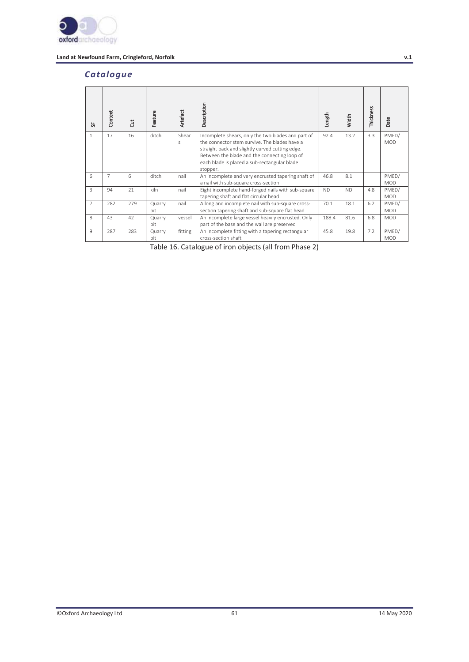

## *Catalogue*

| 눖              | Context | ă   | Feature       | Artefact   | Description                                                                                                                                                                                                                                                        | Length    | Width     | Thickness | Date                |
|----------------|---------|-----|---------------|------------|--------------------------------------------------------------------------------------------------------------------------------------------------------------------------------------------------------------------------------------------------------------------|-----------|-----------|-----------|---------------------|
| $\mathbf{1}$   | 17      | 16  | ditch         | Shear<br>S | Incomplete shears, only the two blades and part of<br>the connector stem survive. The blades have a<br>straight back and slightly curved cutting edge.<br>Between the blade and the connecting loop of<br>each blade is placed a sub-rectangular blade<br>stopper. | 92.4      | 13.2      | 3.3       | PMED/<br><b>MOD</b> |
| 6              | 7       | 6   | ditch         | nail       | An incomplete and very encrusted tapering shaft of<br>a nail with sub-square cross-section                                                                                                                                                                         | 46.8      | 8.1       |           | PMED/<br><b>MOD</b> |
| 3              | 94      | 21  | kiln          | nail       | Eight incomplete hand-forged nails with sub-square<br>tapering shaft and flat circular head                                                                                                                                                                        | <b>ND</b> | <b>ND</b> | 4.8       | PMED/<br><b>MOD</b> |
| $\overline{7}$ | 282     | 279 | Quarry<br>pit | nail       | A long and incomplete nail with sub-square cross-<br>section tapering shaft and sub-square flat head                                                                                                                                                               | 70.1      | 18.1      | 6.2       | PMED/<br><b>MOD</b> |
| 8              | 43      | 42  | Quarry<br>pit | vessel     | An incomplete large vessel heavily encrusted. Only<br>part of the base and the wall are preserved                                                                                                                                                                  | 188.4     | 81.6      | 6.8       | <b>MOD</b>          |
| 9              | 287     | 283 | Quarry<br>pit | fitting    | An incomplete fitting with a tapering rectangular<br>cross-section shaft                                                                                                                                                                                           | 45.8      | 19.8      | 7.2       | PMED/<br><b>MOD</b> |

Table 16. Catalogue of iron objects (all from Phase 2)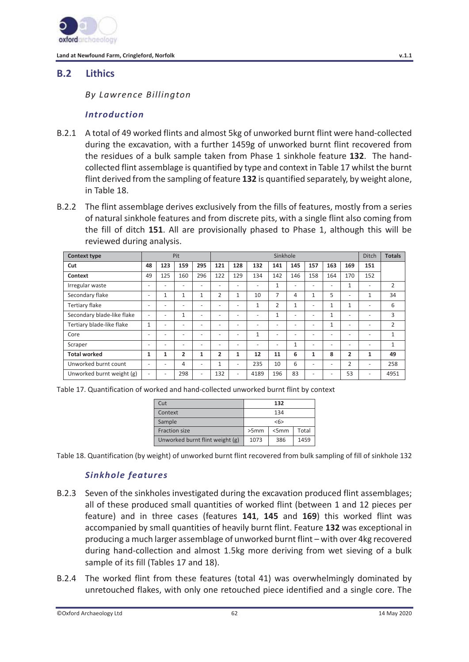

## **B.2 Lithics**

*By Lawrence Billington* 

## *Introduction*

- B.2.1 A total of 49 worked flints and almost 5kg of unworked burnt flint were hand-collected during the excavation, with a further 1459g of unworked burnt flint recovered from the residues of a bulk sample taken from Phase 1 sinkhole feature **132**. The handcollected flint assemblage is quantified by type and context in Table 17 whilst the burnt flint derived from the sampling of feature **132** is quantified separately, by weight alone, in Table 18.
- B.2.2 The flint assemblage derives exclusively from the fills of features, mostly from a series of natural sinkhole features and from discrete pits, with a single flint also coming from the fill of ditch **151**. All are provisionally phased to Phase 1, although this will be reviewed during analysis.

| <b>Context type</b>        |                          |     | Pit                      |                          |                          | Sinkhole                 |                          |                          |              |                          |                          |                          | <b>Ditch</b>             | <b>Totals</b>  |
|----------------------------|--------------------------|-----|--------------------------|--------------------------|--------------------------|--------------------------|--------------------------|--------------------------|--------------|--------------------------|--------------------------|--------------------------|--------------------------|----------------|
| Cut                        | 48                       | 123 | 159                      | 295                      | 121                      | 128                      | 132                      | 141                      | 145          | 157                      | 163                      | 169                      | 151                      |                |
| Context                    | 49                       | 125 | 160                      | 296                      | 122                      | 129                      | 134                      | 142                      | 146          | 158                      | 164                      | 170                      | 152                      |                |
| Irregular waste            | $\overline{\phantom{a}}$ | ۰   | ٠                        | $\overline{\phantom{a}}$ | $\overline{\phantom{0}}$ | -                        | -                        | 1                        | ٠            | $\overline{\phantom{a}}$ | $\overline{\phantom{a}}$ | 1                        | ٠                        | 2              |
| Secondary flake            | $\overline{\phantom{a}}$ | 1   | $\mathbf{1}$             | $\mathbf{1}$             | $\overline{2}$           |                          | 10                       | 7                        | 4            | 1                        | 5                        | $\overline{\phantom{a}}$ | $\mathbf{1}$             | 34             |
| <b>Tertiary flake</b>      | $\overline{\phantom{a}}$ | ۰   | ٠                        | $\overline{\phantom{0}}$ | $\overline{\phantom{0}}$ | -                        | 1                        | $\overline{2}$           | 1            | $\overline{\phantom{a}}$ | 1                        | 1                        |                          | 6              |
| Secondary blade-like flake | $\overline{\phantom{a}}$ | ۰   | $\mathbf{1}$             | $\overline{\phantom{0}}$ | $\overline{\phantom{0}}$ | $\overline{\phantom{0}}$ | -                        | $\mathbf{1}$             | ٠            | $\overline{\phantom{0}}$ | $\mathbf{1}$             | $\overline{\phantom{a}}$ | -                        | 3              |
| Tertiary blade-like flake  | $\mathbf{1}$             | ٠   | $\overline{\phantom{a}}$ | $\overline{\phantom{0}}$ | $\overline{\phantom{0}}$ | -                        | -                        | $\overline{\phantom{a}}$ | ٠            | $\overline{\phantom{a}}$ | 1                        | $\overline{\phantom{a}}$ | ٠                        | $\overline{2}$ |
| Core                       | $\overline{\phantom{a}}$ | ٠   | $\overline{\phantom{a}}$ | $\overline{\phantom{0}}$ | $\overline{\phantom{0}}$ | ٠                        | $\mathbf{1}$             | $\overline{\phantom{a}}$ | ٠            | ٠                        | $\overline{\phantom{a}}$ | $\overline{\phantom{a}}$ | ٠                        | $\mathbf{1}$   |
| Scraper                    | $\overline{\phantom{a}}$ | ٠   | ٠                        | $\overline{\phantom{0}}$ | $\equiv$                 | $\overline{\phantom{0}}$ | $\overline{\phantom{0}}$ | $\overline{\phantom{a}}$ | $\mathbf{1}$ | $\overline{\phantom{a}}$ | $\overline{\phantom{a}}$ | $\overline{\phantom{a}}$ | $\overline{\phantom{a}}$ | $\mathbf{1}$   |
| <b>Total worked</b>        | $\mathbf{1}$             | 1   | 2                        | 1                        | $\overline{2}$           | 1                        | 12                       | 11                       | 6            | 1                        | 8                        | $\overline{2}$           | 1                        | 49             |
| Unworked burnt count       | $\overline{\phantom{a}}$ | ٠   | 4                        | $\overline{\phantom{0}}$ | 1                        | -                        | 235                      | 10                       | 6            | ٠                        | $\overline{\phantom{a}}$ | 2                        | ٠                        | 258            |
| Unworked burnt weight (g)  | $\overline{\phantom{a}}$ | ٠   | 298                      | $\overline{\phantom{0}}$ | 132                      | -                        | 4189                     | 196                      | 83           | ٠                        | $\overline{\phantom{a}}$ | 53                       |                          | 4951           |

Table 17. Quantification of worked and hand-collected unworked burnt flint by context

| Cut                             |      | 132  |       |
|---------------------------------|------|------|-------|
| Context                         |      | 134  |       |
| Sample                          |      | 55   |       |
| <b>Fraction size</b>            | >5mm | <5mm | Total |
| Unworked burnt flint weight (g) | 1073 | 386  | 1459  |

Table 18. Quantification (by weight) of unworked burnt flint recovered from bulk sampling of fill of sinkhole 132

## *Sinkhole features*

- B.2.3 Seven of the sinkholes investigated during the excavation produced flint assemblages; all of these produced small quantities of worked flint (between 1 and 12 pieces per feature) and in three cases (features **141**, **145** and **169**) this worked flint was accompanied by small quantities of heavily burnt flint. Feature **132** was exceptional in producing a much larger assemblage of unworked burnt flint – with over 4kg recovered during hand-collection and almost 1.5kg more deriving from wet sieving of a bulk sample of its fill (Tables 17 and 18).
- B.2.4 The worked flint from these features (total 41) was overwhelmingly dominated by unretouched flakes, with only one retouched piece identified and a single core. The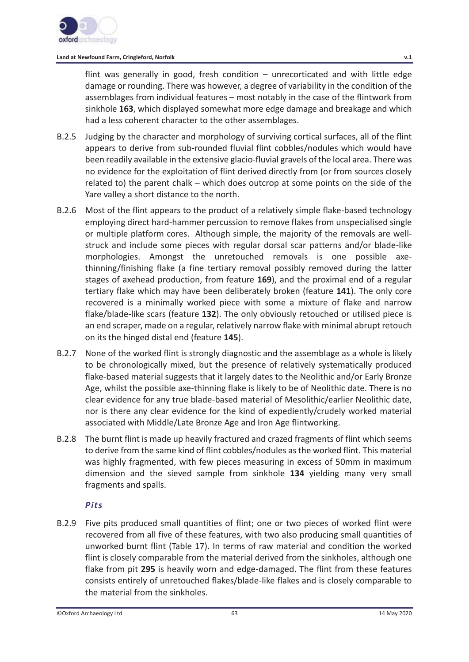

flint was generally in good, fresh condition – unrecorticated and with little edge damage or rounding. There was however, a degree of variability in the condition of the assemblages from individual features – most notably in the case of the flintwork from sinkhole **163**, which displayed somewhat more edge damage and breakage and which had a less coherent character to the other assemblages.

- B.2.5 Judging by the character and morphology of surviving cortical surfaces, all of the flint appears to derive from sub-rounded fluvial flint cobbles/nodules which would have been readily available in the extensive glacio-fluvial gravels of the local area. There was no evidence for the exploitation of flint derived directly from (or from sources closely related to) the parent chalk – which does outcrop at some points on the side of the Yare valley a short distance to the north.
- B.2.6 Most of the flint appears to the product of a relatively simple flake-based technology employing direct hard-hammer percussion to remove flakes from unspecialised single or multiple platform cores. Although simple, the majority of the removals are wellstruck and include some pieces with regular dorsal scar patterns and/or blade-like morphologies. Amongst the unretouched removals is one possible axethinning/finishing flake (a fine tertiary removal possibly removed during the latter stages of axehead production, from feature **169**), and the proximal end of a regular tertiary flake which may have been deliberately broken (feature **141**). The only core recovered is a minimally worked piece with some a mixture of flake and narrow flake/blade-like scars (feature **132**). The only obviously retouched or utilised piece is an end scraper, made on a regular, relatively narrow flake with minimal abrupt retouch on its the hinged distal end (feature **145**).
- B.2.7 None of the worked flint is strongly diagnostic and the assemblage as a whole is likely to be chronologically mixed, but the presence of relatively systematically produced flake-based material suggests that it largely dates to the Neolithic and/or Early Bronze Age, whilst the possible axe-thinning flake is likely to be of Neolithic date. There is no clear evidence for any true blade-based material of Mesolithic/earlier Neolithic date, nor is there any clear evidence for the kind of expediently/crudely worked material associated with Middle/Late Bronze Age and Iron Age flintworking.
- B.2.8 The burnt flint is made up heavily fractured and crazed fragments of flint which seems to derive from the same kind of flint cobbles/nodules as the worked flint. This material was highly fragmented, with few pieces measuring in excess of 50mm in maximum dimension and the sieved sample from sinkhole **134** yielding many very small fragments and spalls.

## *Pits*

B.2.9 Five pits produced small quantities of flint; one or two pieces of worked flint were recovered from all five of these features, with two also producing small quantities of unworked burnt flint (Table 17). In terms of raw material and condition the worked flint is closely comparable from the material derived from the sinkholes, although one flake from pit **295** is heavily worn and edge-damaged. The flint from these features consists entirely of unretouched flakes/blade-like flakes and is closely comparable to the material from the sinkholes.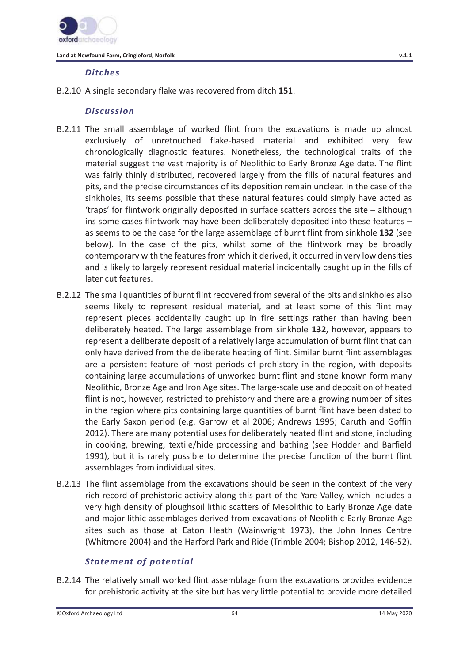

## *Ditches*

B.2.10 A single secondary flake was recovered from ditch **151**.

## *Discussion*

- B.2.11 The small assemblage of worked flint from the excavations is made up almost exclusively of unretouched flake-based material and exhibited very few chronologically diagnostic features. Nonetheless, the technological traits of the material suggest the vast majority is of Neolithic to Early Bronze Age date. The flint was fairly thinly distributed, recovered largely from the fills of natural features and pits, and the precise circumstances of its deposition remain unclear. In the case of the sinkholes, its seems possible that these natural features could simply have acted as 'traps' for flintwork originally deposited in surface scatters across the site – although ins some cases flintwork may have been deliberately deposited into these features – as seems to be the case for the large assemblage of burnt flint from sinkhole **132** (see below). In the case of the pits, whilst some of the flintwork may be broadly contemporary with the features from which it derived, it occurred in very low densities and is likely to largely represent residual material incidentally caught up in the fills of later cut features.
- B.2.12 The small quantities of burnt flint recovered from several of the pits and sinkholes also seems likely to represent residual material, and at least some of this flint may represent pieces accidentally caught up in fire settings rather than having been deliberately heated. The large assemblage from sinkhole **132**, however, appears to represent a deliberate deposit of a relatively large accumulation of burnt flint that can only have derived from the deliberate heating of flint. Similar burnt flint assemblages are a persistent feature of most periods of prehistory in the region, with deposits containing large accumulations of unworked burnt flint and stone known form many Neolithic, Bronze Age and Iron Age sites. The large-scale use and deposition of heated flint is not, however, restricted to prehistory and there are a growing number of sites in the region where pits containing large quantities of burnt flint have been dated to the Early Saxon period (e.g. Garrow et al 2006; Andrews 1995; Caruth and Goffin 2012). There are many potential uses for deliberately heated flint and stone, including in cooking, brewing, textile/hide processing and bathing (see Hodder and Barfield 1991), but it is rarely possible to determine the precise function of the burnt flint assemblages from individual sites.
- B.2.13 The flint assemblage from the excavations should be seen in the context of the very rich record of prehistoric activity along this part of the Yare Valley, which includes a very high density of ploughsoil lithic scatters of Mesolithic to Early Bronze Age date and major lithic assemblages derived from excavations of Neolithic-Early Bronze Age sites such as those at Eaton Heath (Wainwright 1973), the John Innes Centre (Whitmore 2004) and the Harford Park and Ride (Trimble 2004; Bishop 2012, 146-52).

## *Statement of potential*

B.2.14 The relatively small worked flint assemblage from the excavations provides evidence for prehistoric activity at the site but has very little potential to provide more detailed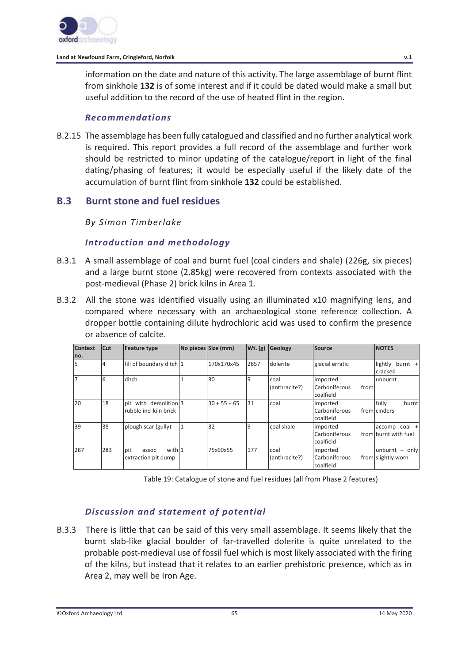

information on the date and nature of this activity. The large assemblage of burnt flint from sinkhole **132** is of some interest and if it could be dated would make a small but useful addition to the record of the use of heated flint in the region.

### *Recommendations*

B.2.15 The assemblage has been fully catalogued and classified and no further analytical work is required. This report provides a full record of the assemblage and further work should be restricted to minor updating of the catalogue/report in light of the final dating/phasing of features; it would be especially useful if the likely date of the accumulation of burnt flint from sinkhole **132** could be established.

## **B.3 Burnt stone and fuel residues**

*By Simon Timberlake* 

## *Introduction and methodology*

- B.3.1 A small assemblage of coal and burnt fuel (coal cinders and shale) (226g, six pieces) and a large burnt stone (2.85kg) were recovered from contexts associated with the post-medieval (Phase 2) brick kilns in Area 1.
- B.3.2 All the stone was identified visually using an illuminated x10 magnifying lens, and compared where necessary with an archaeological stone reference collection. A dropper bottle containing dilute hydrochloric acid was used to confirm the presence or absence of calcite.

| <b>Context</b><br>no. | Cut | <b>Feature type</b>                                       | No pieces Size (mm) | Wt. (g) | Geology               | Source                                         | <b>NOTES</b>                          |
|-----------------------|-----|-----------------------------------------------------------|---------------------|---------|-----------------------|------------------------------------------------|---------------------------------------|
| 5                     | 4   | fill of boundary ditch 1                                  | 170x170x45          | 2857    | dolerite              | glacial erratic                                | lightly<br>$burnt +$<br>cracked       |
| 17                    | 6   | ditch                                                     | 30                  | 19      | coal<br>(anthracite?) | imported<br>Carboniferous<br>from<br>coalfield | unburnt                               |
| 20                    | 18  | with demolition 3<br><b>pit</b><br>rubble incl kiln brick | $30 + 55 + 65$      | 31      | coal                  | imported<br>Carboniferous<br>coalfield         | fully<br>burnt<br>from cinders        |
| 39                    | 38  | plough scar (gully)                                       | 32                  | 19      | coal shale            | imported<br>Carboniferous<br>coalfield         | accomp coal +<br>from burnt with fuel |
| 287                   | 283 | with 1<br>pit<br>assoc<br>extraction pit dump             | 75x60x55            | 177     | coal<br>(anthracite?) | imported<br>Carboniferous<br>coalfield         | unburnt - only<br>from slightly worn  |

Table 19: Catalogue of stone and fuel residues (all from Phase 2 features)

## *Discussion and statement of potential*

B.3.3 There is little that can be said of this very small assemblage. It seems likely that the burnt slab-like glacial boulder of far-travelled dolerite is quite unrelated to the probable post-medieval use of fossil fuel which is most likely associated with the firing of the kilns, but instead that it relates to an earlier prehistoric presence, which as in Area 2, may well be Iron Age.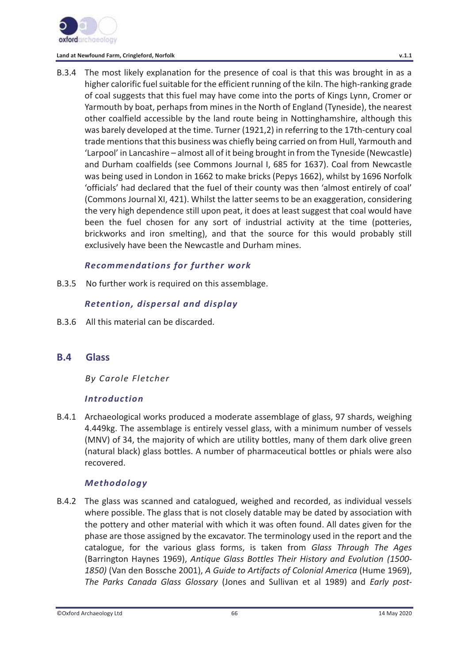

B.3.4 The most likely explanation for the presence of coal is that this was brought in as a higher calorific fuel suitable for the efficient running of the kiln. The high-ranking grade of coal suggests that this fuel may have come into the ports of Kings Lynn, Cromer or Yarmouth by boat, perhaps from mines in the North of England (Tyneside), the nearest other coalfield accessible by the land route being in Nottinghamshire, although this was barely developed at the time. Turner (1921,2) in referring to the 17th-century coal trade mentions that this business was chiefly being carried on from Hull, Yarmouth and 'Larpool' in Lancashire – almost all of it being brought in from the Tyneside (Newcastle) and Durham coalfields (see Commons Journal I, 685 for 1637). Coal from Newcastle was being used in London in 1662 to make bricks (Pepys 1662), whilst by 1696 Norfolk 'officials' had declared that the fuel of their county was then 'almost entirely of coal' (Commons Journal XI, 421). Whilst the latter seems to be an exaggeration, considering the very high dependence still upon peat, it does at least suggest that coal would have been the fuel chosen for any sort of industrial activity at the time (potteries, brickworks and iron smelting), and that the source for this would probably still exclusively have been the Newcastle and Durham mines.

## *Recommendations for further work*

B.3.5 No further work is required on this assemblage.

## *Retention, dispersal and display*

B.3.6 All this material can be discarded.

## **B.4 Glass**

*By Carole Fletcher* 

### *Introduction*

B.4.1 Archaeological works produced a moderate assemblage of glass, 97 shards, weighing 4.449kg. The assemblage is entirely vessel glass, with a minimum number of vessels (MNV) of 34, the majority of which are utility bottles, many of them dark olive green (natural black) glass bottles. A number of pharmaceutical bottles or phials were also recovered.

## *Methodology*

B.4.2 The glass was scanned and catalogued, weighed and recorded, as individual vessels where possible. The glass that is not closely datable may be dated by association with the pottery and other material with which it was often found. All dates given for the phase are those assigned by the excavator. The terminology used in the report and the catalogue, for the various glass forms, is taken from *Glass Through The Ages* (Barrington Haynes 1969), *Antique Glass Bottles Their History and Evolution (1500- 1850)* (Van den Bossche 2001), *A Guide to Artifacts of Colonial America* (Hume 1969), *The Parks Canada Glass Glossary* (Jones and Sullivan et al 1989) and *Early post-*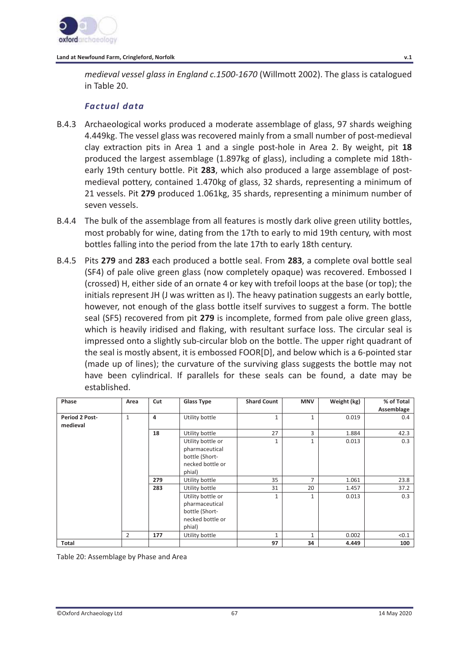

*medieval vessel glass in England c.1500-1670* (Willmott 2002). The glass is catalogued in Table 20.

## *Factual data*

- B.4.3 Archaeological works produced a moderate assemblage of glass, 97 shards weighing 4.449kg. The vessel glass was recovered mainly from a small number of post-medieval clay extraction pits in Area 1 and a single post-hole in Area 2. By weight, pit **18** produced the largest assemblage (1.897kg of glass), including a complete mid 18thearly 19th century bottle. Pit **283**, which also produced a large assemblage of postmedieval pottery, contained 1.470kg of glass, 32 shards, representing a minimum of 21 vessels. Pit **279** produced 1.061kg, 35 shards, representing a minimum number of seven vessels.
- B.4.4 The bulk of the assemblage from all features is mostly dark olive green utility bottles, most probably for wine, dating from the 17th to early to mid 19th century, with most bottles falling into the period from the late 17th to early 18th century.
- B.4.5 Pits **279** and **283** each produced a bottle seal. From **283**, a complete oval bottle seal (SF4) of pale olive green glass (now completely opaque) was recovered. Embossed I (crossed) H, either side of an ornate 4 or key with trefoil loops at the base (or top); the initials represent JH (J was written as I). The heavy patination suggests an early bottle, however, not enough of the glass bottle itself survives to suggest a form. The bottle seal (SF5) recovered from pit **279** is incomplete, formed from pale olive green glass, which is heavily iridised and flaking, with resultant surface loss. The circular seal is impressed onto a slightly sub-circular blob on the bottle. The upper right quadrant of the seal is mostly absent, it is embossed FOOR[D], and below which is a 6-pointed star (made up of lines); the curvature of the surviving glass suggests the bottle may not have been cylindrical. If parallels for these seals can be found, a date may be established.

| Phase          | Area           | Cut | <b>Glass Type</b> | <b>Shard Count</b> | <b>MNV</b>   | Weight (kg) | % of Total |
|----------------|----------------|-----|-------------------|--------------------|--------------|-------------|------------|
|                |                |     |                   |                    |              |             | Assemblage |
| Period 2 Post- | 1              | 4   | Utility bottle    | 1                  | $\mathbf{1}$ | 0.019       | 0.4        |
| medieval       |                |     |                   |                    |              |             |            |
|                |                | 18  | Utility bottle    | 27                 | 3            | 1.884       | 42.3       |
|                |                |     | Utility bottle or | 1                  | 1            | 0.013       | 0.3        |
|                |                |     | pharmaceutical    |                    |              |             |            |
|                |                |     | bottle (Short-    |                    |              |             |            |
|                |                |     | necked bottle or  |                    |              |             |            |
|                |                |     | phial)            |                    |              |             |            |
|                |                |     |                   |                    |              |             |            |
|                |                | 279 | Utility bottle    | 35                 | 7            | 1.061       | 23.8       |
|                |                | 283 | Utility bottle    | 31                 | 20           | 1.457       | 37.2       |
|                |                |     | Utility bottle or | $\mathbf{1}$       | 1            | 0.013       | 0.3        |
|                |                |     | pharmaceutical    |                    |              |             |            |
|                |                |     | bottle (Short-    |                    |              |             |            |
|                |                |     | necked bottle or  |                    |              |             |            |
|                |                |     | phial)            |                    |              |             |            |
|                | $\overline{2}$ | 177 | Utility bottle    | $\mathbf{1}$       | 1            | 0.002       | < 0.1      |
| Total          |                |     |                   | 97                 | 34           | 4.449       | 100        |

Table 20: Assemblage by Phase and Area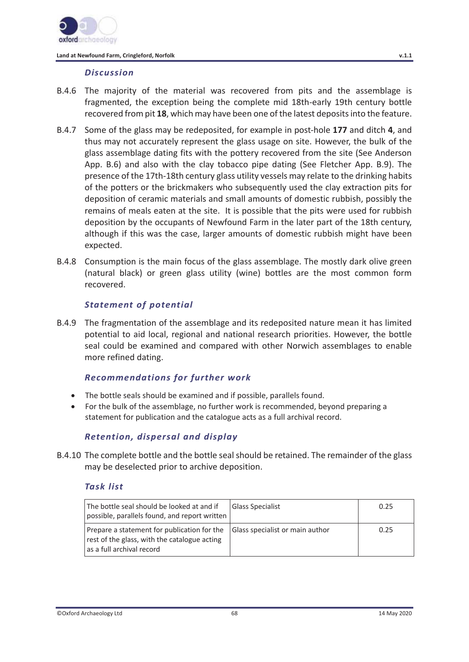

#### *Discussion*

- B.4.6 The majority of the material was recovered from pits and the assemblage is fragmented, the exception being the complete mid 18th-early 19th century bottle recovered from pit **18**, which may have been one of the latest deposits into the feature.
- B.4.7 Some of the glass may be redeposited, for example in post-hole **177** and ditch **4**, and thus may not accurately represent the glass usage on site. However, the bulk of the glass assemblage dating fits with the pottery recovered from the site (See Anderson App. B.6) and also with the clay tobacco pipe dating (See Fletcher App. B.9). The presence of the 17th-18th century glass utility vessels may relate to the drinking habits of the potters or the brickmakers who subsequently used the clay extraction pits for deposition of ceramic materials and small amounts of domestic rubbish, possibly the remains of meals eaten at the site. It is possible that the pits were used for rubbish deposition by the occupants of Newfound Farm in the later part of the 18th century, although if this was the case, larger amounts of domestic rubbish might have been expected.
- B.4.8 Consumption is the main focus of the glass assemblage. The mostly dark olive green (natural black) or green glass utility (wine) bottles are the most common form recovered.

### *Statement of potential*

B.4.9 The fragmentation of the assemblage and its redeposited nature mean it has limited potential to aid local, regional and national research priorities. However, the bottle seal could be examined and compared with other Norwich assemblages to enable more refined dating.

## *Recommendations for further work*

- The bottle seals should be examined and if possible, parallels found.
- For the bulk of the assemblage, no further work is recommended, beyond preparing a statement for publication and the catalogue acts as a full archival record.

## *Retention, dispersal and display*

B.4.10 The complete bottle and the bottle seal should be retained. The remainder of the glass may be deselected prior to archive deposition.

#### *Task list*

| The bottle seal should be looked at and if<br>possible, parallels found, and report written                              | <b>Glass Specialist</b>         | 0.25 |
|--------------------------------------------------------------------------------------------------------------------------|---------------------------------|------|
| Prepare a statement for publication for the<br>rest of the glass, with the catalogue acting<br>as a full archival record | Glass specialist or main author | 0.25 |

©Oxford Archaeology Ltd 68 14 May 2020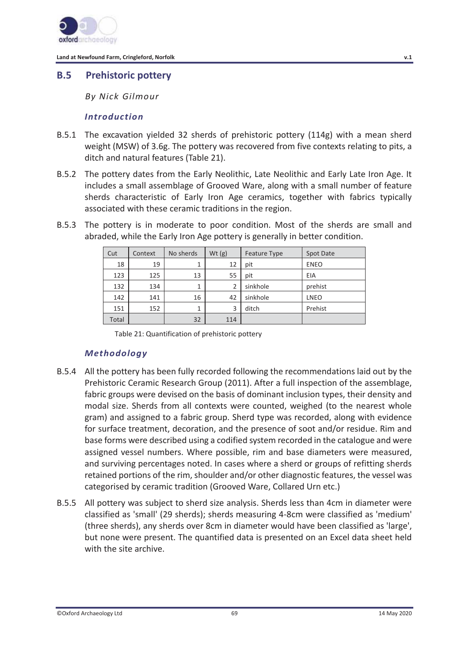

## **B.5 Prehistoric pottery**

*By Nick Gilmour* 

### *Introduction*

- B.5.1 The excavation yielded 32 sherds of prehistoric pottery (114g) with a mean sherd weight (MSW) of 3.6g. The pottery was recovered from five contexts relating to pits, a ditch and natural features (Table 21).
- B.5.2 The pottery dates from the Early Neolithic, Late Neolithic and Early Late Iron Age. It includes a small assemblage of Grooved Ware, along with a small number of feature sherds characteristic of Early Iron Age ceramics, together with fabrics typically associated with these ceramic traditions in the region.
- B.5.3 The pottery is in moderate to poor condition. Most of the sherds are small and abraded, while the Early Iron Age pottery is generally in better condition.

| Cut   | Context | No sherds | Wt(g) | <b>Feature Type</b> | Spot Date   |
|-------|---------|-----------|-------|---------------------|-------------|
| 18    | 19      |           | 12    | pit                 | <b>ENEO</b> |
| 123   | 125     | 13        | 55    | pit                 | EIA         |
| 132   | 134     | 1         | 2     | sinkhole            | prehist     |
| 142   | 141     | 16        | 42    | sinkhole            | <b>LNEO</b> |
| 151   | 152     | 1         | 3     | ditch               | Prehist     |
| Total |         | 32        | 114   |                     |             |

Table 21: Quantification of prehistoric pottery

## *Methodology*

- B.5.4 All the pottery has been fully recorded following the recommendations laid out by the Prehistoric Ceramic Research Group (2011). After a full inspection of the assemblage, fabric groups were devised on the basis of dominant inclusion types, their density and modal size. Sherds from all contexts were counted, weighed (to the nearest whole gram) and assigned to a fabric group. Sherd type was recorded, along with evidence for surface treatment, decoration, and the presence of soot and/or residue. Rim and base forms were described using a codified system recorded in the catalogue and were assigned vessel numbers. Where possible, rim and base diameters were measured, and surviving percentages noted. In cases where a sherd or groups of refitting sherds retained portions of the rim, shoulder and/or other diagnostic features, the vessel was categorised by ceramic tradition (Grooved Ware, Collared Urn etc.)
- B.5.5 All pottery was subject to sherd size analysis. Sherds less than 4cm in diameter were classified as 'small' (29 sherds); sherds measuring 4-8cm were classified as 'medium' (three sherds), any sherds over 8cm in diameter would have been classified as 'large', but none were present. The quantified data is presented on an Excel data sheet held with the site archive.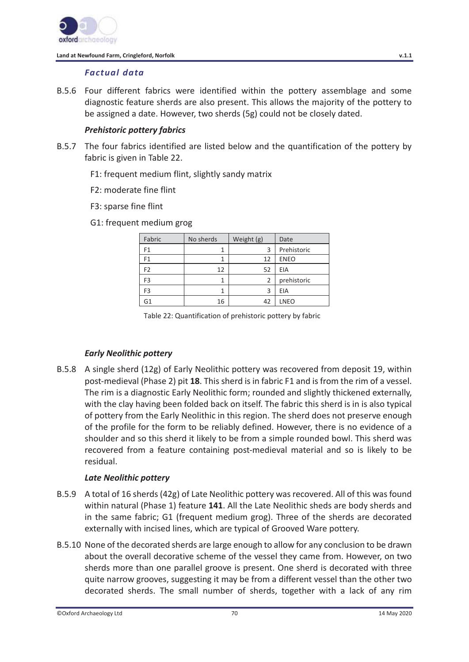

## *Factual data*

B.5.6 Four different fabrics were identified within the pottery assemblage and some diagnostic feature sherds are also present. This allows the majority of the pottery to be assigned a date. However, two sherds (5g) could not be closely dated.

## *Prehistoric pottery fabrics*

- B.5.7 The four fabrics identified are listed below and the quantification of the pottery by fabric is given in Table 22.
	- F1: frequent medium flint, slightly sandy matrix
	- F2: moderate fine flint
	- F3: sparse fine flint
	- G1: frequent medium grog

| Fabric         | No sherds | Weight (g) | Date        |
|----------------|-----------|------------|-------------|
| F1             |           | 3          | Prehistoric |
| F1             |           | 12         | <b>ENEO</b> |
| F <sub>2</sub> | 12        | 52         | EIA         |
| F3             |           | 2          | prehistoric |
| F <sub>3</sub> |           | 3          | EIA         |
|                | 16        | 42         | <b>LNEO</b> |

Table 22: Quantification of prehistoric pottery by fabric

## *Early Neolithic pottery*

B.5.8 A single sherd (12g) of Early Neolithic pottery was recovered from deposit 19, within post-medieval (Phase 2) pit **18**. This sherd is in fabric F1 and is from the rim of a vessel. The rim is a diagnostic Early Neolithic form; rounded and slightly thickened externally, with the clay having been folded back on itself. The fabric this sherd is in is also typical of pottery from the Early Neolithic in this region. The sherd does not preserve enough of the profile for the form to be reliably defined. However, there is no evidence of a shoulder and so this sherd it likely to be from a simple rounded bowl. This sherd was recovered from a feature containing post-medieval material and so is likely to be residual.

## *Late Neolithic pottery*

- B.5.9 A total of 16 sherds (42g) of Late Neolithic pottery was recovered. All of this was found within natural (Phase 1) feature **141**. All the Late Neolithic sheds are body sherds and in the same fabric; G1 (frequent medium grog). Three of the sherds are decorated externally with incised lines, which are typical of Grooved Ware pottery.
- B.5.10 None of the decorated sherds are large enough to allow for any conclusion to be drawn about the overall decorative scheme of the vessel they came from. However, on two sherds more than one parallel groove is present. One sherd is decorated with three quite narrow grooves, suggesting it may be from a different vessel than the other two decorated sherds. The small number of sherds, together with a lack of any rim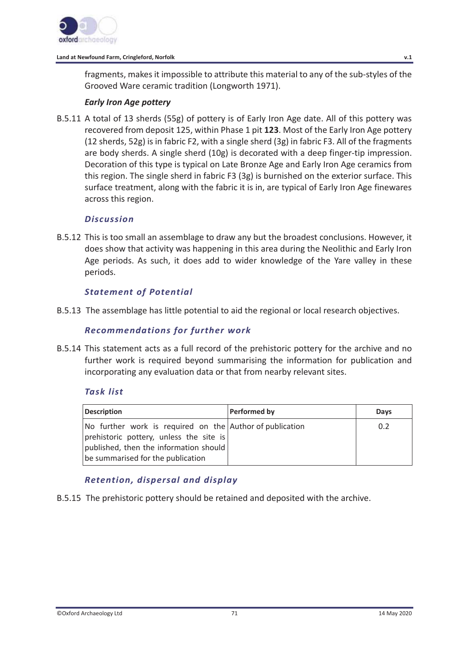

fragments, makes it impossible to attribute this material to any of the sub-styles of the Grooved Ware ceramic tradition (Longworth 1971).

## *Early Iron Age pottery*

B.5.11 A total of 13 sherds (55g) of pottery is of Early Iron Age date. All of this pottery was recovered from deposit 125, within Phase 1 pit **123**. Most of the Early Iron Age pottery (12 sherds, 52g) is in fabric F2, with a single sherd (3g) in fabric F3. All of the fragments are body sherds. A single sherd (10g) is decorated with a deep finger-tip impression. Decoration of this type is typical on Late Bronze Age and Early Iron Age ceramics from this region. The single sherd in fabric F3 (3g) is burnished on the exterior surface. This surface treatment, along with the fabric it is in, are typical of Early Iron Age finewares across this region.

### *Discussion*

B.5.12 This is too small an assemblage to draw any but the broadest conclusions. However, it does show that activity was happening in this area during the Neolithic and Early Iron Age periods. As such, it does add to wider knowledge of the Yare valley in these periods.

## *Statement of Potential*

B.5.13 The assemblage has little potential to aid the regional or local research objectives.

## *Recommendations for further work*

B.5.14 This statement acts as a full record of the prehistoric pottery for the archive and no further work is required beyond summarising the information for publication and incorporating any evaluation data or that from nearby relevant sites.

## *Task list*

| <b>Description</b>                                                                                                                                                                 | <b>Performed by</b> | Days |
|------------------------------------------------------------------------------------------------------------------------------------------------------------------------------------|---------------------|------|
| No further work is required on the Author of publication<br>prehistoric pottery, unless the site is<br>published, then the information should<br>be summarised for the publication |                     | 0.2  |

## *Retention, dispersal and display*

B.5.15 The prehistoric pottery should be retained and deposited with the archive.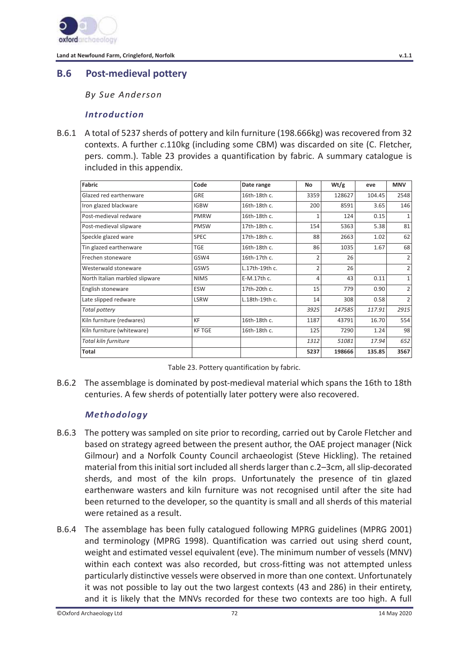

# **B.6 Post-medieval pottery**

*By Sue Anderson* 

## *Introduction*

B.6.1 A total of 5237 sherds of pottery and kiln furniture (198.666kg) was recovered from 32 contexts. A further *c*.110kg (including some CBM) was discarded on site (C. Fletcher, pers. comm.). Table 23 provides a quantification by fabric. A summary catalogue is included in this appendix.

| Fabric                         | Code             | Date range     | No             | Wt/g   | eve    | <b>MNV</b>     |
|--------------------------------|------------------|----------------|----------------|--------|--------|----------------|
| Glazed red earthenware         | <b>GRE</b>       | 16th-18th c.   | 3359           | 128627 | 104.45 | 2548           |
| Iron glazed blackware          | <b>IGBW</b>      | 16th-18th c.   | 200            | 8591   | 3.65   | 146            |
| Post-medieval redware          | <b>PMRW</b>      | 16th-18th c.   | 1              | 124    | 0.15   | 1              |
| Post-medieval slipware         | <b>PMSW</b>      | 17th-18th c.   | 154            | 5363   | 5.38   | 81             |
| Speckle glazed ware            | <b>SPEC</b>      | 17th-18th c.   | 88             | 2663   | 1.02   | 62             |
| Tin glazed earthenware         | <b>TGE</b>       | 16th-18th c.   | 86             | 1035   | 1.67   | 68             |
| Frechen stoneware              | GSW4             | 16th-17th c.   | $\overline{2}$ | 26     |        |                |
| Westerwald stoneware           | GSW <sub>5</sub> | L.17th-19th c. | $\overline{2}$ | 26     |        | 2              |
| North Italian marbled slipware | <b>NIMS</b>      | E-M.17th c.    | 4              | 43     | 0.11   | $\mathbf{1}$   |
| English stoneware              | <b>ESW</b>       | 17th-20th c.   | 15             | 779    | 0.90   | $\overline{2}$ |
| Late slipped redware           | <b>LSRW</b>      | L.18th-19th c. | 14             | 308    | 0.58   | $\mathfrak{D}$ |
| <b>Total pottery</b>           |                  |                | 3925           | 147585 | 117.91 | 2915           |
| Kiln furniture (redwares)      | KF               | 16th-18th c.   | 1187           | 43791  | 16.70  | 554            |
| Kiln furniture (whiteware)     | <b>KF TGE</b>    | 16th-18th c.   | 125            | 7290   | 1.24   | 98             |
| Total kiln furniture           |                  |                | 1312           | 51081  | 17.94  | 652            |
| <b>Total</b>                   |                  |                | 5237           | 198666 | 135.85 | 3567           |

|  |  | Table 23. Pottery quantification by fabric. |  |
|--|--|---------------------------------------------|--|
|--|--|---------------------------------------------|--|

B.6.2 The assemblage is dominated by post-medieval material which spans the 16th to 18th centuries. A few sherds of potentially later pottery were also recovered.

## *Methodology*

- B.6.3 The pottery was sampled on site prior to recording, carried out by Carole Fletcher and based on strategy agreed between the present author, the OAE project manager (Nick Gilmour) and a Norfolk County Council archaeologist (Steve Hickling). The retained material from this initial sort included all sherds larger than c.2–3cm, all slip-decorated sherds, and most of the kiln props. Unfortunately the presence of tin glazed earthenware wasters and kiln furniture was not recognised until after the site had been returned to the developer, so the quantity is small and all sherds of this material were retained as a result.
- B.6.4 The assemblage has been fully catalogued following MPRG guidelines (MPRG 2001) and terminology (MPRG 1998). Quantification was carried out using sherd count, weight and estimated vessel equivalent (eve). The minimum number of vessels (MNV) within each context was also recorded, but cross-fitting was not attempted unless particularly distinctive vessels were observed in more than one context. Unfortunately it was not possible to lay out the two largest contexts (43 and 286) in their entirety, and it is likely that the MNVs recorded for these two contexts are too high. A full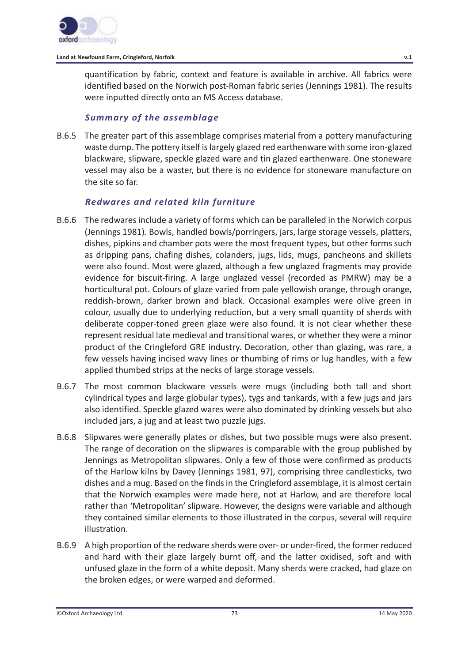

### **Land at Newfound Farm, Cringleford, Norfolk v.1**

quantification by fabric, context and feature is available in archive. All fabrics were identified based on the Norwich post-Roman fabric series (Jennings 1981). The results were inputted directly onto an MS Access database.

## *Summary of the assemblage*

B.6.5 The greater part of this assemblage comprises material from a pottery manufacturing waste dump. The pottery itself is largely glazed red earthenware with some iron-glazed blackware, slipware, speckle glazed ware and tin glazed earthenware. One stoneware vessel may also be a waster, but there is no evidence for stoneware manufacture on the site so far.

# *Redwares and related kiln furniture*

- B.6.6 The redwares include a variety of forms which can be paralleled in the Norwich corpus (Jennings 1981). Bowls, handled bowls/porringers, jars, large storage vessels, platters, dishes, pipkins and chamber pots were the most frequent types, but other forms such as dripping pans, chafing dishes, colanders, jugs, lids, mugs, pancheons and skillets were also found. Most were glazed, although a few unglazed fragments may provide evidence for biscuit-firing. A large unglazed vessel (recorded as PMRW) may be a horticultural pot. Colours of glaze varied from pale yellowish orange, through orange, reddish-brown, darker brown and black. Occasional examples were olive green in colour, usually due to underlying reduction, but a very small quantity of sherds with deliberate copper-toned green glaze were also found. It is not clear whether these represent residual late medieval and transitional wares, or whether they were a minor product of the Cringleford GRE industry. Decoration, other than glazing, was rare, a few vessels having incised wavy lines or thumbing of rims or lug handles, with a few applied thumbed strips at the necks of large storage vessels.
- B.6.7 The most common blackware vessels were mugs (including both tall and short cylindrical types and large globular types), tygs and tankards, with a few jugs and jars also identified. Speckle glazed wares were also dominated by drinking vessels but also included jars, a jug and at least two puzzle jugs.
- B.6.8 Slipwares were generally plates or dishes, but two possible mugs were also present. The range of decoration on the slipwares is comparable with the group published by Jennings as Metropolitan slipwares. Only a few of those were confirmed as products of the Harlow kilns by Davey (Jennings 1981, 97), comprising three candlesticks, two dishes and a mug. Based on the finds in the Cringleford assemblage, it is almost certain that the Norwich examples were made here, not at Harlow, and are therefore local rather than 'Metropolitan' slipware. However, the designs were variable and although they contained similar elements to those illustrated in the corpus, several will require illustration.
- B.6.9 A high proportion of the redware sherds were over- or under-fired, the former reduced and hard with their glaze largely burnt off, and the latter oxidised, soft and with unfused glaze in the form of a white deposit. Many sherds were cracked, had glaze on the broken edges, or were warped and deformed.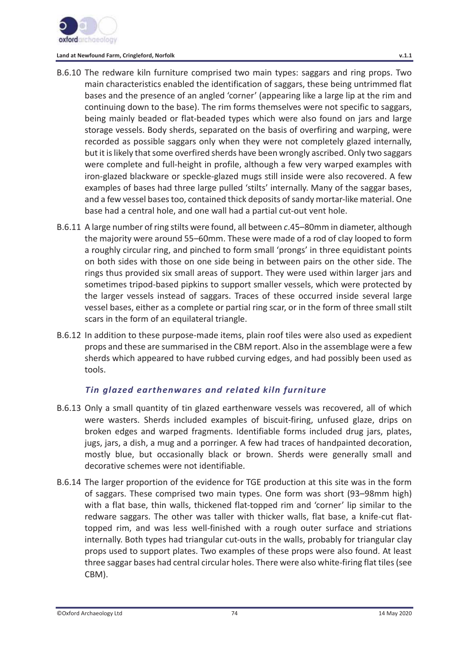

**Land at Newfound Farm, Cringleford, Norfolk v.1.1** 

- B.6.10 The redware kiln furniture comprised two main types: saggars and ring props. Two main characteristics enabled the identification of saggars, these being untrimmed flat bases and the presence of an angled 'corner' (appearing like a large lip at the rim and continuing down to the base). The rim forms themselves were not specific to saggars, being mainly beaded or flat-beaded types which were also found on jars and large storage vessels. Body sherds, separated on the basis of overfiring and warping, were recorded as possible saggars only when they were not completely glazed internally, but it is likely that some overfired sherds have been wrongly ascribed. Only two saggars were complete and full-height in profile, although a few very warped examples with iron-glazed blackware or speckle-glazed mugs still inside were also recovered. A few examples of bases had three large pulled 'stilts' internally. Many of the saggar bases, and a few vessel bases too, contained thick deposits of sandy mortar-like material. One base had a central hole, and one wall had a partial cut-out vent hole.
- B.6.11 A large number of ring stilts were found, all between *c*.45–80mm in diameter, although the majority were around 55–60mm. These were made of a rod of clay looped to form a roughly circular ring, and pinched to form small 'prongs' in three equidistant points on both sides with those on one side being in between pairs on the other side. The rings thus provided six small areas of support. They were used within larger jars and sometimes tripod-based pipkins to support smaller vessels, which were protected by the larger vessels instead of saggars. Traces of these occurred inside several large vessel bases, either as a complete or partial ring scar, or in the form of three small stilt scars in the form of an equilateral triangle.
- B.6.12 In addition to these purpose-made items, plain roof tiles were also used as expedient props and these are summarised in the CBM report. Also in the assemblage were a few sherds which appeared to have rubbed curving edges, and had possibly been used as tools.

# *Tin glazed earthenwares and related kiln furniture*

- B.6.13 Only a small quantity of tin glazed earthenware vessels was recovered, all of which were wasters. Sherds included examples of biscuit-firing, unfused glaze, drips on broken edges and warped fragments. Identifiable forms included drug jars, plates, jugs, jars, a dish, a mug and a porringer. A few had traces of handpainted decoration, mostly blue, but occasionally black or brown. Sherds were generally small and decorative schemes were not identifiable.
- B.6.14 The larger proportion of the evidence for TGE production at this site was in the form of saggars. These comprised two main types. One form was short (93–98mm high) with a flat base, thin walls, thickened flat-topped rim and 'corner' lip similar to the redware saggars. The other was taller with thicker walls, flat base, a knife-cut flattopped rim, and was less well-finished with a rough outer surface and striations internally. Both types had triangular cut-outs in the walls, probably for triangular clay props used to support plates. Two examples of these props were also found. At least three saggar bases had central circular holes. There were also white-firing flat tiles (see CBM).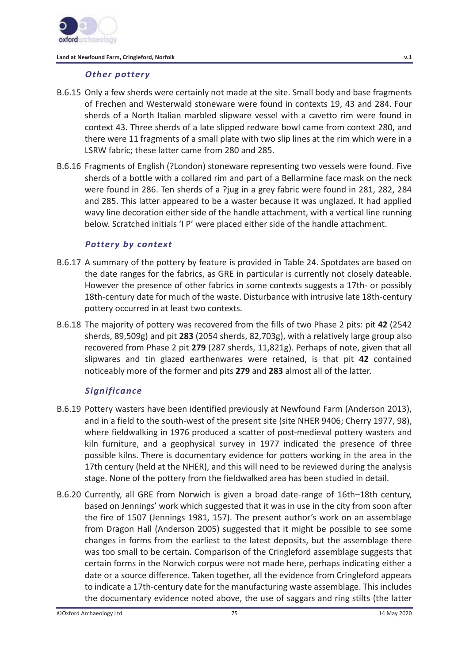

### **Land at Newfound Farm, Cringleford, Norfolk v.1**

### *Other pottery*

- B.6.15 Only a few sherds were certainly not made at the site. Small body and base fragments of Frechen and Westerwald stoneware were found in contexts 19, 43 and 284. Four sherds of a North Italian marbled slipware vessel with a cavetto rim were found in context 43. Three sherds of a late slipped redware bowl came from context 280, and there were 11 fragments of a small plate with two slip lines at the rim which were in a LSRW fabric; these latter came from 280 and 285.
- B.6.16 Fragments of English (?London) stoneware representing two vessels were found. Five sherds of a bottle with a collared rim and part of a Bellarmine face mask on the neck were found in 286. Ten sherds of a ?jug in a grey fabric were found in 281, 282, 284 and 285. This latter appeared to be a waster because it was unglazed. It had applied wavy line decoration either side of the handle attachment, with a vertical line running below. Scratched initials 'I P' were placed either side of the handle attachment.

### *Pottery by context*

- B.6.17 A summary of the pottery by feature is provided in Table 24. Spotdates are based on the date ranges for the fabrics, as GRE in particular is currently not closely dateable. However the presence of other fabrics in some contexts suggests a 17th- or possibly 18th-century date for much of the waste. Disturbance with intrusive late 18th-century pottery occurred in at least two contexts.
- B.6.18 The majority of pottery was recovered from the fills of two Phase 2 pits: pit **42** (2542 sherds, 89,509g) and pit **283** (2054 sherds, 82,703g), with a relatively large group also recovered from Phase 2 pit **279** (287 sherds, 11,821g). Perhaps of note, given that all slipwares and tin glazed earthenwares were retained, is that pit **42** contained noticeably more of the former and pits **279** and **283** almost all of the latter.

# *Significance*

- B.6.19 Pottery wasters have been identified previously at Newfound Farm (Anderson 2013), and in a field to the south-west of the present site (site NHER 9406; Cherry 1977, 98), where fieldwalking in 1976 produced a scatter of post-medieval pottery wasters and kiln furniture, and a geophysical survey in 1977 indicated the presence of three possible kilns. There is documentary evidence for potters working in the area in the 17th century (held at the NHER), and this will need to be reviewed during the analysis stage. None of the pottery from the fieldwalked area has been studied in detail.
- B.6.20 Currently, all GRE from Norwich is given a broad date-range of 16th–18th century, based on Jennings' work which suggested that it was in use in the city from soon after the fire of 1507 (Jennings 1981, 157). The present author's work on an assemblage from Dragon Hall (Anderson 2005) suggested that it might be possible to see some changes in forms from the earliest to the latest deposits, but the assemblage there was too small to be certain. Comparison of the Cringleford assemblage suggests that certain forms in the Norwich corpus were not made here, perhaps indicating either a date or a source difference. Taken together, all the evidence from Cringleford appears to indicate a 17th-century date for the manufacturing waste assemblage. This includes the documentary evidence noted above, the use of saggars and ring stilts (the latter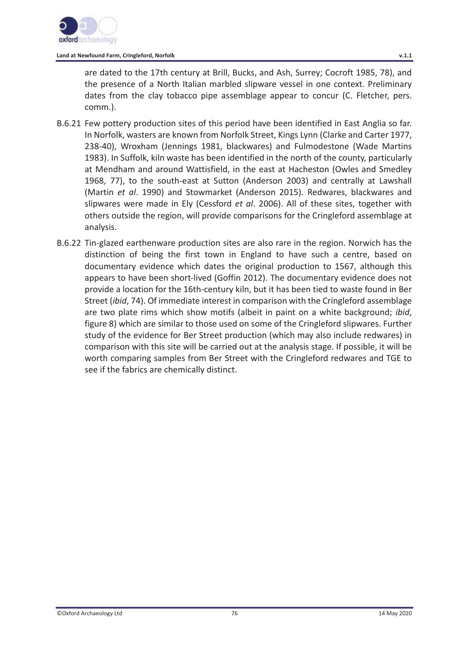

#### **Land at Newfound Farm, Cringleford, Norfolk v.1.1**

are dated to the 17th century at Brill, Bucks, and Ash, Surrey; Cocroft 1985, 78), and the presence of a North Italian marbled slipware vessel in one context. Preliminary dates from the clay tobacco pipe assemblage appear to concur (C. Fletcher, pers. comm.).

- B.6.21 Few pottery production sites of this period have been identified in East Anglia so far. In Norfolk, wasters are known from Norfolk Street, Kings Lynn (Clarke and Carter 1977, 238-40), Wroxham (Jennings 1981, blackwares) and Fulmodestone (Wade Martins 1983). In Suffolk, kiln waste has been identified in the north of the county, particularly at Mendham and around Wattisfield, in the east at Hacheston (Owles and Smedley 1968, 77), to the south-east at Sutton (Anderson 2003) and centrally at Lawshall (Martin *et al*. 1990) and Stowmarket (Anderson 2015). Redwares, blackwares and slipwares were made in Ely (Cessford *et al*. 2006). All of these sites, together with others outside the region, will provide comparisons for the Cringleford assemblage at analysis.
- B.6.22 Tin-glazed earthenware production sites are also rare in the region. Norwich has the distinction of being the first town in England to have such a centre, based on documentary evidence which dates the original production to 1567, although this appears to have been short-lived (Goffin 2012). The documentary evidence does not provide a location for the 16th-century kiln, but it has been tied to waste found in Ber Street (*ibid*, 74). Of immediate interest in comparison with the Cringleford assemblage are two plate rims which show motifs (albeit in paint on a white background; *ibid*, figure 8) which are similar to those used on some of the Cringleford slipwares. Further study of the evidence for Ber Street production (which may also include redwares) in comparison with this site will be carried out at the analysis stage. If possible, it will be worth comparing samples from Ber Street with the Cringleford redwares and TGE to see if the fabrics are chemically distinct.